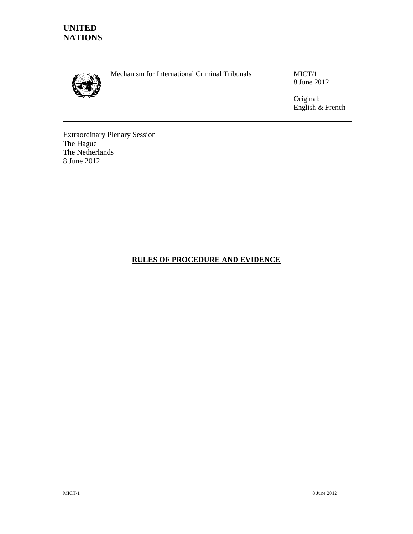

Mechanism for International Criminal Tribunals MICT/1

8 June 2012

Original: English & French

Extraordinary Plenary Session The Hague The Netherlands 8 June 2012

#### **RULES OF PROCEDURE AND EVIDENCE**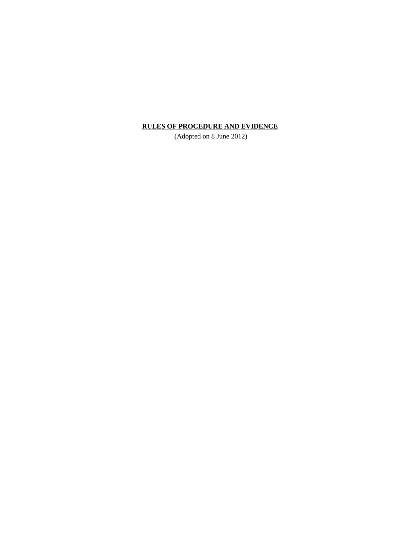#### **RULES OF PROCEDURE AND EVIDENCE**

(Adopted on 8 June 2012)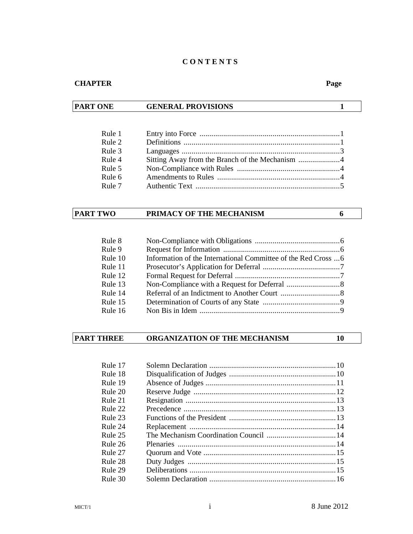#### **C O N T E N T S**

#### **CHAPTER** Page 2014 **Page 2014**

#### **PART ONE GENERAL PROVISIONS** 1

| Rule 1 |  |
|--------|--|
| Rule 2 |  |
| Rule 3 |  |
| Rule 4 |  |
| Rule 5 |  |
| Rule 6 |  |
| Rule 7 |  |
|        |  |

#### **PART TWO PRIMACY OF THE MECHANISM 6**

 Rule 8 Non-Compliance with Obligations ...........................................6 Rule 9 Request for Information ...........................................................6 Rule 10 Information of the International Committee of the Red Cross ... 6 Rule 11 Prosecutor's Application for Deferral .......................................7 Rule 12 Formal Request for Deferral .....................................................7 Rule 13 Non-Compliance with a Request for Deferral ...........................8 Rule 14 Referral of an Indictment to Another Court ..............................8 Rule 15 Determination of Courts of any State .......................................9 Rule 16 Non Bis in Idem .......................................................................9

#### **PART THREE ORGANIZATION OF THE MECHANISM 10**

Rule 17 Solemn Declaration ................................................................10 Rule 18 Disqualification of Judges ......................................................10 Rule 19 Absence of Judges ..................................................................11 Rule 20 Reserve Judge ........................................................................12 Rule 21 Resignation ............................................................................13 Rule 22 Precedence .............................................................................13 Rule 23 Functions of the President ......................................................13 Rule 24 Replacement ..........................................................................14 Rule 25 The Mechanism Coordination Council ...................................14 Rule 26 Plenaries ................................................................................14 Rule 27 Quorum and Vote ...................................................................15 Rule 28 Duty Judges ...........................................................................15 Rule 29 Deliberations ..........................................................................15 Rule 30 Solemn Declaration ................................................................16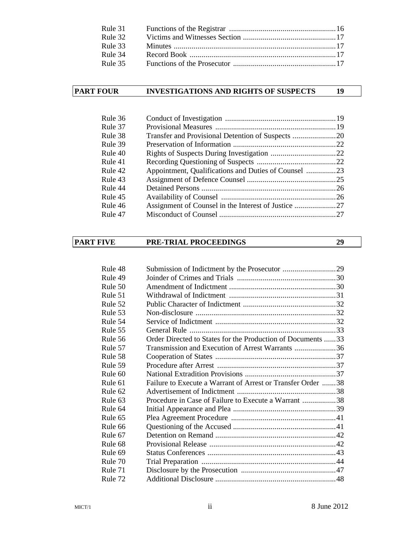| Rule 31 |  |
|---------|--|
| Rule 32 |  |
| Rule 33 |  |
| Rule 34 |  |
| Rule 35 |  |

# **PART FOUR INVESTIGATIONS AND RIGHTS OF SUSPECTS** 19

| Rule 37                                                         |  |
|-----------------------------------------------------------------|--|
| Rule 38                                                         |  |
| Rule 39                                                         |  |
| Rule 40                                                         |  |
| Rule 41                                                         |  |
| Appointment, Qualifications and Duties of Counsel 23<br>Rule 42 |  |
| Rule 43                                                         |  |
| Rule 44                                                         |  |
| Rule 45                                                         |  |
| Rule 46                                                         |  |
| Rule 47                                                         |  |

# **PART FIVE PRE-TRIAL PROCEEDINGS** 29

| Rule 48 |                                                             |  |
|---------|-------------------------------------------------------------|--|
| Rule 49 |                                                             |  |
| Rule 50 |                                                             |  |
| Rule 51 |                                                             |  |
| Rule 52 |                                                             |  |
| Rule 53 |                                                             |  |
| Rule 54 |                                                             |  |
| Rule 55 |                                                             |  |
| Rule 56 | Order Directed to States for the Production of Documents 33 |  |
| Rule 57 | Transmission and Execution of Arrest Warrants 36            |  |
| Rule 58 |                                                             |  |
| Rule 59 |                                                             |  |
| Rule 60 |                                                             |  |
| Rule 61 | Failure to Execute a Warrant of Arrest or Transfer Order 38 |  |
| Rule 62 |                                                             |  |
| Rule 63 | Procedure in Case of Failure to Execute a Warrant 38        |  |
| Rule 64 |                                                             |  |
| Rule 65 |                                                             |  |
| Rule 66 |                                                             |  |
| Rule 67 |                                                             |  |
| Rule 68 |                                                             |  |
| Rule 69 |                                                             |  |
| Rule 70 |                                                             |  |
| Rule 71 |                                                             |  |
| Rule 72 |                                                             |  |
|         |                                                             |  |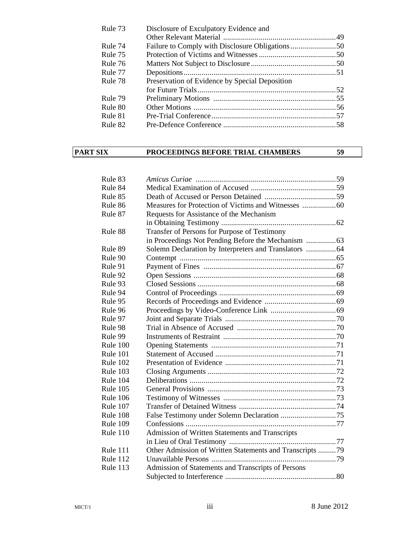| Rule 73 | Disclosure of Exculpatory Evidence and         |  |
|---------|------------------------------------------------|--|
|         |                                                |  |
| Rule 74 |                                                |  |
| Rule 75 |                                                |  |
| Rule 76 |                                                |  |
| Rule 77 |                                                |  |
| Rule 78 | Preservation of Evidence by Special Deposition |  |
|         |                                                |  |
| Rule 79 |                                                |  |
| Rule 80 |                                                |  |
| Rule 81 |                                                |  |
| Rule 82 |                                                |  |
|         |                                                |  |

# **PART SIX PROCEEDINGS BEFORE TRIAL CHAMBERS** 59

| Rule 83         |                                                          |  |
|-----------------|----------------------------------------------------------|--|
| Rule 84         |                                                          |  |
| Rule 85         |                                                          |  |
| Rule 86         |                                                          |  |
| Rule 87         | Requests for Assistance of the Mechanism                 |  |
|                 |                                                          |  |
| Rule 88         | Transfer of Persons for Purpose of Testimony             |  |
|                 |                                                          |  |
| Rule 89         | Solemn Declaration by Interpreters and Translators  64   |  |
| Rule 90         |                                                          |  |
| Rule 91         |                                                          |  |
| Rule 92         |                                                          |  |
| Rule 93         |                                                          |  |
| Rule 94         |                                                          |  |
| Rule 95         |                                                          |  |
| Rule 96         |                                                          |  |
| Rule 97         |                                                          |  |
| Rule 98         |                                                          |  |
| Rule 99         |                                                          |  |
| Rule 100        |                                                          |  |
| Rule 101        |                                                          |  |
| Rule 102        |                                                          |  |
| Rule 103        |                                                          |  |
| Rule 104        |                                                          |  |
| Rule 105        |                                                          |  |
| <b>Rule 106</b> |                                                          |  |
| Rule 107        |                                                          |  |
| Rule 108        |                                                          |  |
| Rule 109        |                                                          |  |
| Rule 110        | Admission of Written Statements and Transcripts          |  |
|                 |                                                          |  |
| Rule 111        | Other Admission of Written Statements and Transcripts 79 |  |
| Rule 112        |                                                          |  |
| <b>Rule 113</b> | Admission of Statements and Transcripts of Persons       |  |
|                 |                                                          |  |
|                 |                                                          |  |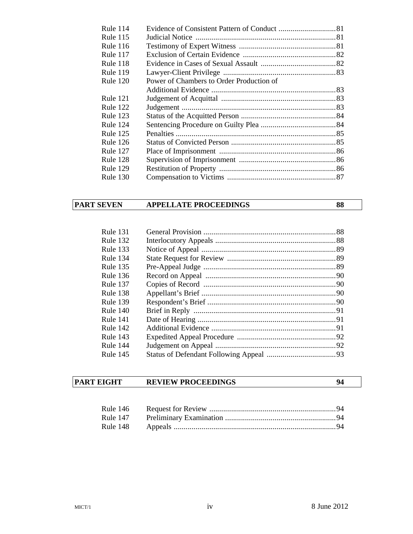| Rule 114        |                                          |  |
|-----------------|------------------------------------------|--|
| <b>Rule 115</b> |                                          |  |
| <b>Rule 116</b> |                                          |  |
| Rule 117        |                                          |  |
| Rule 118        |                                          |  |
| <b>Rule 119</b> |                                          |  |
| <b>Rule 120</b> | Power of Chambers to Order Production of |  |
|                 |                                          |  |
| <b>Rule 121</b> |                                          |  |
| Rule $122$      |                                          |  |
| <b>Rule 123</b> |                                          |  |
| <b>Rule 124</b> |                                          |  |
| <b>Rule 125</b> |                                          |  |
| <b>Rule 126</b> |                                          |  |
| <b>Rule 127</b> |                                          |  |
| Rule 128        |                                          |  |
| <b>Rule 129</b> |                                          |  |
| <b>Rule 130</b> |                                          |  |
|                 |                                          |  |

# **PART SEVEN APPELLATE PROCEEDINGS 88**

| Rule 131        |  |
|-----------------|--|
| <b>Rule 132</b> |  |
| <b>Rule 133</b> |  |
| <b>Rule 134</b> |  |
| <b>Rule 135</b> |  |
| <b>Rule 136</b> |  |
| <b>Rule 137</b> |  |
| <b>Rule 138</b> |  |
| <b>Rule 139</b> |  |
| <b>Rule 140</b> |  |
| <b>Rule 141</b> |  |
| <b>Rule 142</b> |  |
| <b>Rule 143</b> |  |
| Rule 144        |  |
| <b>Rule 145</b> |  |
|                 |  |

# **PART EIGHT REVIEW PROCEEDINGS 94**

 Rule 146 Request for Review ................................................................94 Rule 147 Preliminary Examination ........................................................94 Rule 148 Appeals ..................................................................................94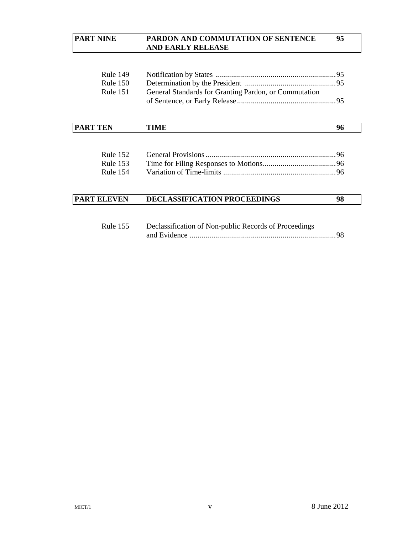#### **PART NINE PARDON AND COMMUTATION OF SENTENCE 95 AND EARLY RELEASE**

| <b>Rule 149</b> |                                                       |  |
|-----------------|-------------------------------------------------------|--|
| <b>Rule 150</b> |                                                       |  |
| <b>Rule 151</b> | General Standards for Granting Pardon, or Commutation |  |
|                 |                                                       |  |

| ---- | TEN<br>от<br>$\mathbf{D}$<br><b>TANI</b> | $\sqrt{1}$<br>$- -$ | 96 |
|------|------------------------------------------|---------------------|----|
|------|------------------------------------------|---------------------|----|

# **PART ELEVEN DECLASSIFICATION PROCEEDINGS 98**

| <b>Rule 155</b> | Declassification of Non-public Records of Proceedings |  |
|-----------------|-------------------------------------------------------|--|
|                 |                                                       |  |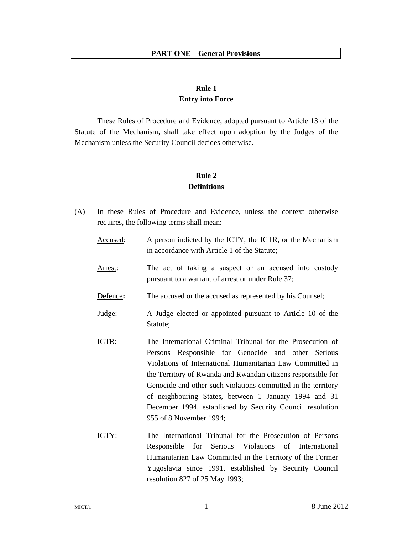#### **PART ONE – General Provisions**

# **Rule 1 Entry into Force**

These Rules of Procedure and Evidence, adopted pursuant to Article 13 of the Statute of the Mechanism, shall take effect upon adoption by the Judges of the Mechanism unless the Security Council decides otherwise.

#### **Rule 2 Definitions**

- (A) In these Rules of Procedure and Evidence, unless the context otherwise requires, the following terms shall mean:
	- Accused: A person indicted by the ICTY, the ICTR, or the Mechanism in accordance with Article 1 of the Statute; Arrest: The act of taking a suspect or an accused into custody

pursuant to a warrant of arrest or under Rule 37;

- Defence: The accused or the accused as represented by his Counsel;
- Judge: A Judge elected or appointed pursuant to Article 10 of the Statute;
- ICTR: The International Criminal Tribunal for the Prosecution of Persons Responsible for Genocide and other Serious Violations of International Humanitarian Law Committed in the Territory of Rwanda and Rwandan citizens responsible for Genocide and other such violations committed in the territory of neighbouring States, between 1 January 1994 and 31 December 1994, established by Security Council resolution 955 of 8 November 1994;
- ICTY: The International Tribunal for the Prosecution of Persons Responsible for Serious Violations of International Humanitarian Law Committed in the Territory of the Former Yugoslavia since 1991, established by Security Council resolution 827 of 25 May 1993;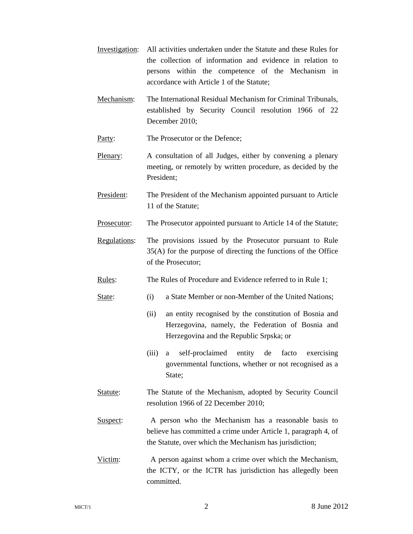- Investigation: All activities undertaken under the Statute and these Rules for the collection of information and evidence in relation to persons within the competence of the Mechanism in accordance with Article 1 of the Statute;
- Mechanism: The International Residual Mechanism for Criminal Tribunals, established by Security Council resolution 1966 of 22 December 2010;

Party: The Prosecutor or the Defence;

- Plenary: A consultation of all Judges, either by convening a plenary meeting, or remotely by written procedure, as decided by the President;
- President: The President of the Mechanism appointed pursuant to Article 11 of the Statute;
- Prosecutor: The Prosecutor appointed pursuant to Article 14 of the Statute;
- Regulations: The provisions issued by the Prosecutor pursuant to Rule 35(A) for the purpose of directing the functions of the Office of the Prosecutor;
- Rules: The Rules of Procedure and Evidence referred to in Rule 1;
- State: (i) a State Member or non-Member of the United Nations;
	- (ii) an entity recognised by the constitution of Bosnia and Herzegovina, namely, the Federation of Bosnia and Herzegovina and the Republic Srpska; or
	- (iii) a self-proclaimed entity de facto exercising governmental functions, whether or not recognised as a State;
- Statute: The Statute of the Mechanism, adopted by Security Council resolution 1966 of 22 December 2010;
- Suspect: A person who the Mechanism has a reasonable basis to believe has committed a crime under Article 1, paragraph 4, of the Statute, over which the Mechanism has jurisdiction;
- Victim: A person against whom a crime over which the Mechanism, the ICTY, or the ICTR has jurisdiction has allegedly been committed.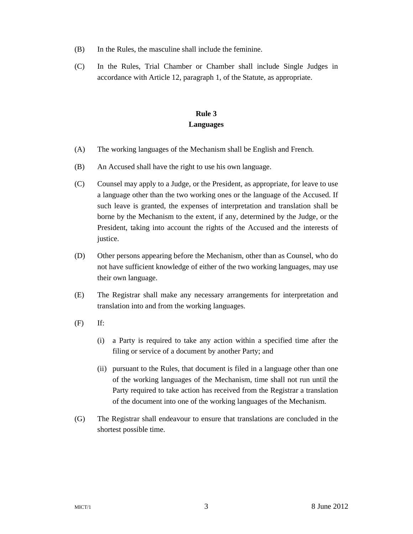- (B) In the Rules, the masculine shall include the feminine.
- (C) In the Rules, Trial Chamber or Chamber shall include Single Judges in accordance with Article 12, paragraph 1, of the Statute, as appropriate.

# **Rule 3 Languages**

- (A) The working languages of the Mechanism shall be English and French.
- (B) An Accused shall have the right to use his own language.
- (C) Counsel may apply to a Judge, or the President, as appropriate, for leave to use a language other than the two working ones or the language of the Accused. If such leave is granted, the expenses of interpretation and translation shall be borne by the Mechanism to the extent, if any, determined by the Judge, or the President, taking into account the rights of the Accused and the interests of justice.
- (D) Other persons appearing before the Mechanism, other than as Counsel, who do not have sufficient knowledge of either of the two working languages, may use their own language.
- (E) The Registrar shall make any necessary arrangements for interpretation and translation into and from the working languages.
- $(F)$  If:
	- (i) a Party is required to take any action within a specified time after the filing or service of a document by another Party; and
	- (ii) pursuant to the Rules, that document is filed in a language other than one of the working languages of the Mechanism, time shall not run until the Party required to take action has received from the Registrar a translation of the document into one of the working languages of the Mechanism.
- (G) The Registrar shall endeavour to ensure that translations are concluded in the shortest possible time.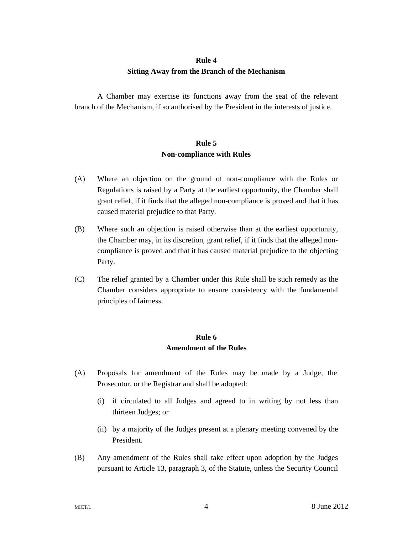# **Rule 4 Sitting Away from the Branch of the Mechanism**

A Chamber may exercise its functions away from the seat of the relevant branch of the Mechanism, if so authorised by the President in the interests of justice.

# **Rule 5 Non-compliance with Rules**

- (A) Where an objection on the ground of non-compliance with the Rules or Regulations is raised by a Party at the earliest opportunity, the Chamber shall grant relief, if it finds that the alleged non-compliance is proved and that it has caused material prejudice to that Party.
- (B) Where such an objection is raised otherwise than at the earliest opportunity, the Chamber may, in its discretion, grant relief, if it finds that the alleged noncompliance is proved and that it has caused material prejudice to the objecting Party.
- (C) The relief granted by a Chamber under this Rule shall be such remedy as the Chamber considers appropriate to ensure consistency with the fundamental principles of fairness.

## **Rule 6 Amendment of the Rules**

- (A) Proposals for amendment of the Rules may be made by a Judge, the Prosecutor, or the Registrar and shall be adopted:
	- (i) if circulated to all Judges and agreed to in writing by not less than thirteen Judges; or
	- (ii) by a majority of the Judges present at a plenary meeting convened by the President.
- (B) Any amendment of the Rules shall take effect upon adoption by the Judges pursuant to Article 13, paragraph 3, of the Statute, unless the Security Council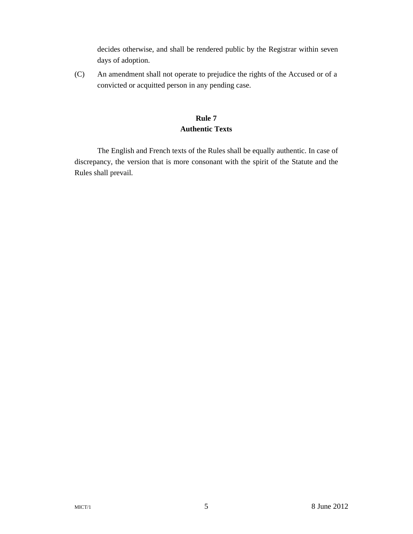decides otherwise, and shall be rendered public by the Registrar within seven days of adoption.

(C) An amendment shall not operate to prejudice the rights of the Accused or of a convicted or acquitted person in any pending case.

# **Rule 7 Authentic Texts**

 The English and French texts of the Rules shall be equally authentic. In case of discrepancy, the version that is more consonant with the spirit of the Statute and the Rules shall prevail.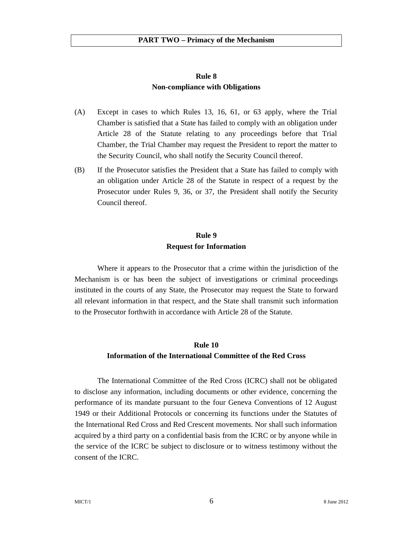# **Rule 8 Non-compliance with Obligations**

- (A) Except in cases to which Rules 13, 16, 61, or 63 apply, where the Trial Chamber is satisfied that a State has failed to comply with an obligation under Article 28 of the Statute relating to any proceedings before that Trial Chamber, the Trial Chamber may request the President to report the matter to the Security Council, who shall notify the Security Council thereof.
- (B) If the Prosecutor satisfies the President that a State has failed to comply with an obligation under Article 28 of the Statute in respect of a request by the Prosecutor under Rules 9, 36, or 37, the President shall notify the Security Council thereof.

# **Rule 9 Request for Information**

Where it appears to the Prosecutor that a crime within the jurisdiction of the Mechanism is or has been the subject of investigations or criminal proceedings instituted in the courts of any State, the Prosecutor may request the State to forward all relevant information in that respect, and the State shall transmit such information to the Prosecutor forthwith in accordance with Article 28 of the Statute.

# **Rule 10 Information of the International Committee of the Red Cross**

The International Committee of the Red Cross (ICRC) shall not be obligated to disclose any information, including documents or other evidence, concerning the performance of its mandate pursuant to the four Geneva Conventions of 12 August 1949 or their Additional Protocols or concerning its functions under the Statutes of the International Red Cross and Red Crescent movements. Nor shall such information acquired by a third party on a confidential basis from the ICRC or by anyone while in the service of the ICRC be subject to disclosure or to witness testimony without the consent of the ICRC.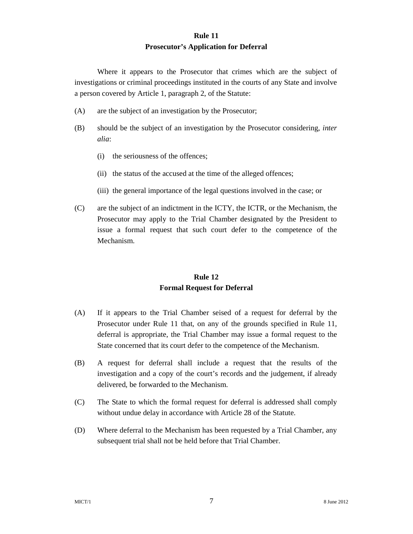## **Rule 11 Prosecutor's Application for Deferral**

Where it appears to the Prosecutor that crimes which are the subject of investigations or criminal proceedings instituted in the courts of any State and involve a person covered by Article 1, paragraph 2, of the Statute:

- (A) are the subject of an investigation by the Prosecutor;
- (B) should be the subject of an investigation by the Prosecutor considering, *inter alia*:
	- (i) the seriousness of the offences;
	- (ii) the status of the accused at the time of the alleged offences;
	- (iii) the general importance of the legal questions involved in the case; or
- (C) are the subject of an indictment in the ICTY, the ICTR, or the Mechanism, the Prosecutor may apply to the Trial Chamber designated by the President to issue a formal request that such court defer to the competence of the Mechanism.

# **Rule 12 Formal Request for Deferral**

- (A) If it appears to the Trial Chamber seised of a request for deferral by the Prosecutor under Rule 11 that, on any of the grounds specified in Rule 11, deferral is appropriate, the Trial Chamber may issue a formal request to the State concerned that its court defer to the competence of the Mechanism.
- (B) A request for deferral shall include a request that the results of the investigation and a copy of the court's records and the judgement, if already delivered, be forwarded to the Mechanism.
- (C) The State to which the formal request for deferral is addressed shall comply without undue delay in accordance with Article 28 of the Statute.
- (D) Where deferral to the Mechanism has been requested by a Trial Chamber, any subsequent trial shall not be held before that Trial Chamber.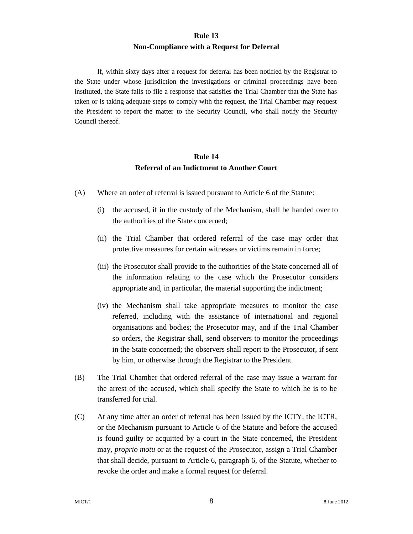#### **Rule 13 Non-Compliance with a Request for Deferral**

If, within sixty days after a request for deferral has been notified by the Registrar to the State under whose jurisdiction the investigations or criminal proceedings have been instituted, the State fails to file a response that satisfies the Trial Chamber that the State has taken or is taking adequate steps to comply with the request, the Trial Chamber may request the President to report the matter to the Security Council, who shall notify the Security Council thereof.

## **Rule 14 Referral of an Indictment to Another Court**

- (A) Where an order of referral is issued pursuant to Article 6 of the Statute:
	- (i) the accused, if in the custody of the Mechanism, shall be handed over to the authorities of the State concerned;
	- (ii) the Trial Chamber that ordered referral of the case may order that protective measures for certain witnesses or victims remain in force;
	- (iii) the Prosecutor shall provide to the authorities of the State concerned all of the information relating to the case which the Prosecutor considers appropriate and, in particular, the material supporting the indictment;
	- (iv) the Mechanism shall take appropriate measures to monitor the case referred, including with the assistance of international and regional organisations and bodies; the Prosecutor may, and if the Trial Chamber so orders, the Registrar shall, send observers to monitor the proceedings in the State concerned; the observers shall report to the Prosecutor, if sent by him, or otherwise through the Registrar to the President.
- (B) The Trial Chamber that ordered referral of the case may issue a warrant for the arrest of the accused, which shall specify the State to which he is to be transferred for trial.
- (C) At any time after an order of referral has been issued by the ICTY, the ICTR, or the Mechanism pursuant to Article 6 of the Statute and before the accused is found guilty or acquitted by a court in the State concerned, the President may, *proprio motu* or at the request of the Prosecutor, assign a Trial Chamber that shall decide, pursuant to Article 6, paragraph 6, of the Statute, whether to revoke the order and make a formal request for deferral.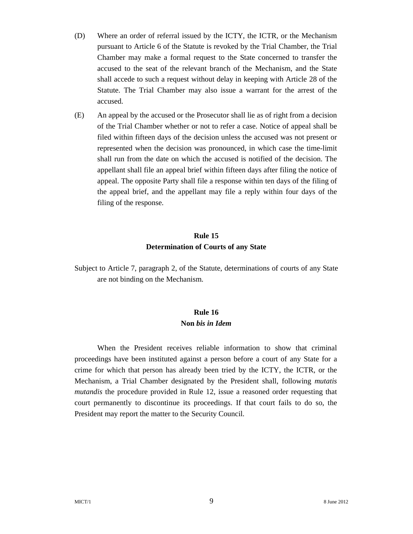- (D) Where an order of referral issued by the ICTY, the ICTR, or the Mechanism pursuant to Article 6 of the Statute is revoked by the Trial Chamber, the Trial Chamber may make a formal request to the State concerned to transfer the accused to the seat of the relevant branch of the Mechanism, and the State shall accede to such a request without delay in keeping with Article 28 of the Statute. The Trial Chamber may also issue a warrant for the arrest of the accused.
- (E) An appeal by the accused or the Prosecutor shall lie as of right from a decision of the Trial Chamber whether or not to refer a case. Notice of appeal shall be filed within fifteen days of the decision unless the accused was not present or represented when the decision was pronounced, in which case the time-limit shall run from the date on which the accused is notified of the decision. The appellant shall file an appeal brief within fifteen days after filing the notice of appeal. The opposite Party shall file a response within ten days of the filing of the appeal brief, and the appellant may file a reply within four days of the filing of the response.

# **Rule 15 Determination of Courts of any State**

Subject to Article 7, paragraph 2, of the Statute, determinations of courts of any State are not binding on the Mechanism.

## **Rule 16 Non** *bis in Idem*

When the President receives reliable information to show that criminal proceedings have been instituted against a person before a court of any State for a crime for which that person has already been tried by the ICTY, the ICTR, or the Mechanism, a Trial Chamber designated by the President shall, following *mutatis mutandis* the procedure provided in Rule 12, issue a reasoned order requesting that court permanently to discontinue its proceedings. If that court fails to do so, the President may report the matter to the Security Council.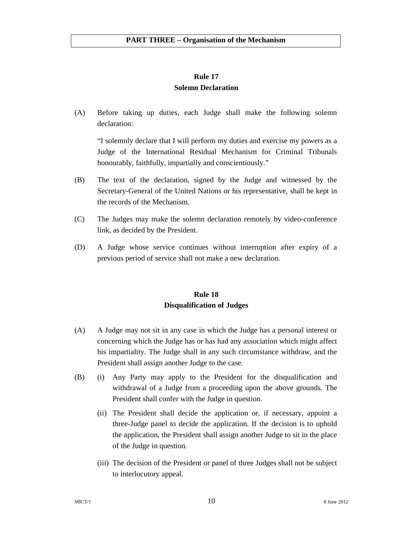# **Rule 17 Solemn Declaration**

(A) Before taking up duties, each Judge shall make the following solemn declaration:

"I solemnly declare that I will perform my duties and exercise my powers as a Judge of the International Residual Mechanism for Criminal Tribunals honourably, faithfully, impartially and conscientiously."

- (B) The text of the declaration, signed by the Judge and witnessed by the Secretary-General of the United Nations or his representative, shall be kept in the records of the Mechanism.
- (C) The Judges may make the solemn declaration remotely by video-conference link, as decided by the President.
- (D) A Judge whose service continues without interruption after expiry of a previous period of service shall not make a new declaration.

# **Rule 18 Disqualification of Judges**

- (A) A Judge may not sit in any case in which the Judge has a personal interest or concerning which the Judge has or has had any association which might affect his impartiality. The Judge shall in any such circumstance withdraw, and the President shall assign another Judge to the case.
- (B) (i) Any Party may apply to the President for the disqualification and withdrawal of a Judge from a proceeding upon the above grounds. The President shall confer with the Judge in question.
	- (ii) The President shall decide the application or, if necessary, appoint a three-Judge panel to decide the application. If the decision is to uphold the application, the President shall assign another Judge to sit in the place of the Judge in question.
	- (iii) The decision of the President or panel of three Judges shall not be subject to interlocutory appeal.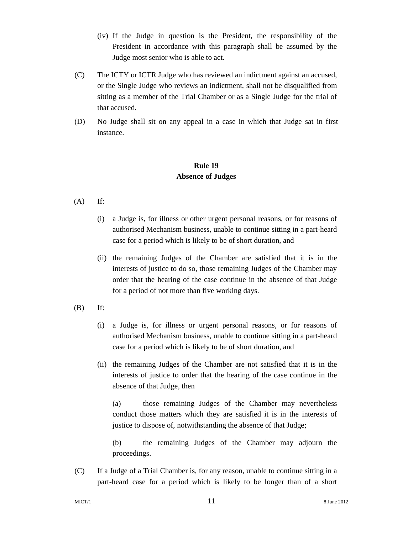- (iv) If the Judge in question is the President, the responsibility of the President in accordance with this paragraph shall be assumed by the Judge most senior who is able to act.
- (C) The ICTY or ICTR Judge who has reviewed an indictment against an accused, or the Single Judge who reviews an indictment, shall not be disqualified from sitting as a member of the Trial Chamber or as a Single Judge for the trial of that accused.
- (D) No Judge shall sit on any appeal in a case in which that Judge sat in first instance.

# **Rule 19 Absence of Judges**

- $(A)$  If:
	- (i) a Judge is, for illness or other urgent personal reasons, or for reasons of authorised Mechanism business, unable to continue sitting in a part-heard case for a period which is likely to be of short duration, and
	- (ii) the remaining Judges of the Chamber are satisfied that it is in the interests of justice to do so, those remaining Judges of the Chamber may order that the hearing of the case continue in the absence of that Judge for a period of not more than five working days.
- (B) If:
	- (i) a Judge is, for illness or urgent personal reasons, or for reasons of authorised Mechanism business, unable to continue sitting in a part-heard case for a period which is likely to be of short duration, and
	- (ii) the remaining Judges of the Chamber are not satisfied that it is in the interests of justice to order that the hearing of the case continue in the absence of that Judge, then

(a) those remaining Judges of the Chamber may nevertheless conduct those matters which they are satisfied it is in the interests of justice to dispose of, notwithstanding the absence of that Judge;

(b) the remaining Judges of the Chamber may adjourn the proceedings.

(C) If a Judge of a Trial Chamber is, for any reason, unable to continue sitting in a part-heard case for a period which is likely to be longer than of a short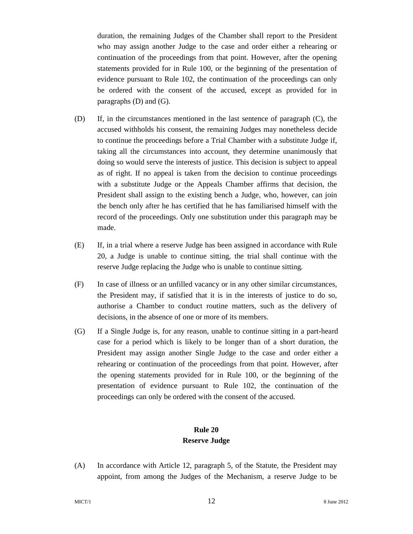duration, the remaining Judges of the Chamber shall report to the President who may assign another Judge to the case and order either a rehearing or continuation of the proceedings from that point. However, after the opening statements provided for in Rule 100, or the beginning of the presentation of evidence pursuant to Rule 102, the continuation of the proceedings can only be ordered with the consent of the accused, except as provided for in paragraphs  $(D)$  and  $(G)$ .

- (D) If, in the circumstances mentioned in the last sentence of paragraph (C), the accused withholds his consent, the remaining Judges may nonetheless decide to continue the proceedings before a Trial Chamber with a substitute Judge if, taking all the circumstances into account, they determine unanimously that doing so would serve the interests of justice. This decision is subject to appeal as of right. If no appeal is taken from the decision to continue proceedings with a substitute Judge or the Appeals Chamber affirms that decision, the President shall assign to the existing bench a Judge, who, however, can join the bench only after he has certified that he has familiarised himself with the record of the proceedings. Only one substitution under this paragraph may be made.
- (E) If, in a trial where a reserve Judge has been assigned in accordance with Rule 20, a Judge is unable to continue sitting, the trial shall continue with the reserve Judge replacing the Judge who is unable to continue sitting.
- (F) In case of illness or an unfilled vacancy or in any other similar circumstances, the President may, if satisfied that it is in the interests of justice to do so, authorise a Chamber to conduct routine matters, such as the delivery of decisions, in the absence of one or more of its members.
- (G) If a Single Judge is, for any reason, unable to continue sitting in a part-heard case for a period which is likely to be longer than of a short duration, the President may assign another Single Judge to the case and order either a rehearing or continuation of the proceedings from that point. However, after the opening statements provided for in Rule 100, or the beginning of the presentation of evidence pursuant to Rule 102, the continuation of the proceedings can only be ordered with the consent of the accused.

# **Rule 20 Reserve Judge**

(A) In accordance with Article 12, paragraph 5, of the Statute, the President may appoint, from among the Judges of the Mechanism, a reserve Judge to be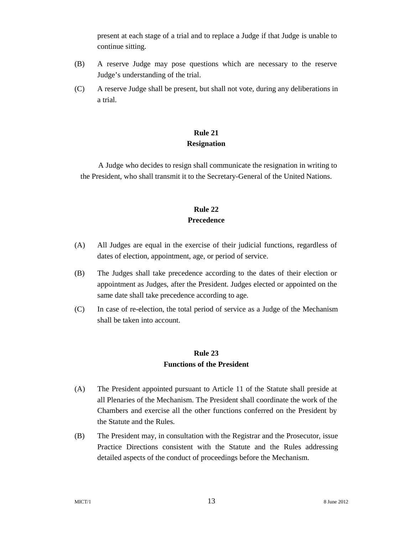present at each stage of a trial and to replace a Judge if that Judge is unable to continue sitting.

- (B) A reserve Judge may pose questions which are necessary to the reserve Judge's understanding of the trial.
- (C) A reserve Judge shall be present, but shall not vote, during any deliberations in a trial.

# **Rule 21 Resignation**

A Judge who decides to resign shall communicate the resignation in writing to the President, who shall transmit it to the Secretary-General of the United Nations.

#### **Rule 22 Precedence**

- (A) All Judges are equal in the exercise of their judicial functions, regardless of dates of election, appointment, age, or period of service.
- (B) The Judges shall take precedence according to the dates of their election or appointment as Judges, after the President. Judges elected or appointed on the same date shall take precedence according to age.
- (C) In case of re-election, the total period of service as a Judge of the Mechanism shall be taken into account.

# **Rule 23 Functions of the President**

- (A) The President appointed pursuant to Article 11 of the Statute shall preside at all Plenaries of the Mechanism. The President shall coordinate the work of the Chambers and exercise all the other functions conferred on the President by the Statute and the Rules.
- (B) The President may, in consultation with the Registrar and the Prosecutor, issue Practice Directions consistent with the Statute and the Rules addressing detailed aspects of the conduct of proceedings before the Mechanism.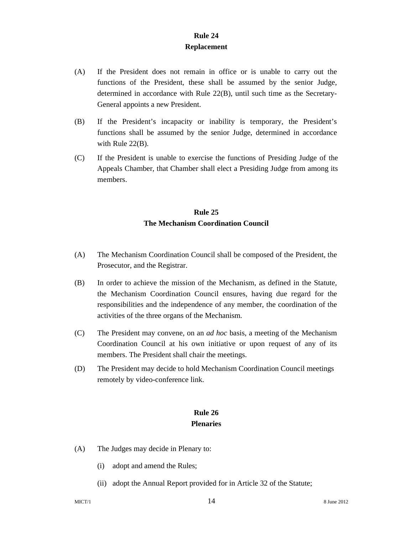#### **Rule 24 Replacement**

- (A) If the President does not remain in office or is unable to carry out the functions of the President, these shall be assumed by the senior Judge, determined in accordance with Rule 22(B), until such time as the Secretary-General appoints a new President.
- (B) If the President's incapacity or inability is temporary, the President's functions shall be assumed by the senior Judge, determined in accordance with Rule 22(B).
- (C) If the President is unable to exercise the functions of Presiding Judge of the Appeals Chamber, that Chamber shall elect a Presiding Judge from among its members.

# **Rule 25 The Mechanism Coordination Council**

- (A) The Mechanism Coordination Council shall be composed of the President, the Prosecutor, and the Registrar.
- (B) In order to achieve the mission of the Mechanism, as defined in the Statute, the Mechanism Coordination Council ensures, having due regard for the responsibilities and the independence of any member, the coordination of the activities of the three organs of the Mechanism.
- (C) The President may convene, on an *ad hoc* basis, a meeting of the Mechanism Coordination Council at his own initiative or upon request of any of its members. The President shall chair the meetings.
- (D) The President may decide to hold Mechanism Coordination Council meetings remotely by video-conference link.

#### **Rule 26 Plenaries**

- (A) The Judges may decide in Plenary to:
	- (i) adopt and amend the Rules;
	- (ii) adopt the Annual Report provided for in Article 32 of the Statute;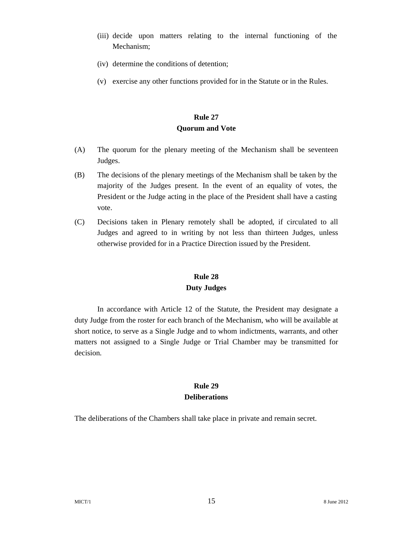- (iii) decide upon matters relating to the internal functioning of the Mechanism;
- (iv) determine the conditions of detention;
- (v) exercise any other functions provided for in the Statute or in the Rules.

# **Rule 27 Quorum and Vote**

- (A) The quorum for the plenary meeting of the Mechanism shall be seventeen Judges.
- (B) The decisions of the plenary meetings of the Mechanism shall be taken by the majority of the Judges present. In the event of an equality of votes, the President or the Judge acting in the place of the President shall have a casting vote.
- (C) Decisions taken in Plenary remotely shall be adopted, if circulated to all Judges and agreed to in writing by not less than thirteen Judges, unless otherwise provided for in a Practice Direction issued by the President.

# **Rule 28 Duty Judges**

In accordance with Article 12 of the Statute, the President may designate a duty Judge from the roster for each branch of the Mechanism, who will be available at short notice, to serve as a Single Judge and to whom indictments, warrants, and other matters not assigned to a Single Judge or Trial Chamber may be transmitted for decision.

# **Rule 29 Deliberations**

The deliberations of the Chambers shall take place in private and remain secret.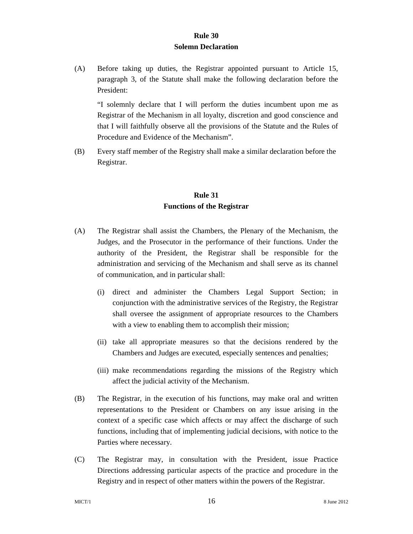#### **Rule 30 Solemn Declaration**

(A) Before taking up duties, the Registrar appointed pursuant to Article 15, paragraph 3, of the Statute shall make the following declaration before the President:

"I solemnly declare that I will perform the duties incumbent upon me as Registrar of the Mechanism in all loyalty, discretion and good conscience and that I will faithfully observe all the provisions of the Statute and the Rules of Procedure and Evidence of the Mechanism".

(B) Every staff member of the Registry shall make a similar declaration before the Registrar.

# **Rule 31 Functions of the Registrar**

- (A) The Registrar shall assist the Chambers, the Plenary of the Mechanism, the Judges, and the Prosecutor in the performance of their functions. Under the authority of the President, the Registrar shall be responsible for the administration and servicing of the Mechanism and shall serve as its channel of communication, and in particular shall:
	- (i) direct and administer the Chambers Legal Support Section; in conjunction with the administrative services of the Registry, the Registrar shall oversee the assignment of appropriate resources to the Chambers with a view to enabling them to accomplish their mission;
	- (ii) take all appropriate measures so that the decisions rendered by the Chambers and Judges are executed, especially sentences and penalties;
	- (iii) make recommendations regarding the missions of the Registry which affect the judicial activity of the Mechanism.
- (B) The Registrar, in the execution of his functions, may make oral and written representations to the President or Chambers on any issue arising in the context of a specific case which affects or may affect the discharge of such functions, including that of implementing judicial decisions, with notice to the Parties where necessary.
- (C) The Registrar may, in consultation with the President, issue Practice Directions addressing particular aspects of the practice and procedure in the Registry and in respect of other matters within the powers of the Registrar.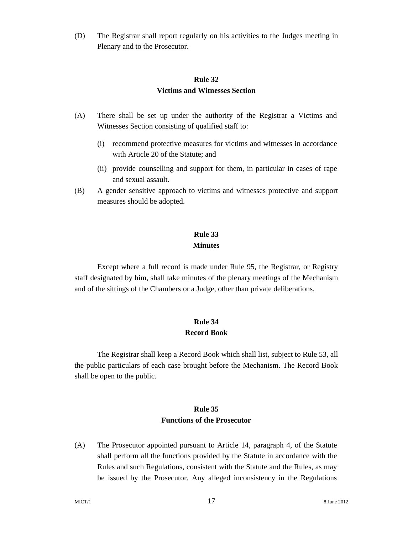(D) The Registrar shall report regularly on his activities to the Judges meeting in Plenary and to the Prosecutor.

#### **Rule 32**

#### **Victims and Witnesses Section**

- (A) There shall be set up under the authority of the Registrar a Victims and Witnesses Section consisting of qualified staff to:
	- (i) recommend protective measures for victims and witnesses in accordance with Article 20 of the Statute; and
	- (ii) provide counselling and support for them, in particular in cases of rape and sexual assault.
- (B) A gender sensitive approach to victims and witnesses protective and support measures should be adopted.

# **Rule 33 Minutes**

Except where a full record is made under Rule 95, the Registrar, or Registry staff designated by him, shall take minutes of the plenary meetings of the Mechanism and of the sittings of the Chambers or a Judge, other than private deliberations.

# **Rule 34 Record Book**

The Registrar shall keep a Record Book which shall list, subject to Rule 53, all the public particulars of each case brought before the Mechanism. The Record Book shall be open to the public.

# **Rule 35 Functions of the Prosecutor**

(A) The Prosecutor appointed pursuant to Article 14, paragraph 4, of the Statute shall perform all the functions provided by the Statute in accordance with the Rules and such Regulations, consistent with the Statute and the Rules, as may be issued by the Prosecutor. Any alleged inconsistency in the Regulations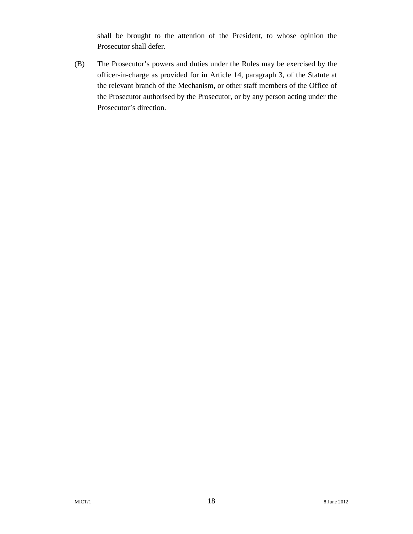shall be brought to the attention of the President, to whose opinion the Prosecutor shall defer.

(B) The Prosecutor's powers and duties under the Rules may be exercised by the officer-in-charge as provided for in Article 14, paragraph 3, of the Statute at the relevant branch of the Mechanism, or other staff members of the Office of the Prosecutor authorised by the Prosecutor, or by any person acting under the Prosecutor's direction.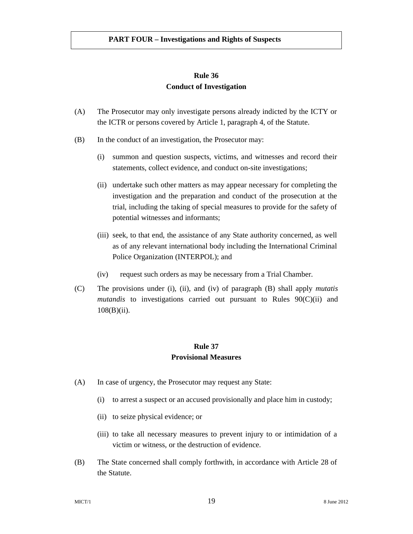# **Rule 36 Conduct of Investigation**

- (A) The Prosecutor may only investigate persons already indicted by the ICTY or the ICTR or persons covered by Article 1, paragraph 4, of the Statute.
- (B) In the conduct of an investigation, the Prosecutor may:
	- (i) summon and question suspects, victims, and witnesses and record their statements, collect evidence, and conduct on-site investigations;
	- (ii) undertake such other matters as may appear necessary for completing the investigation and the preparation and conduct of the prosecution at the trial, including the taking of special measures to provide for the safety of potential witnesses and informants;
	- (iii) seek, to that end, the assistance of any State authority concerned, as well as of any relevant international body including the International Criminal Police Organization (INTERPOL); and
	- (iv) request such orders as may be necessary from a Trial Chamber.
- (C) The provisions under (i), (ii), and (iv) of paragraph (B) shall apply *mutatis mutandis* to investigations carried out pursuant to Rules 90(C)(ii) and 108(B)(ii).

# **Rule 37 Provisional Measures**

- (A) In case of urgency, the Prosecutor may request any State:
	- (i) to arrest a suspect or an accused provisionally and place him in custody;
	- (ii) to seize physical evidence; or
	- (iii) to take all necessary measures to prevent injury to or intimidation of a victim or witness, or the destruction of evidence.
- (B) The State concerned shall comply forthwith, in accordance with Article 28 of the Statute.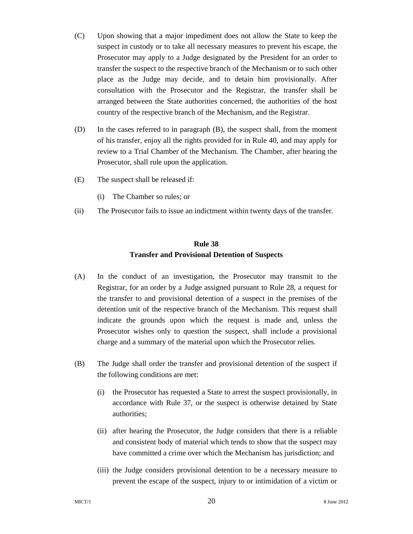- (C) Upon showing that a major impediment does not allow the State to keep the suspect in custody or to take all necessary measures to prevent his escape, the Prosecutor may apply to a Judge designated by the President for an order to transfer the suspect to the respective branch of the Mechanism or to such other place as the Judge may decide, and to detain him provisionally. After consultation with the Prosecutor and the Registrar, the transfer shall be arranged between the State authorities concerned, the authorities of the host country of the respective branch of the Mechanism, and the Registrar.
- (D) In the cases referred to in paragraph (B), the suspect shall, from the moment of his transfer, enjoy all the rights provided for in Rule 40, and may apply for review to a Trial Chamber of the Mechanism. The Chamber, after hearing the Prosecutor, shall rule upon the application.
- (E) The suspect shall be released if:
	- (i) The Chamber so rules; or
- (ii) The Prosecutor fails to issue an indictment within twenty days of the transfer.

# **Rule 38 Transfer and Provisional Detention of Suspects**

- (A) In the conduct of an investigation, the Prosecutor may transmit to the Registrar, for an order by a Judge assigned pursuant to Rule 28, a request for the transfer to and provisional detention of a suspect in the premises of the detention unit of the respective branch of the Mechanism. This request shall indicate the grounds upon which the request is made and, unless the Prosecutor wishes only to question the suspect, shall include a provisional charge and a summary of the material upon which the Prosecutor relies.
- (B) The Judge shall order the transfer and provisional detention of the suspect if the following conditions are met:
	- (i) the Prosecutor has requested a State to arrest the suspect provisionally, in accordance with Rule 37, or the suspect is otherwise detained by State authorities;
	- (ii) after hearing the Prosecutor, the Judge considers that there is a reliable and consistent body of material which tends to show that the suspect may have committed a crime over which the Mechanism has jurisdiction; and
	- (iii) the Judge considers provisional detention to be a necessary measure to prevent the escape of the suspect, injury to or intimidation of a victim or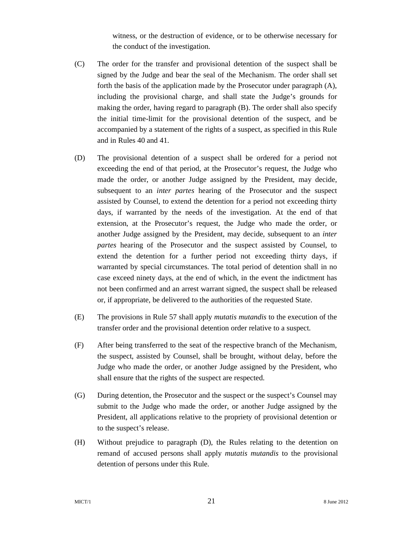witness, or the destruction of evidence, or to be otherwise necessary for the conduct of the investigation.

- (C) The order for the transfer and provisional detention of the suspect shall be signed by the Judge and bear the seal of the Mechanism. The order shall set forth the basis of the application made by the Prosecutor under paragraph (A), including the provisional charge, and shall state the Judge's grounds for making the order, having regard to paragraph (B). The order shall also specify the initial time-limit for the provisional detention of the suspect, and be accompanied by a statement of the rights of a suspect, as specified in this Rule and in Rules 40 and 41.
- (D) The provisional detention of a suspect shall be ordered for a period not exceeding the end of that period, at the Prosecutor's request, the Judge who made the order, or another Judge assigned by the President, may decide, subsequent to an *inter partes* hearing of the Prosecutor and the suspect assisted by Counsel, to extend the detention for a period not exceeding thirty days, if warranted by the needs of the investigation. At the end of that extension, at the Prosecutor's request, the Judge who made the order, or another Judge assigned by the President, may decide, subsequent to an *inter partes* hearing of the Prosecutor and the suspect assisted by Counsel, to extend the detention for a further period not exceeding thirty days, if warranted by special circumstances. The total period of detention shall in no case exceed ninety days, at the end of which, in the event the indictment has not been confirmed and an arrest warrant signed, the suspect shall be released or, if appropriate, be delivered to the authorities of the requested State.
- (E) The provisions in Rule 57 shall apply *mutatis mutandis* to the execution of the transfer order and the provisional detention order relative to a suspect.
- (F) After being transferred to the seat of the respective branch of the Mechanism, the suspect, assisted by Counsel, shall be brought, without delay, before the Judge who made the order, or another Judge assigned by the President, who shall ensure that the rights of the suspect are respected.
- (G) During detention, the Prosecutor and the suspect or the suspect's Counsel may submit to the Judge who made the order, or another Judge assigned by the President, all applications relative to the propriety of provisional detention or to the suspect's release.
- (H) Without prejudice to paragraph (D), the Rules relating to the detention on remand of accused persons shall apply *mutatis mutandis* to the provisional detention of persons under this Rule.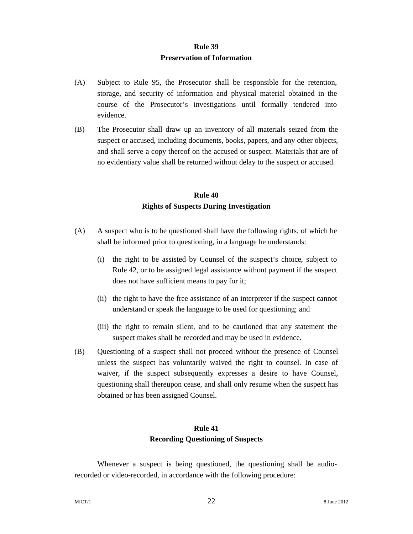# **Rule 39 Preservation of Information**

- (A) Subject to Rule 95, the Prosecutor shall be responsible for the retention, storage, and security of information and physical material obtained in the course of the Prosecutor's investigations until formally tendered into evidence.
- (B) The Prosecutor shall draw up an inventory of all materials seized from the suspect or accused, including documents, books, papers, and any other objects, and shall serve a copy thereof on the accused or suspect. Materials that are of no evidentiary value shall be returned without delay to the suspect or accused.

# **Rule 40 Rights of Suspects During Investigation**

- (A) A suspect who is to be questioned shall have the following rights, of which he shall be informed prior to questioning, in a language he understands:
	- (i) the right to be assisted by Counsel of the suspect's choice, subject to Rule 42, or to be assigned legal assistance without payment if the suspect does not have sufficient means to pay for it;
	- (ii) the right to have the free assistance of an interpreter if the suspect cannot understand or speak the language to be used for questioning; and
	- (iii) the right to remain silent, and to be cautioned that any statement the suspect makes shall be recorded and may be used in evidence.
- (B) Questioning of a suspect shall not proceed without the presence of Counsel unless the suspect has voluntarily waived the right to counsel. In case of waiver, if the suspect subsequently expresses a desire to have Counsel, questioning shall thereupon cease, and shall only resume when the suspect has obtained or has been assigned Counsel.

# **Rule 41 Recording Questioning of Suspects**

Whenever a suspect is being questioned, the questioning shall be audiorecorded or video-recorded, in accordance with the following procedure: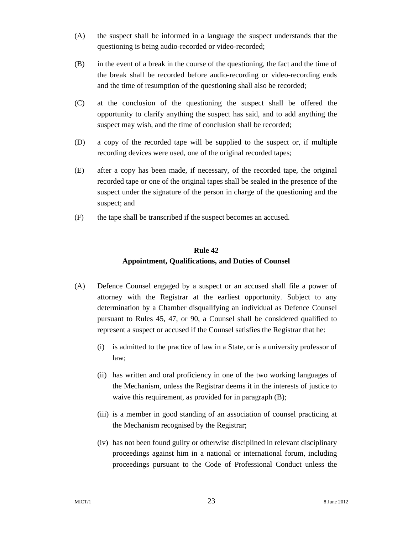- (A) the suspect shall be informed in a language the suspect understands that the questioning is being audio-recorded or video-recorded;
- (B) in the event of a break in the course of the questioning, the fact and the time of the break shall be recorded before audio-recording or video-recording ends and the time of resumption of the questioning shall also be recorded;
- (C) at the conclusion of the questioning the suspect shall be offered the opportunity to clarify anything the suspect has said, and to add anything the suspect may wish, and the time of conclusion shall be recorded;
- (D) a copy of the recorded tape will be supplied to the suspect or, if multiple recording devices were used, one of the original recorded tapes;
- (E) after a copy has been made, if necessary, of the recorded tape, the original recorded tape or one of the original tapes shall be sealed in the presence of the suspect under the signature of the person in charge of the questioning and the suspect; and
- (F) the tape shall be transcribed if the suspect becomes an accused.

# **Rule 42 Appointment, Qualifications, and Duties of Counsel**

- (A) Defence Counsel engaged by a suspect or an accused shall file a power of attorney with the Registrar at the earliest opportunity. Subject to any determination by a Chamber disqualifying an individual as Defence Counsel pursuant to Rules 45, 47, or 90, a Counsel shall be considered qualified to represent a suspect or accused if the Counsel satisfies the Registrar that he:
	- (i) is admitted to the practice of law in a State, or is a university professor of law;
	- (ii) has written and oral proficiency in one of the two working languages of the Mechanism, unless the Registrar deems it in the interests of justice to waive this requirement, as provided for in paragraph (B);
	- (iii) is a member in good standing of an association of counsel practicing at the Mechanism recognised by the Registrar;
	- (iv) has not been found guilty or otherwise disciplined in relevant disciplinary proceedings against him in a national or international forum, including proceedings pursuant to the Code of Professional Conduct unless the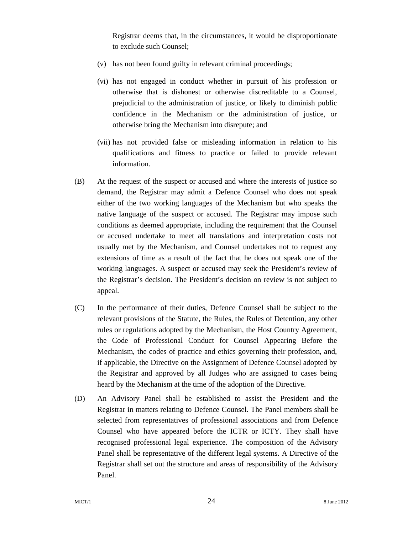Registrar deems that, in the circumstances, it would be disproportionate to exclude such Counsel;

- (v) has not been found guilty in relevant criminal proceedings;
- (vi) has not engaged in conduct whether in pursuit of his profession or otherwise that is dishonest or otherwise discreditable to a Counsel, prejudicial to the administration of justice, or likely to diminish public confidence in the Mechanism or the administration of justice, or otherwise bring the Mechanism into disrepute; and
- (vii) has not provided false or misleading information in relation to his qualifications and fitness to practice or failed to provide relevant information.
- (B) At the request of the suspect or accused and where the interests of justice so demand, the Registrar may admit a Defence Counsel who does not speak either of the two working languages of the Mechanism but who speaks the native language of the suspect or accused. The Registrar may impose such conditions as deemed appropriate, including the requirement that the Counsel or accused undertake to meet all translations and interpretation costs not usually met by the Mechanism, and Counsel undertakes not to request any extensions of time as a result of the fact that he does not speak one of the working languages. A suspect or accused may seek the President's review of the Registrar's decision. The President's decision on review is not subject to appeal.
- (C) In the performance of their duties, Defence Counsel shall be subject to the relevant provisions of the Statute, the Rules, the Rules of Detention, any other rules or regulations adopted by the Mechanism, the Host Country Agreement, the Code of Professional Conduct for Counsel Appearing Before the Mechanism, the codes of practice and ethics governing their profession, and, if applicable, the Directive on the Assignment of Defence Counsel adopted by the Registrar and approved by all Judges who are assigned to cases being heard by the Mechanism at the time of the adoption of the Directive.
- (D) An Advisory Panel shall be established to assist the President and the Registrar in matters relating to Defence Counsel. The Panel members shall be selected from representatives of professional associations and from Defence Counsel who have appeared before the ICTR or ICTY. They shall have recognised professional legal experience. The composition of the Advisory Panel shall be representative of the different legal systems. A Directive of the Registrar shall set out the structure and areas of responsibility of the Advisory Panel.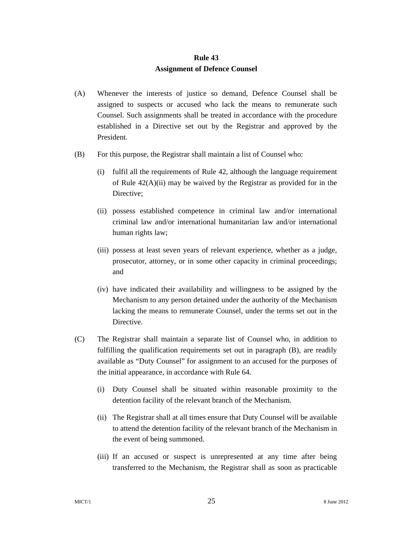# **Rule 43 Assignment of Defence Counsel**

- (A) Whenever the interests of justice so demand, Defence Counsel shall be assigned to suspects or accused who lack the means to remunerate such Counsel. Such assignments shall be treated in accordance with the procedure established in a Directive set out by the Registrar and approved by the President.
- (B) For this purpose, the Registrar shall maintain a list of Counsel who:
	- (i) fulfil all the requirements of Rule 42, although the language requirement of Rule  $42(A)(ii)$  may be waived by the Registrar as provided for in the Directive;
	- (ii) possess established competence in criminal law and/or international criminal law and/or international humanitarian law and/or international human rights law;
	- (iii) possess at least seven years of relevant experience, whether as a judge, prosecutor, attorney, or in some other capacity in criminal proceedings; and
	- (iv) have indicated their availability and willingness to be assigned by the Mechanism to any person detained under the authority of the Mechanism lacking the means to remunerate Counsel, under the terms set out in the Directive.
- (C) The Registrar shall maintain a separate list of Counsel who, in addition to fulfilling the qualification requirements set out in paragraph (B), are readily available as "Duty Counsel" for assignment to an accused for the purposes of the initial appearance, in accordance with Rule 64.
	- (i) Duty Counsel shall be situated within reasonable proximity to the detention facility of the relevant branch of the Mechanism.
	- (ii) The Registrar shall at all times ensure that Duty Counsel will be available to attend the detention facility of the relevant branch of the Mechanism in the event of being summoned.
	- (iii) If an accused or suspect is unrepresented at any time after being transferred to the Mechanism, the Registrar shall as soon as practicable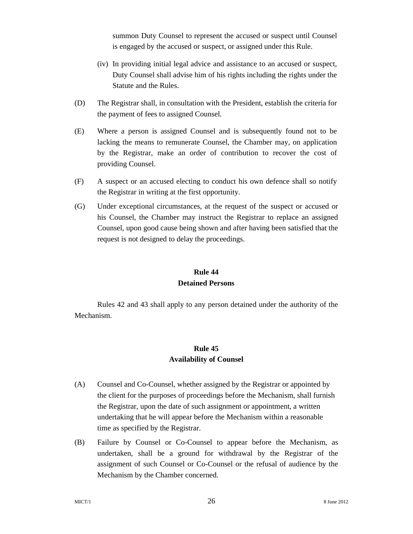summon Duty Counsel to represent the accused or suspect until Counsel is engaged by the accused or suspect, or assigned under this Rule.

- (iv) In providing initial legal advice and assistance to an accused or suspect, Duty Counsel shall advise him of his rights including the rights under the Statute and the Rules.
- (D) The Registrar shall, in consultation with the President, establish the criteria for the payment of fees to assigned Counsel.
- (E) Where a person is assigned Counsel and is subsequently found not to be lacking the means to remunerate Counsel, the Chamber may, on application by the Registrar, make an order of contribution to recover the cost of providing Counsel.
- (F) A suspect or an accused electing to conduct his own defence shall so notify the Registrar in writing at the first opportunity.
- (G) Under exceptional circumstances, at the request of the suspect or accused or his Counsel, the Chamber may instruct the Registrar to replace an assigned Counsel, upon good cause being shown and after having been satisfied that the request is not designed to delay the proceedings.

#### **Rule 44**

#### **Detained Persons**

Rules 42 and 43 shall apply to any person detained under the authority of the Mechanism.

# **Rule 45 Availability of Counsel**

- (A) Counsel and Co-Counsel, whether assigned by the Registrar or appointed by the client for the purposes of proceedings before the Mechanism, shall furnish the Registrar, upon the date of such assignment or appointment, a written undertaking that he will appear before the Mechanism within a reasonable time as specified by the Registrar.
- (B) Failure by Counsel or Co-Counsel to appear before the Mechanism, as undertaken, shall be a ground for withdrawal by the Registrar of the assignment of such Counsel or Co-Counsel or the refusal of audience by the Mechanism by the Chamber concerned.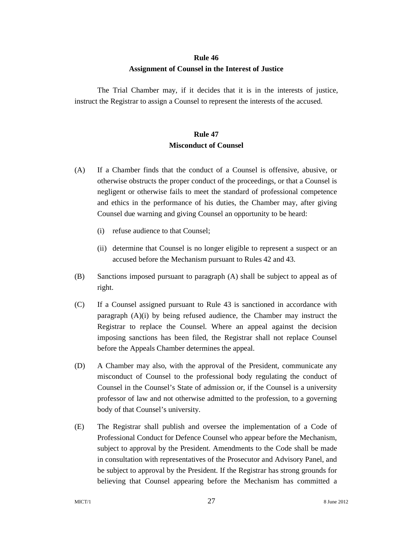# **Rule 46 Assignment of Counsel in the Interest of Justice**

The Trial Chamber may, if it decides that it is in the interests of justice, instruct the Registrar to assign a Counsel to represent the interests of the accused.

# **Rule 47 Misconduct of Counsel**

- (A) If a Chamber finds that the conduct of a Counsel is offensive, abusive, or otherwise obstructs the proper conduct of the proceedings, or that a Counsel is negligent or otherwise fails to meet the standard of professional competence and ethics in the performance of his duties, the Chamber may, after giving Counsel due warning and giving Counsel an opportunity to be heard:
	- (i) refuse audience to that Counsel;
	- (ii) determine that Counsel is no longer eligible to represent a suspect or an accused before the Mechanism pursuant to Rules 42 and 43.
- (B) Sanctions imposed pursuant to paragraph (A) shall be subject to appeal as of right.
- (C) If a Counsel assigned pursuant to Rule 43 is sanctioned in accordance with paragraph  $(A)(i)$  by being refused audience, the Chamber may instruct the Registrar to replace the Counsel. Where an appeal against the decision imposing sanctions has been filed, the Registrar shall not replace Counsel before the Appeals Chamber determines the appeal.
- (D) A Chamber may also, with the approval of the President, communicate any misconduct of Counsel to the professional body regulating the conduct of Counsel in the Counsel's State of admission or, if the Counsel is a university professor of law and not otherwise admitted to the profession, to a governing body of that Counsel's university.
- (E) The Registrar shall publish and oversee the implementation of a Code of Professional Conduct for Defence Counsel who appear before the Mechanism, subject to approval by the President. Amendments to the Code shall be made in consultation with representatives of the Prosecutor and Advisory Panel, and be subject to approval by the President. If the Registrar has strong grounds for believing that Counsel appearing before the Mechanism has committed a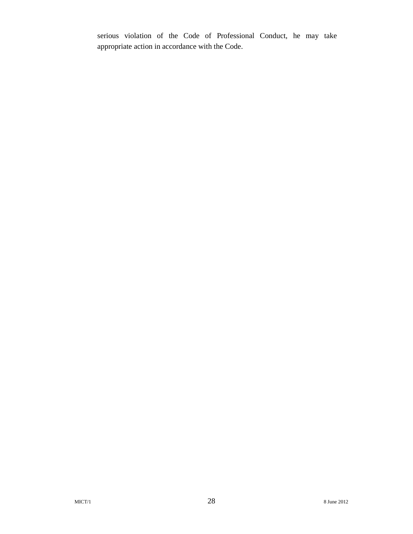serious violation of the Code of Professional Conduct, he may take appropriate action in accordance with the Code.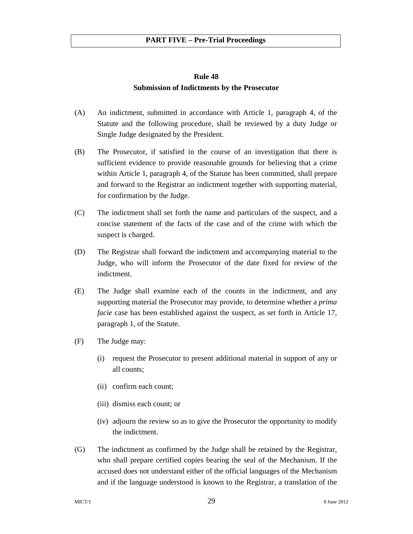# **Rule 48 Submission of Indictments by the Prosecutor**

- (A) An indictment, submitted in accordance with Article 1, paragraph 4, of the Statute and the following procedure, shall be reviewed by a duty Judge or Single Judge designated by the President.
- (B) The Prosecutor, if satisfied in the course of an investigation that there is sufficient evidence to provide reasonable grounds for believing that a crime within Article 1, paragraph 4, of the Statute has been committed, shall prepare and forward to the Registrar an indictment together with supporting material, for confirmation by the Judge.
- (C) The indictment shall set forth the name and particulars of the suspect, and a concise statement of the facts of the case and of the crime with which the suspect is charged.
- (D) The Registrar shall forward the indictment and accompanying material to the Judge, who will inform the Prosecutor of the date fixed for review of the indictment.
- (E) The Judge shall examine each of the counts in the indictment, and any supporting material the Prosecutor may provide, to determine whether a *prima facie* case has been established against the suspect, as set forth in Article 17, paragraph 1, of the Statute.
- (F) The Judge may:
	- (i) request the Prosecutor to present additional material in support of any or all counts;
	- (ii) confirm each count;
	- (iii) dismiss each count; or
	- (iv) adjourn the review so as to give the Prosecutor the opportunity to modify the indictment.
- (G) The indictment as confirmed by the Judge shall be retained by the Registrar, who shall prepare certified copies bearing the seal of the Mechanism. If the accused does not understand either of the official languages of the Mechanism and if the language understood is known to the Registrar, a translation of the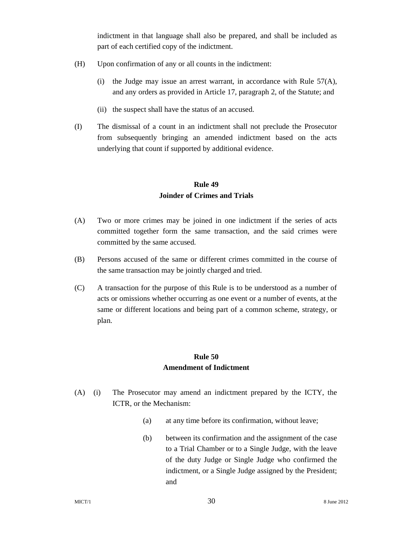indictment in that language shall also be prepared, and shall be included as part of each certified copy of the indictment.

- (H) Upon confirmation of any or all counts in the indictment:
	- (i) the Judge may issue an arrest warrant, in accordance with Rule 57(A), and any orders as provided in Article 17, paragraph 2, of the Statute; and
	- (ii) the suspect shall have the status of an accused.
- (I) The dismissal of a count in an indictment shall not preclude the Prosecutor from subsequently bringing an amended indictment based on the acts underlying that count if supported by additional evidence.

## **Rule 49 Joinder of Crimes and Trials**

- (A) Two or more crimes may be joined in one indictment if the series of acts committed together form the same transaction, and the said crimes were committed by the same accused.
- (B) Persons accused of the same or different crimes committed in the course of the same transaction may be jointly charged and tried.
- (C) A transaction for the purpose of this Rule is to be understood as a number of acts or omissions whether occurring as one event or a number of events, at the same or different locations and being part of a common scheme, strategy, or plan.

## **Rule 50 Amendment of Indictment**

- (A) (i) The Prosecutor may amend an indictment prepared by the ICTY, the ICTR, or the Mechanism:
	- (a) at any time before its confirmation, without leave;
	- (b) between its confirmation and the assignment of the case to a Trial Chamber or to a Single Judge, with the leave of the duty Judge or Single Judge who confirmed the indictment, or a Single Judge assigned by the President; and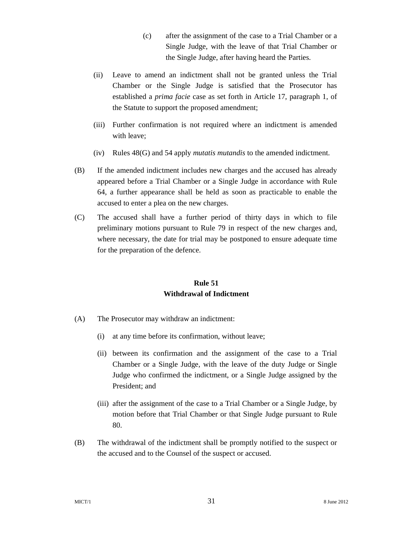- (c) after the assignment of the case to a Trial Chamber or a Single Judge, with the leave of that Trial Chamber or the Single Judge, after having heard the Parties.
- (ii) Leave to amend an indictment shall not be granted unless the Trial Chamber or the Single Judge is satisfied that the Prosecutor has established a *prima facie* case as set forth in Article 17, paragraph 1, of the Statute to support the proposed amendment;
- (iii) Further confirmation is not required where an indictment is amended with leave;
- (iv) Rules 48(G) and 54 apply *mutatis mutandis* to the amended indictment.
- (B) If the amended indictment includes new charges and the accused has already appeared before a Trial Chamber or a Single Judge in accordance with Rule 64, a further appearance shall be held as soon as practicable to enable the accused to enter a plea on the new charges.
- (C) The accused shall have a further period of thirty days in which to file preliminary motions pursuant to Rule 79 in respect of the new charges and, where necessary, the date for trial may be postponed to ensure adequate time for the preparation of the defence.

#### **Rule 51 Withdrawal of Indictment**

- (A) The Prosecutor may withdraw an indictment:
	- (i) at any time before its confirmation, without leave;
	- (ii) between its confirmation and the assignment of the case to a Trial Chamber or a Single Judge, with the leave of the duty Judge or Single Judge who confirmed the indictment, or a Single Judge assigned by the President; and
	- (iii) after the assignment of the case to a Trial Chamber or a Single Judge, by motion before that Trial Chamber or that Single Judge pursuant to Rule 80.
- (B) The withdrawal of the indictment shall be promptly notified to the suspect or the accused and to the Counsel of the suspect or accused.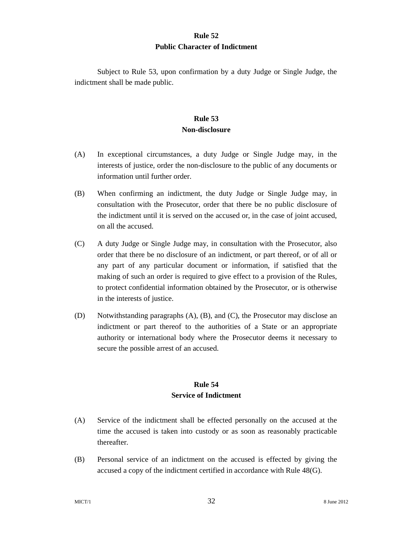#### **Rule 52 Public Character of Indictment**

Subject to Rule 53, upon confirmation by a duty Judge or Single Judge, the indictment shall be made public.

### **Rule 53 Non-disclosure**

- (A) In exceptional circumstances, a duty Judge or Single Judge may, in the interests of justice, order the non-disclosure to the public of any documents or information until further order.
- (B) When confirming an indictment, the duty Judge or Single Judge may, in consultation with the Prosecutor, order that there be no public disclosure of the indictment until it is served on the accused or, in the case of joint accused, on all the accused.
- (C) A duty Judge or Single Judge may, in consultation with the Prosecutor, also order that there be no disclosure of an indictment, or part thereof, or of all or any part of any particular document or information, if satisfied that the making of such an order is required to give effect to a provision of the Rules, to protect confidential information obtained by the Prosecutor, or is otherwise in the interests of justice.
- (D) Notwithstanding paragraphs (A), (B), and (C), the Prosecutor may disclose an indictment or part thereof to the authorities of a State or an appropriate authority or international body where the Prosecutor deems it necessary to secure the possible arrest of an accused.

## **Rule 54 Service of Indictment**

- (A) Service of the indictment shall be effected personally on the accused at the time the accused is taken into custody or as soon as reasonably practicable thereafter.
- (B) Personal service of an indictment on the accused is effected by giving the accused a copy of the indictment certified in accordance with Rule 48(G).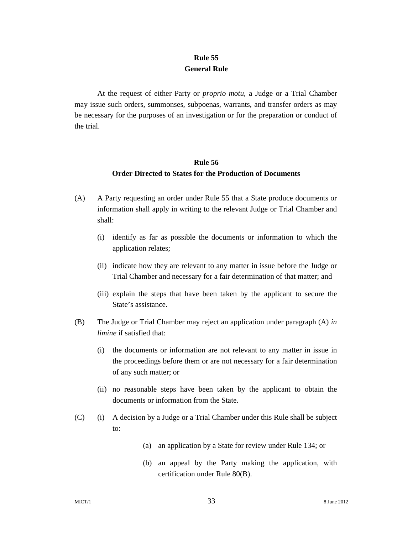# **Rule 55 General Rule**

At the request of either Party or *proprio motu*, a Judge or a Trial Chamber may issue such orders, summonses, subpoenas, warrants, and transfer orders as may be necessary for the purposes of an investigation or for the preparation or conduct of the trial.

#### **Rule 56**

#### **Order Directed to States for the Production of Documents**

- (A) A Party requesting an order under Rule 55 that a State produce documents or information shall apply in writing to the relevant Judge or Trial Chamber and shall:
	- (i) identify as far as possible the documents or information to which the application relates;
	- (ii) indicate how they are relevant to any matter in issue before the Judge or Trial Chamber and necessary for a fair determination of that matter; and
	- (iii) explain the steps that have been taken by the applicant to secure the State's assistance.
- (B) The Judge or Trial Chamber may reject an application under paragraph (A) *in limine* if satisfied that:
	- (i) the documents or information are not relevant to any matter in issue in the proceedings before them or are not necessary for a fair determination of any such matter; or
	- (ii) no reasonable steps have been taken by the applicant to obtain the documents or information from the State.
- (C) (i) A decision by a Judge or a Trial Chamber under this Rule shall be subject to:
	- (a) an application by a State for review under Rule 134; or
	- (b) an appeal by the Party making the application, with certification under Rule 80(B).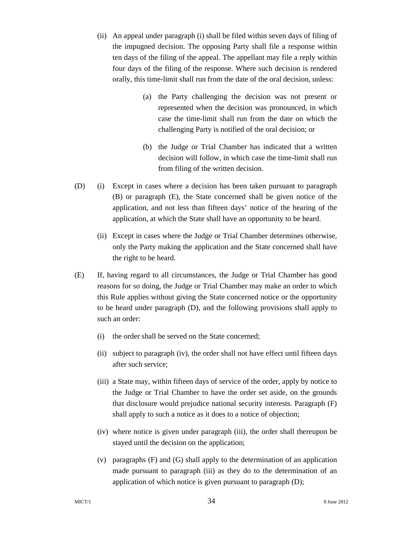- (ii) An appeal under paragraph (i) shall be filed within seven days of filing of the impugned decision. The opposing Party shall file a response within ten days of the filing of the appeal. The appellant may file a reply within four days of the filing of the response. Where such decision is rendered orally, this time-limit shall run from the date of the oral decision, unless:
	- (a) the Party challenging the decision was not present or represented when the decision was pronounced, in which case the time-limit shall run from the date on which the challenging Party is notified of the oral decision; or
	- (b) the Judge or Trial Chamber has indicated that a written decision will follow, in which case the time-limit shall run from filing of the written decision.
- (D) (i) Except in cases where a decision has been taken pursuant to paragraph (B) or paragraph (E), the State concerned shall be given notice of the application, and not less than fifteen days' notice of the hearing of the application, at which the State shall have an opportunity to be heard.
	- (ii) Except in cases where the Judge or Trial Chamber determines otherwise, only the Party making the application and the State concerned shall have the right to be heard.
- (E) If, having regard to all circumstances, the Judge or Trial Chamber has good reasons for so doing, the Judge or Trial Chamber may make an order to which this Rule applies without giving the State concerned notice or the opportunity to be heard under paragraph (D), and the following provisions shall apply to such an order:
	- (i) the order shall be served on the State concerned;
	- (ii) subject to paragraph (iv), the order shall not have effect until fifteen days after such service;
	- (iii) a State may, within fifteen days of service of the order, apply by notice to the Judge or Trial Chamber to have the order set aside, on the grounds that disclosure would prejudice national security interests. Paragraph (F) shall apply to such a notice as it does to a notice of objection;
	- (iv) where notice is given under paragraph (iii), the order shall thereupon be stayed until the decision on the application;
	- (v) paragraphs (F) and (G) shall apply to the determination of an application made pursuant to paragraph (iii) as they do to the determination of an application of which notice is given pursuant to paragraph (D);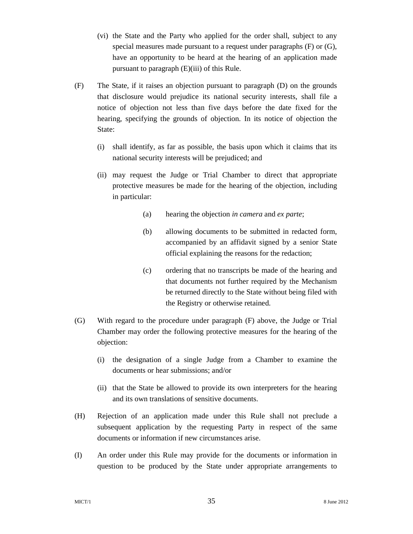- (vi) the State and the Party who applied for the order shall, subject to any special measures made pursuant to a request under paragraphs (F) or (G), have an opportunity to be heard at the hearing of an application made pursuant to paragraph (E)(iii) of this Rule.
- (F) The State, if it raises an objection pursuant to paragraph (D) on the grounds that disclosure would prejudice its national security interests, shall file a notice of objection not less than five days before the date fixed for the hearing, specifying the grounds of objection. In its notice of objection the State:
	- (i) shall identify, as far as possible, the basis upon which it claims that its national security interests will be prejudiced; and
	- (ii) may request the Judge or Trial Chamber to direct that appropriate protective measures be made for the hearing of the objection, including in particular:
		- (a) hearing the objection *in camera* and *ex parte*;
		- (b) allowing documents to be submitted in redacted form, accompanied by an affidavit signed by a senior State official explaining the reasons for the redaction;
		- (c) ordering that no transcripts be made of the hearing and that documents not further required by the Mechanism be returned directly to the State without being filed with the Registry or otherwise retained.
- (G) With regard to the procedure under paragraph (F) above, the Judge or Trial Chamber may order the following protective measures for the hearing of the objection:
	- (i) the designation of a single Judge from a Chamber to examine the documents or hear submissions; and/or
	- (ii) that the State be allowed to provide its own interpreters for the hearing and its own translations of sensitive documents.
- (H) Rejection of an application made under this Rule shall not preclude a subsequent application by the requesting Party in respect of the same documents or information if new circumstances arise.
- (I) An order under this Rule may provide for the documents or information in question to be produced by the State under appropriate arrangements to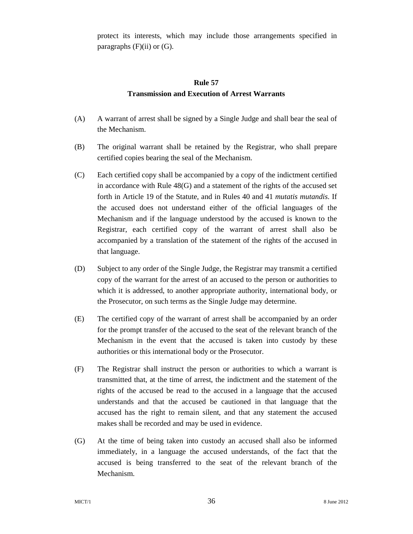protect its interests, which may include those arrangements specified in paragraphs  $(F)(ii)$  or  $(G)$ .

#### **Rule 57**

#### **Transmission and Execution of Arrest Warrants**

- (A) A warrant of arrest shall be signed by a Single Judge and shall bear the seal of the Mechanism.
- (B) The original warrant shall be retained by the Registrar, who shall prepare certified copies bearing the seal of the Mechanism.
- (C) Each certified copy shall be accompanied by a copy of the indictment certified in accordance with Rule 48(G) and a statement of the rights of the accused set forth in Article 19 of the Statute, and in Rules 40 and 41 *mutatis mutandis*. If the accused does not understand either of the official languages of the Mechanism and if the language understood by the accused is known to the Registrar, each certified copy of the warrant of arrest shall also be accompanied by a translation of the statement of the rights of the accused in that language.
- (D) Subject to any order of the Single Judge, the Registrar may transmit a certified copy of the warrant for the arrest of an accused to the person or authorities to which it is addressed, to another appropriate authority, international body, or the Prosecutor, on such terms as the Single Judge may determine.
- (E) The certified copy of the warrant of arrest shall be accompanied by an order for the prompt transfer of the accused to the seat of the relevant branch of the Mechanism in the event that the accused is taken into custody by these authorities or this international body or the Prosecutor.
- (F) The Registrar shall instruct the person or authorities to which a warrant is transmitted that, at the time of arrest, the indictment and the statement of the rights of the accused be read to the accused in a language that the accused understands and that the accused be cautioned in that language that the accused has the right to remain silent, and that any statement the accused makes shall be recorded and may be used in evidence.
- (G) At the time of being taken into custody an accused shall also be informed immediately, in a language the accused understands, of the fact that the accused is being transferred to the seat of the relevant branch of the Mechanism.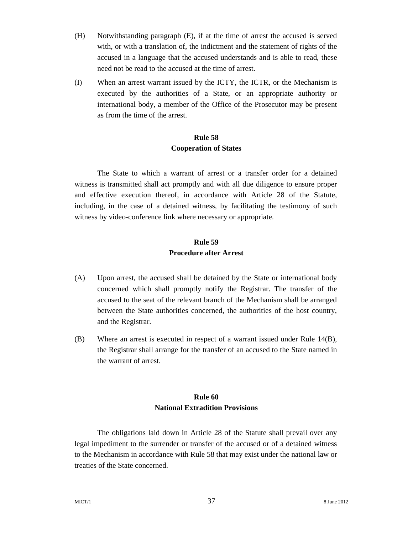- (H) Notwithstanding paragraph (E), if at the time of arrest the accused is served with, or with a translation of, the indictment and the statement of rights of the accused in a language that the accused understands and is able to read, these need not be read to the accused at the time of arrest.
- (I) When an arrest warrant issued by the ICTY, the ICTR, or the Mechanism is executed by the authorities of a State, or an appropriate authority or international body, a member of the Office of the Prosecutor may be present as from the time of the arrest.

## **Rule 58 Cooperation of States**

The State to which a warrant of arrest or a transfer order for a detained witness is transmitted shall act promptly and with all due diligence to ensure proper and effective execution thereof, in accordance with Article 28 of the Statute, including, in the case of a detained witness, by facilitating the testimony of such witness by video-conference link where necessary or appropriate.

#### **Rule 59 Procedure after Arrest**

- (A) Upon arrest, the accused shall be detained by the State or international body concerned which shall promptly notify the Registrar. The transfer of the accused to the seat of the relevant branch of the Mechanism shall be arranged between the State authorities concerned, the authorities of the host country, and the Registrar.
- (B) Where an arrest is executed in respect of a warrant issued under Rule 14(B), the Registrar shall arrange for the transfer of an accused to the State named in the warrant of arrest.

## **Rule 60 National Extradition Provisions**

The obligations laid down in Article 28 of the Statute shall prevail over any legal impediment to the surrender or transfer of the accused or of a detained witness to the Mechanism in accordance with Rule 58 that may exist under the national law or treaties of the State concerned.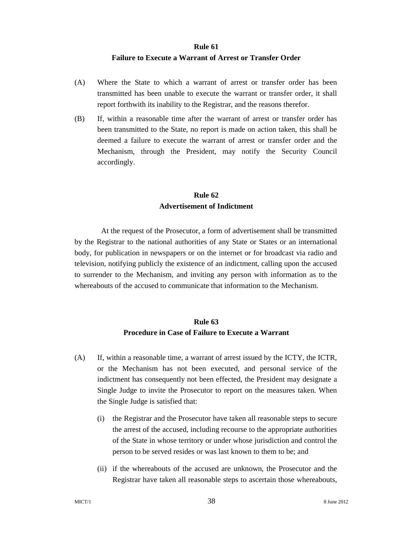#### **Rule 61**

#### **Failure to Execute a Warrant of Arrest or Transfer Order**

- (A) Where the State to which a warrant of arrest or transfer order has been transmitted has been unable to execute the warrant or transfer order, it shall report forthwith its inability to the Registrar, and the reasons therefor.
- (B) If, within a reasonable time after the warrant of arrest or transfer order has been transmitted to the State, no report is made on action taken, this shall be deemed a failure to execute the warrant of arrest or transfer order and the Mechanism, through the President, may notify the Security Council accordingly.

#### **Rule 62 Advertisement of Indictment**

At the request of the Prosecutor, a form of advertisement shall be transmitted by the Registrar to the national authorities of any State or States or an international body, for publication in newspapers or on the internet or for broadcast via radio and television, notifying publicly the existence of an indictment, calling upon the accused to surrender to the Mechanism, and inviting any person with information as to the whereabouts of the accused to communicate that information to the Mechanism.

## **Rule 63 Procedure in Case of Failure to Execute a Warrant**

- (A) If, within a reasonable time, a warrant of arrest issued by the ICTY, the ICTR, or the Mechanism has not been executed, and personal service of the indictment has consequently not been effected, the President may designate a Single Judge to invite the Prosecutor to report on the measures taken. When the Single Judge is satisfied that:
	- (i) the Registrar and the Prosecutor have taken all reasonable steps to secure the arrest of the accused, including recourse to the appropriate authorities of the State in whose territory or under whose jurisdiction and control the person to be served resides or was last known to them to be; and
	- (ii) if the whereabouts of the accused are unknown, the Prosecutor and the Registrar have taken all reasonable steps to ascertain those whereabouts,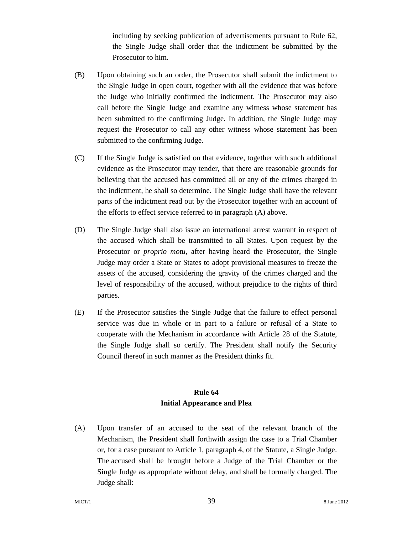including by seeking publication of advertisements pursuant to Rule 62, the Single Judge shall order that the indictment be submitted by the Prosecutor to him.

- (B) Upon obtaining such an order, the Prosecutor shall submit the indictment to the Single Judge in open court, together with all the evidence that was before the Judge who initially confirmed the indictment. The Prosecutor may also call before the Single Judge and examine any witness whose statement has been submitted to the confirming Judge. In addition, the Single Judge may request the Prosecutor to call any other witness whose statement has been submitted to the confirming Judge.
- (C) If the Single Judge is satisfied on that evidence, together with such additional evidence as the Prosecutor may tender, that there are reasonable grounds for believing that the accused has committed all or any of the crimes charged in the indictment, he shall so determine. The Single Judge shall have the relevant parts of the indictment read out by the Prosecutor together with an account of the efforts to effect service referred to in paragraph (A) above.
- (D) The Single Judge shall also issue an international arrest warrant in respect of the accused which shall be transmitted to all States. Upon request by the Prosecutor or *proprio motu*, after having heard the Prosecutor, the Single Judge may order a State or States to adopt provisional measures to freeze the assets of the accused, considering the gravity of the crimes charged and the level of responsibility of the accused, without prejudice to the rights of third parties.
- (E) If the Prosecutor satisfies the Single Judge that the failure to effect personal service was due in whole or in part to a failure or refusal of a State to cooperate with the Mechanism in accordance with Article 28 of the Statute, the Single Judge shall so certify. The President shall notify the Security Council thereof in such manner as the President thinks fit.

### **Rule 64 Initial Appearance and Plea**

(A) Upon transfer of an accused to the seat of the relevant branch of the Mechanism, the President shall forthwith assign the case to a Trial Chamber or, for a case pursuant to Article 1, paragraph 4, of the Statute, a Single Judge. The accused shall be brought before a Judge of the Trial Chamber or the Single Judge as appropriate without delay, and shall be formally charged. The Judge shall: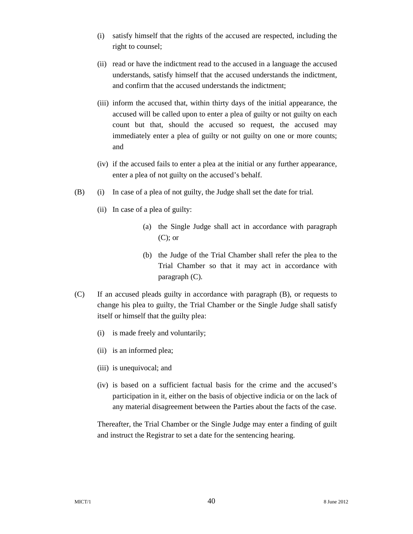- (i) satisfy himself that the rights of the accused are respected, including the right to counsel;
- (ii) read or have the indictment read to the accused in a language the accused understands, satisfy himself that the accused understands the indictment, and confirm that the accused understands the indictment;
- (iii) inform the accused that, within thirty days of the initial appearance, the accused will be called upon to enter a plea of guilty or not guilty on each count but that, should the accused so request, the accused may immediately enter a plea of guilty or not guilty on one or more counts; and
- (iv) if the accused fails to enter a plea at the initial or any further appearance, enter a plea of not guilty on the accused's behalf.
- (B) (i) In case of a plea of not guilty, the Judge shall set the date for trial.
	- (ii) In case of a plea of guilty:
		- (a) the Single Judge shall act in accordance with paragraph  $(C)$ ; or
		- (b) the Judge of the Trial Chamber shall refer the plea to the Trial Chamber so that it may act in accordance with paragraph (C).
- (C) If an accused pleads guilty in accordance with paragraph (B), or requests to change his plea to guilty, the Trial Chamber or the Single Judge shall satisfy itself or himself that the guilty plea:
	- (i) is made freely and voluntarily;
	- (ii) is an informed plea;
	- (iii) is unequivocal; and
	- (iv) is based on a sufficient factual basis for the crime and the accused's participation in it, either on the basis of objective indicia or on the lack of any material disagreement between the Parties about the facts of the case.

Thereafter, the Trial Chamber or the Single Judge may enter a finding of guilt and instruct the Registrar to set a date for the sentencing hearing.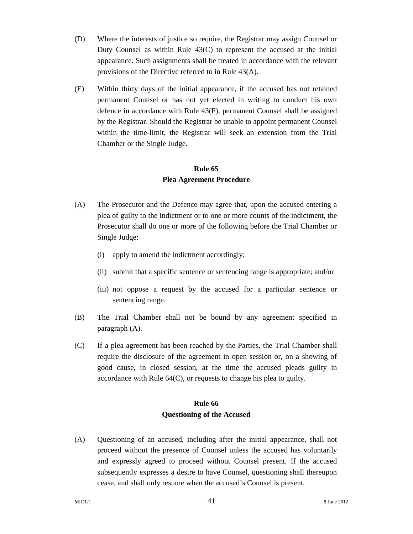- (D) Where the interests of justice so require, the Registrar may assign Counsel or Duty Counsel as within Rule  $43(C)$  to represent the accused at the initial appearance. Such assignments shall be treated in accordance with the relevant provisions of the Directive referred to in Rule 43(A).
- (E) Within thirty days of the initial appearance, if the accused has not retained permanent Counsel or has not yet elected in writing to conduct his own defence in accordance with Rule 43(F), permanent Counsel shall be assigned by the Registrar. Should the Registrar be unable to appoint permanent Counsel within the time-limit, the Registrar will seek an extension from the Trial Chamber or the Single Judge.

#### **Rule 65 Plea Agreement Procedure**

- (A) The Prosecutor and the Defence may agree that, upon the accused entering a plea of guilty to the indictment or to one or more counts of the indictment, the Prosecutor shall do one or more of the following before the Trial Chamber or Single Judge:
	- (i) apply to amend the indictment accordingly;
	- (ii) submit that a specific sentence or sentencing range is appropriate; and/or
	- (iii) not oppose a request by the accused for a particular sentence or sentencing range.
- (B) The Trial Chamber shall not be bound by any agreement specified in paragraph (A).
- (C) If a plea agreement has been reached by the Parties, the Trial Chamber shall require the disclosure of the agreement in open session or, on a showing of good cause, in closed session, at the time the accused pleads guilty in accordance with Rule 64(C), or requests to change his plea to guilty.

## **Rule 66 Questioning of the Accused**

(A) Questioning of an accused, including after the initial appearance, shall not proceed without the presence of Counsel unless the accused has voluntarily and expressly agreed to proceed without Counsel present. If the accused subsequently expresses a desire to have Counsel, questioning shall thereupon cease, and shall only resume when the accused's Counsel is present.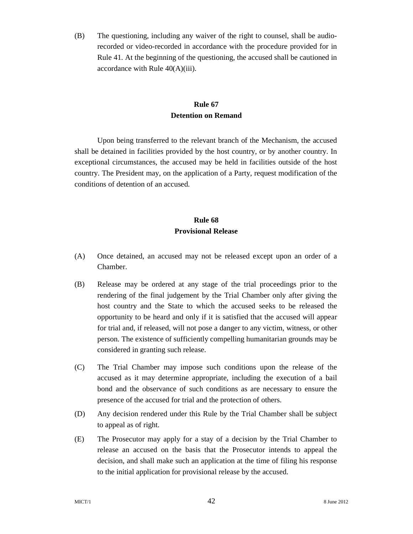(B) The questioning, including any waiver of the right to counsel, shall be audiorecorded or video-recorded in accordance with the procedure provided for in Rule 41. At the beginning of the questioning, the accused shall be cautioned in accordance with Rule 40(A)(iii).

#### **Rule 67 Detention on Remand**

Upon being transferred to the relevant branch of the Mechanism, the accused shall be detained in facilities provided by the host country, or by another country. In exceptional circumstances, the accused may be held in facilities outside of the host country. The President may, on the application of a Party, request modification of the conditions of detention of an accused.

# **Rule 68 Provisional Release**

- (A) Once detained, an accused may not be released except upon an order of a Chamber.
- (B) Release may be ordered at any stage of the trial proceedings prior to the rendering of the final judgement by the Trial Chamber only after giving the host country and the State to which the accused seeks to be released the opportunity to be heard and only if it is satisfied that the accused will appear for trial and, if released, will not pose a danger to any victim, witness, or other person. The existence of sufficiently compelling humanitarian grounds may be considered in granting such release.
- (C) The Trial Chamber may impose such conditions upon the release of the accused as it may determine appropriate, including the execution of a bail bond and the observance of such conditions as are necessary to ensure the presence of the accused for trial and the protection of others.
- (D) Any decision rendered under this Rule by the Trial Chamber shall be subject to appeal as of right.
- (E) The Prosecutor may apply for a stay of a decision by the Trial Chamber to release an accused on the basis that the Prosecutor intends to appeal the decision, and shall make such an application at the time of filing his response to the initial application for provisional release by the accused.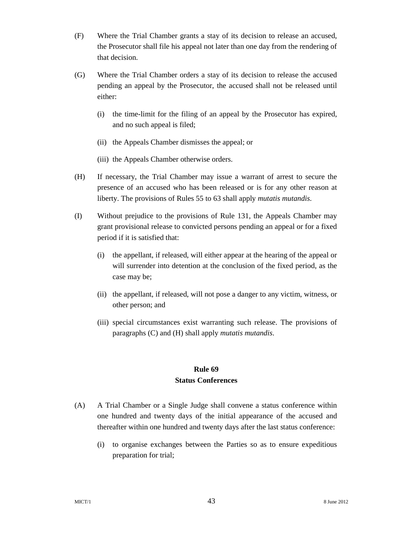- (F) Where the Trial Chamber grants a stay of its decision to release an accused, the Prosecutor shall file his appeal not later than one day from the rendering of that decision.
- (G) Where the Trial Chamber orders a stay of its decision to release the accused pending an appeal by the Prosecutor, the accused shall not be released until either:
	- (i) the time-limit for the filing of an appeal by the Prosecutor has expired, and no such appeal is filed;
	- (ii) the Appeals Chamber dismisses the appeal; or
	- (iii) the Appeals Chamber otherwise orders.
- (H) If necessary, the Trial Chamber may issue a warrant of arrest to secure the presence of an accused who has been released or is for any other reason at liberty. The provisions of Rules 55 to 63 shall apply *mutatis mutandis*.
- (I) Without prejudice to the provisions of Rule 131, the Appeals Chamber may grant provisional release to convicted persons pending an appeal or for a fixed period if it is satisfied that:
	- (i) the appellant, if released, will either appear at the hearing of the appeal or will surrender into detention at the conclusion of the fixed period, as the case may be;
	- (ii) the appellant, if released, will not pose a danger to any victim, witness, or other person; and
	- (iii) special circumstances exist warranting such release. The provisions of paragraphs (C) and (H) shall apply *mutatis mutandis*.

#### **Rule 69 Status Conferences**

- (A) A Trial Chamber or a Single Judge shall convene a status conference within one hundred and twenty days of the initial appearance of the accused and thereafter within one hundred and twenty days after the last status conference:
	- (i) to organise exchanges between the Parties so as to ensure expeditious preparation for trial;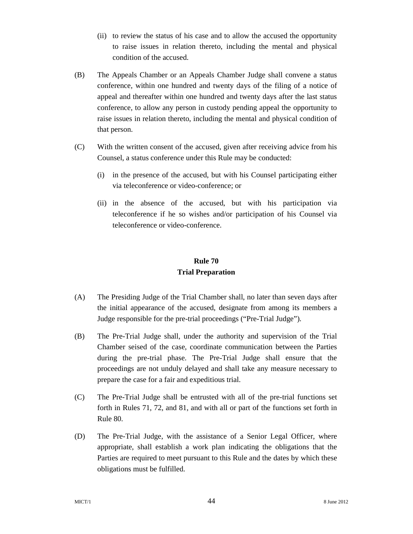- (ii) to review the status of his case and to allow the accused the opportunity to raise issues in relation thereto, including the mental and physical condition of the accused.
- (B) The Appeals Chamber or an Appeals Chamber Judge shall convene a status conference, within one hundred and twenty days of the filing of a notice of appeal and thereafter within one hundred and twenty days after the last status conference, to allow any person in custody pending appeal the opportunity to raise issues in relation thereto, including the mental and physical condition of that person.
- (C) With the written consent of the accused, given after receiving advice from his Counsel, a status conference under this Rule may be conducted:
	- (i) in the presence of the accused, but with his Counsel participating either via teleconference or video-conference; or
	- (ii) in the absence of the accused, but with his participation via teleconference if he so wishes and/or participation of his Counsel via teleconference or video-conference.

# **Rule 70 Trial Preparation**

- (A) The Presiding Judge of the Trial Chamber shall, no later than seven days after the initial appearance of the accused, designate from among its members a Judge responsible for the pre-trial proceedings ("Pre-Trial Judge").
- (B) The Pre-Trial Judge shall, under the authority and supervision of the Trial Chamber seised of the case, coordinate communication between the Parties during the pre-trial phase. The Pre-Trial Judge shall ensure that the proceedings are not unduly delayed and shall take any measure necessary to prepare the case for a fair and expeditious trial.
- (C) The Pre-Trial Judge shall be entrusted with all of the pre-trial functions set forth in Rules 71, 72, and 81, and with all or part of the functions set forth in Rule 80.
- (D) The Pre-Trial Judge, with the assistance of a Senior Legal Officer, where appropriate, shall establish a work plan indicating the obligations that the Parties are required to meet pursuant to this Rule and the dates by which these obligations must be fulfilled.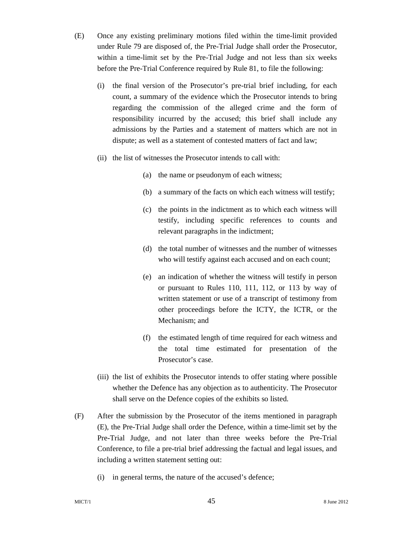- (E) Once any existing preliminary motions filed within the time-limit provided under Rule 79 are disposed of, the Pre-Trial Judge shall order the Prosecutor, within a time-limit set by the Pre-Trial Judge and not less than six weeks before the Pre-Trial Conference required by Rule 81, to file the following:
	- (i) the final version of the Prosecutor's pre-trial brief including, for each count, a summary of the evidence which the Prosecutor intends to bring regarding the commission of the alleged crime and the form of responsibility incurred by the accused; this brief shall include any admissions by the Parties and a statement of matters which are not in dispute; as well as a statement of contested matters of fact and law;
	- (ii) the list of witnesses the Prosecutor intends to call with:
		- (a) the name or pseudonym of each witness;
		- (b) a summary of the facts on which each witness will testify;
		- (c) the points in the indictment as to which each witness will testify, including specific references to counts and relevant paragraphs in the indictment;
		- (d) the total number of witnesses and the number of witnesses who will testify against each accused and on each count;
		- (e) an indication of whether the witness will testify in person or pursuant to Rules 110, 111*,* 112, or 113 by way of written statement or use of a transcript of testimony from other proceedings before the ICTY, the ICTR, or the Mechanism; and
		- (f) the estimated length of time required for each witness and the total time estimated for presentation of the Prosecutor's case.
	- (iii) the list of exhibits the Prosecutor intends to offer stating where possible whether the Defence has any objection as to authenticity. The Prosecutor shall serve on the Defence copies of the exhibits so listed.
- (F) After the submission by the Prosecutor of the items mentioned in paragraph (E), the Pre-Trial Judge shall order the Defence, within a time-limit set by the Pre-Trial Judge, and not later than three weeks before the Pre-Trial Conference, to file a pre-trial brief addressing the factual and legal issues, and including a written statement setting out:
	- (i) in general terms, the nature of the accused's defence;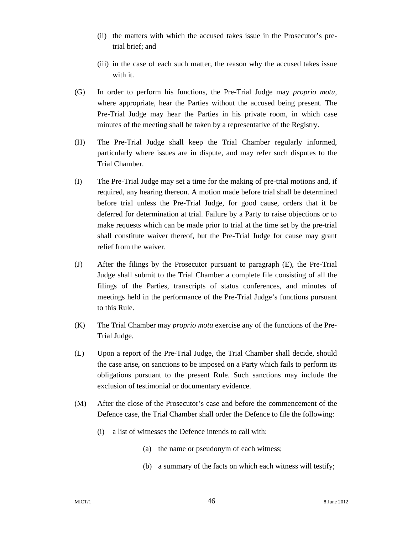- (ii) the matters with which the accused takes issue in the Prosecutor's pretrial brief; and
- (iii) in the case of each such matter, the reason why the accused takes issue with it.
- (G) In order to perform his functions, the Pre-Trial Judge may *proprio motu*, where appropriate, hear the Parties without the accused being present. The Pre-Trial Judge may hear the Parties in his private room, in which case minutes of the meeting shall be taken by a representative of the Registry.
- (H) The Pre-Trial Judge shall keep the Trial Chamber regularly informed, particularly where issues are in dispute, and may refer such disputes to the Trial Chamber.
- (I) The Pre-Trial Judge may set a time for the making of pre-trial motions and, if required, any hearing thereon. A motion made before trial shall be determined before trial unless the Pre-Trial Judge, for good cause, orders that it be deferred for determination at trial. Failure by a Party to raise objections or to make requests which can be made prior to trial at the time set by the pre-trial shall constitute waiver thereof, but the Pre-Trial Judge for cause may grant relief from the waiver.
- (J) After the filings by the Prosecutor pursuant to paragraph (E), the Pre-Trial Judge shall submit to the Trial Chamber a complete file consisting of all the filings of the Parties, transcripts of status conferences, and minutes of meetings held in the performance of the Pre-Trial Judge's functions pursuant to this Rule.
- (K) The Trial Chamber may *proprio motu* exercise any of the functions of the Pre-Trial Judge.
- (L) Upon a report of the Pre-Trial Judge, the Trial Chamber shall decide, should the case arise, on sanctions to be imposed on a Party which fails to perform its obligations pursuant to the present Rule. Such sanctions may include the exclusion of testimonial or documentary evidence.
- (M) After the close of the Prosecutor's case and before the commencement of the Defence case, the Trial Chamber shall order the Defence to file the following:
	- (i) a list of witnesses the Defence intends to call with:
		- (a) the name or pseudonym of each witness;
		- (b) a summary of the facts on which each witness will testify;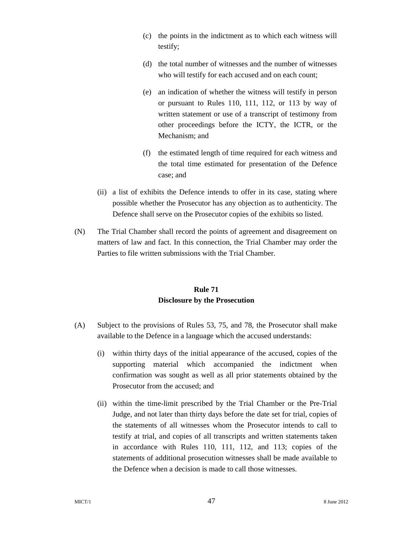- (c) the points in the indictment as to which each witness will testify;
- (d) the total number of witnesses and the number of witnesses who will testify for each accused and on each count;
- (e) an indication of whether the witness will testify in person or pursuant to Rules 110, 111, 112, or 113 by way of written statement or use of a transcript of testimony from other proceedings before the ICTY, the ICTR, or the Mechanism; and
- (f) the estimated length of time required for each witness and the total time estimated for presentation of the Defence case; and
- (ii) a list of exhibits the Defence intends to offer in its case, stating where possible whether the Prosecutor has any objection as to authenticity. The Defence shall serve on the Prosecutor copies of the exhibits so listed.
- (N) The Trial Chamber shall record the points of agreement and disagreement on matters of law and fact. In this connection, the Trial Chamber may order the Parties to file written submissions with the Trial Chamber.

# **Rule 71 Disclosure by the Prosecution**

- (A) Subject to the provisions of Rules 53, 75, and 78, the Prosecutor shall make available to the Defence in a language which the accused understands:
	- (i) within thirty days of the initial appearance of the accused, copies of the supporting material which accompanied the indictment when confirmation was sought as well as all prior statements obtained by the Prosecutor from the accused; and
	- (ii) within the time-limit prescribed by the Trial Chamber or the Pre-Trial Judge, and not later than thirty days before the date set for trial, copies of the statements of all witnesses whom the Prosecutor intends to call to testify at trial, and copies of all transcripts and written statements taken in accordance with Rules 110, 111, 112, and 113; copies of the statements of additional prosecution witnesses shall be made available to the Defence when a decision is made to call those witnesses.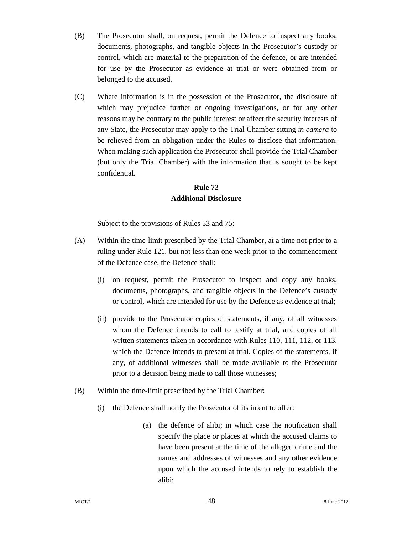- (B) The Prosecutor shall, on request, permit the Defence to inspect any books, documents, photographs, and tangible objects in the Prosecutor's custody or control, which are material to the preparation of the defence, or are intended for use by the Prosecutor as evidence at trial or were obtained from or belonged to the accused.
- (C) Where information is in the possession of the Prosecutor, the disclosure of which may prejudice further or ongoing investigations, or for any other reasons may be contrary to the public interest or affect the security interests of any State, the Prosecutor may apply to the Trial Chamber sitting *in camera* to be relieved from an obligation under the Rules to disclose that information. When making such application the Prosecutor shall provide the Trial Chamber (but only the Trial Chamber) with the information that is sought to be kept confidential.

#### **Rule 72 Additional Disclosure**

Subject to the provisions of Rules 53 and 75:

- (A) Within the time-limit prescribed by the Trial Chamber, at a time not prior to a ruling under Rule 121, but not less than one week prior to the commencement of the Defence case, the Defence shall:
	- (i) on request, permit the Prosecutor to inspect and copy any books, documents, photographs, and tangible objects in the Defence's custody or control, which are intended for use by the Defence as evidence at trial;
	- (ii) provide to the Prosecutor copies of statements, if any, of all witnesses whom the Defence intends to call to testify at trial, and copies of all written statements taken in accordance with Rules 110, 111, 112, or 113, which the Defence intends to present at trial. Copies of the statements, if any, of additional witnesses shall be made available to the Prosecutor prior to a decision being made to call those witnesses;
- (B) Within the time-limit prescribed by the Trial Chamber:
	- (i) the Defence shall notify the Prosecutor of its intent to offer:
		- (a) the defence of alibi; in which case the notification shall specify the place or places at which the accused claims to have been present at the time of the alleged crime and the names and addresses of witnesses and any other evidence upon which the accused intends to rely to establish the alibi;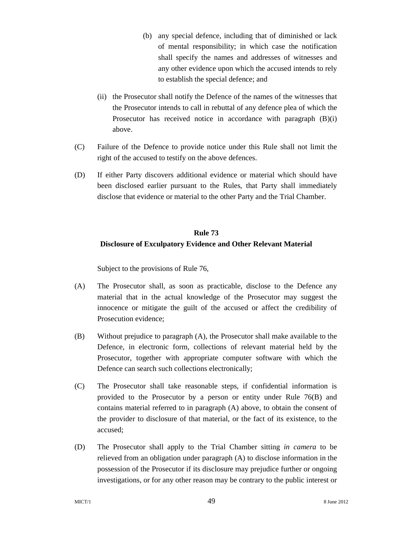- (b) any special defence, including that of diminished or lack of mental responsibility; in which case the notification shall specify the names and addresses of witnesses and any other evidence upon which the accused intends to rely to establish the special defence; and
- (ii) the Prosecutor shall notify the Defence of the names of the witnesses that the Prosecutor intends to call in rebuttal of any defence plea of which the Prosecutor has received notice in accordance with paragraph (B)(i) above.
- (C) Failure of the Defence to provide notice under this Rule shall not limit the right of the accused to testify on the above defences.
- (D) If either Party discovers additional evidence or material which should have been disclosed earlier pursuant to the Rules, that Party shall immediately disclose that evidence or material to the other Party and the Trial Chamber.

# **Rule 73 Disclosure of Exculpatory Evidence and Other Relevant Material**

Subject to the provisions of Rule 76,

- (A) The Prosecutor shall, as soon as practicable, disclose to the Defence any material that in the actual knowledge of the Prosecutor may suggest the innocence or mitigate the guilt of the accused or affect the credibility of Prosecution evidence;
- (B) Without prejudice to paragraph (A), the Prosecutor shall make available to the Defence, in electronic form, collections of relevant material held by the Prosecutor, together with appropriate computer software with which the Defence can search such collections electronically;
- (C) The Prosecutor shall take reasonable steps, if confidential information is provided to the Prosecutor by a person or entity under Rule 76(B) and contains material referred to in paragraph (A) above, to obtain the consent of the provider to disclosure of that material, or the fact of its existence, to the accused;
- (D) The Prosecutor shall apply to the Trial Chamber sitting *in camera* to be relieved from an obligation under paragraph (A) to disclose information in the possession of the Prosecutor if its disclosure may prejudice further or ongoing investigations, or for any other reason may be contrary to the public interest or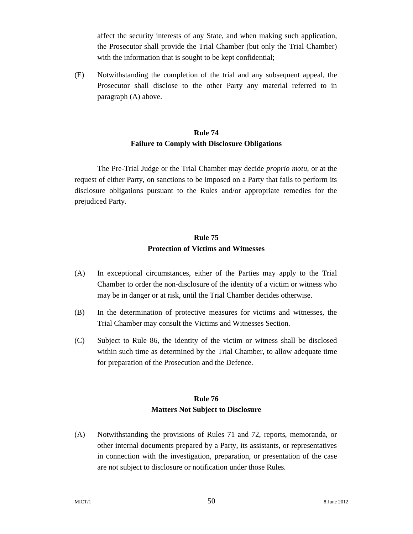affect the security interests of any State, and when making such application, the Prosecutor shall provide the Trial Chamber (but only the Trial Chamber) with the information that is sought to be kept confidential;

(E) Notwithstanding the completion of the trial and any subsequent appeal, the Prosecutor shall disclose to the other Party any material referred to in paragraph (A) above.

## **Rule 74 Failure to Comply with Disclosure Obligations**

The Pre-Trial Judge or the Trial Chamber may decide *proprio motu*, or at the request of either Party, on sanctions to be imposed on a Party that fails to perform its disclosure obligations pursuant to the Rules and/or appropriate remedies for the prejudiced Party.

### **Rule 75 Protection of Victims and Witnesses**

- (A) In exceptional circumstances, either of the Parties may apply to the Trial Chamber to order the non-disclosure of the identity of a victim or witness who may be in danger or at risk, until the Trial Chamber decides otherwise.
- (B) In the determination of protective measures for victims and witnesses, the Trial Chamber may consult the Victims and Witnesses Section.
- (C) Subject to Rule 86, the identity of the victim or witness shall be disclosed within such time as determined by the Trial Chamber, to allow adequate time for preparation of the Prosecution and the Defence.

# **Rule 76 Matters Not Subject to Disclosure**

(A) Notwithstanding the provisions of Rules 71 and 72, reports, memoranda, or other internal documents prepared by a Party, its assistants, or representatives in connection with the investigation, preparation, or presentation of the case are not subject to disclosure or notification under those Rules.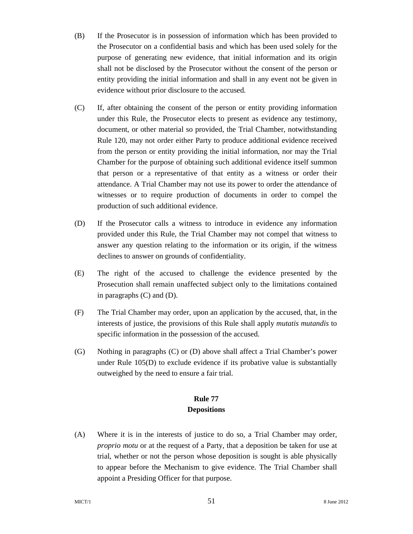- (B) If the Prosecutor is in possession of information which has been provided to the Prosecutor on a confidential basis and which has been used solely for the purpose of generating new evidence, that initial information and its origin shall not be disclosed by the Prosecutor without the consent of the person or entity providing the initial information and shall in any event not be given in evidence without prior disclosure to the accused.
- (C) If, after obtaining the consent of the person or entity providing information under this Rule, the Prosecutor elects to present as evidence any testimony, document, or other material so provided, the Trial Chamber, notwithstanding Rule 120, may not order either Party to produce additional evidence received from the person or entity providing the initial information, nor may the Trial Chamber for the purpose of obtaining such additional evidence itself summon that person or a representative of that entity as a witness or order their attendance. A Trial Chamber may not use its power to order the attendance of witnesses or to require production of documents in order to compel the production of such additional evidence.
- (D) If the Prosecutor calls a witness to introduce in evidence any information provided under this Rule, the Trial Chamber may not compel that witness to answer any question relating to the information or its origin, if the witness declines to answer on grounds of confidentiality.
- (E) The right of the accused to challenge the evidence presented by the Prosecution shall remain unaffected subject only to the limitations contained in paragraphs (C) and (D).
- (F) The Trial Chamber may order, upon an application by the accused, that, in the interests of justice, the provisions of this Rule shall apply *mutatis mutandis* to specific information in the possession of the accused.
- (G) Nothing in paragraphs (C) or (D) above shall affect a Trial Chamber's power under Rule 105(D) to exclude evidence if its probative value is substantially outweighed by the need to ensure a fair trial.

# **Rule 77**

#### **Depositions**

(A) Where it is in the interests of justice to do so, a Trial Chamber may order, *proprio motu* or at the request of a Party, that a deposition be taken for use at trial, whether or not the person whose deposition is sought is able physically to appear before the Mechanism to give evidence. The Trial Chamber shall appoint a Presiding Officer for that purpose.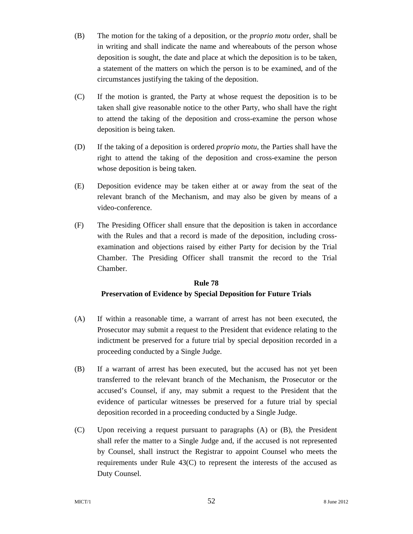- (B) The motion for the taking of a deposition, or the *proprio motu* order, shall be in writing and shall indicate the name and whereabouts of the person whose deposition is sought, the date and place at which the deposition is to be taken, a statement of the matters on which the person is to be examined, and of the circumstances justifying the taking of the deposition.
- (C) If the motion is granted, the Party at whose request the deposition is to be taken shall give reasonable notice to the other Party, who shall have the right to attend the taking of the deposition and cross-examine the person whose deposition is being taken.
- (D) If the taking of a deposition is ordered *proprio motu*, the Parties shall have the right to attend the taking of the deposition and cross-examine the person whose deposition is being taken.
- (E) Deposition evidence may be taken either at or away from the seat of the relevant branch of the Mechanism, and may also be given by means of a video-conference.
- (F) The Presiding Officer shall ensure that the deposition is taken in accordance with the Rules and that a record is made of the deposition, including crossexamination and objections raised by either Party for decision by the Trial Chamber. The Presiding Officer shall transmit the record to the Trial Chamber.

# **Rule 78 Preservation of Evidence by Special Deposition for Future Trials**

- (A) If within a reasonable time, a warrant of arrest has not been executed, the Prosecutor may submit a request to the President that evidence relating to the indictment be preserved for a future trial by special deposition recorded in a proceeding conducted by a Single Judge.
- (B) If a warrant of arrest has been executed, but the accused has not yet been transferred to the relevant branch of the Mechanism, the Prosecutor or the accused's Counsel, if any, may submit a request to the President that the evidence of particular witnesses be preserved for a future trial by special deposition recorded in a proceeding conducted by a Single Judge.
- (C) Upon receiving a request pursuant to paragraphs (A) or (B), the President shall refer the matter to a Single Judge and, if the accused is not represented by Counsel, shall instruct the Registrar to appoint Counsel who meets the requirements under Rule 43(C) to represent the interests of the accused as Duty Counsel.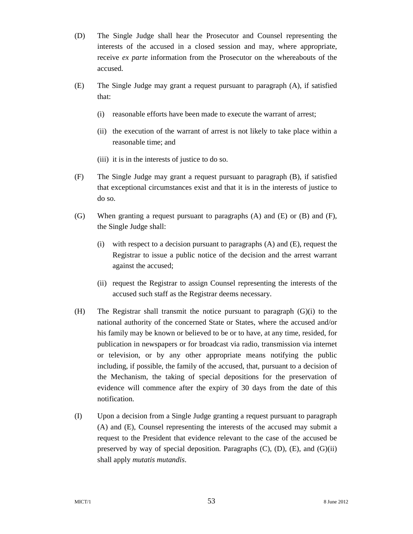- (D) The Single Judge shall hear the Prosecutor and Counsel representing the interests of the accused in a closed session and may, where appropriate, receive *ex parte* information from the Prosecutor on the whereabouts of the accused.
- (E) The Single Judge may grant a request pursuant to paragraph (A), if satisfied that:
	- (i) reasonable efforts have been made to execute the warrant of arrest;
	- (ii) the execution of the warrant of arrest is not likely to take place within a reasonable time; and
	- (iii) it is in the interests of justice to do so.
- (F) The Single Judge may grant a request pursuant to paragraph (B), if satisfied that exceptional circumstances exist and that it is in the interests of justice to do so.
- (G) When granting a request pursuant to paragraphs  $(A)$  and  $(E)$  or  $(B)$  and  $(F)$ , the Single Judge shall:
	- (i) with respect to a decision pursuant to paragraphs (A) and (E), request the Registrar to issue a public notice of the decision and the arrest warrant against the accused;
	- (ii) request the Registrar to assign Counsel representing the interests of the accused such staff as the Registrar deems necessary.
- (H) The Registrar shall transmit the notice pursuant to paragraph (G)(i) to the national authority of the concerned State or States, where the accused and/or his family may be known or believed to be or to have, at any time, resided, for publication in newspapers or for broadcast via radio, transmission via internet or television, or by any other appropriate means notifying the public including, if possible, the family of the accused, that, pursuant to a decision of the Mechanism, the taking of special depositions for the preservation of evidence will commence after the expiry of 30 days from the date of this notification.
- (I) Upon a decision from a Single Judge granting a request pursuant to paragraph (A) and (E), Counsel representing the interests of the accused may submit a request to the President that evidence relevant to the case of the accused be preserved by way of special deposition. Paragraphs (C), (D), (E), and (G)(ii) shall apply *mutatis mutandis*.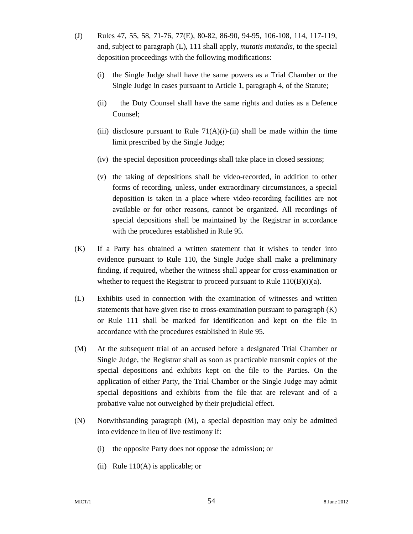- (J) Rules 47, 55, 58, 71-76, 77(E), 80-82, 86-90, 94-95, 106-108, 114, 117-119, and, subject to paragraph (L), 111 shall apply, *mutatis mutandis*, to the special deposition proceedings with the following modifications:
	- (i) the Single Judge shall have the same powers as a Trial Chamber or the Single Judge in cases pursuant to Article 1, paragraph 4, of the Statute;
	- (ii) the Duty Counsel shall have the same rights and duties as a Defence Counsel;
	- (iii) disclosure pursuant to Rule  $71(A)(i)$ -(ii) shall be made within the time limit prescribed by the Single Judge;
	- (iv) the special deposition proceedings shall take place in closed sessions;
	- (v) the taking of depositions shall be video-recorded, in addition to other forms of recording, unless, under extraordinary circumstances, a special deposition is taken in a place where video-recording facilities are not available or for other reasons, cannot be organized. All recordings of special depositions shall be maintained by the Registrar in accordance with the procedures established in Rule 95.
- (K) If a Party has obtained a written statement that it wishes to tender into evidence pursuant to Rule 110, the Single Judge shall make a preliminary finding, if required, whether the witness shall appear for cross-examination or whether to request the Registrar to proceed pursuant to Rule  $110(B)(i)(a)$ .
- (L) Exhibits used in connection with the examination of witnesses and written statements that have given rise to cross-examination pursuant to paragraph (K) or Rule 111 shall be marked for identification and kept on the file in accordance with the procedures established in Rule 95.
- (M) At the subsequent trial of an accused before a designated Trial Chamber or Single Judge, the Registrar shall as soon as practicable transmit copies of the special depositions and exhibits kept on the file to the Parties. On the application of either Party, the Trial Chamber or the Single Judge may admit special depositions and exhibits from the file that are relevant and of a probative value not outweighed by their prejudicial effect.
- (N) Notwithstanding paragraph (M), a special deposition may only be admitted into evidence in lieu of live testimony if:
	- (i) the opposite Party does not oppose the admission; or
	- (ii) Rule  $110(A)$  is applicable; or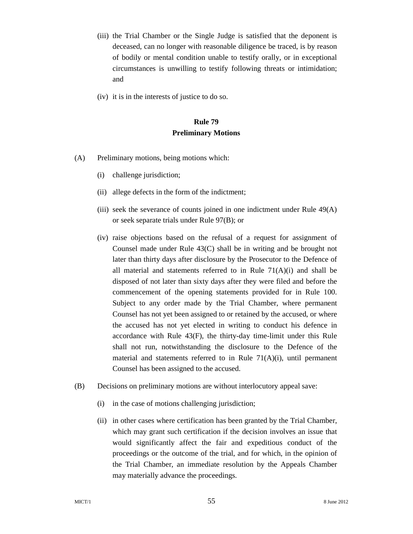- (iii) the Trial Chamber or the Single Judge is satisfied that the deponent is deceased, can no longer with reasonable diligence be traced, is by reason of bodily or mental condition unable to testify orally, or in exceptional circumstances is unwilling to testify following threats or intimidation; and
- (iv) it is in the interests of justice to do so.

# **Rule 79 Preliminary Motions**

- (A) Preliminary motions, being motions which:
	- (i) challenge jurisdiction;
	- (ii) allege defects in the form of the indictment;
	- (iii) seek the severance of counts joined in one indictment under Rule  $49(A)$ or seek separate trials under Rule 97(B); or
	- (iv) raise objections based on the refusal of a request for assignment of Counsel made under Rule 43(C) shall be in writing and be brought not later than thirty days after disclosure by the Prosecutor to the Defence of all material and statements referred to in Rule  $71(A)(i)$  and shall be disposed of not later than sixty days after they were filed and before the commencement of the opening statements provided for in Rule 100. Subject to any order made by the Trial Chamber, where permanent Counsel has not yet been assigned to or retained by the accused, or where the accused has not yet elected in writing to conduct his defence in accordance with Rule 43(F), the thirty-day time-limit under this Rule shall not run, notwithstanding the disclosure to the Defence of the material and statements referred to in Rule 71(A)(i), until permanent Counsel has been assigned to the accused.
- (B) Decisions on preliminary motions are without interlocutory appeal save:
	- (i) in the case of motions challenging jurisdiction;
	- (ii) in other cases where certification has been granted by the Trial Chamber, which may grant such certification if the decision involves an issue that would significantly affect the fair and expeditious conduct of the proceedings or the outcome of the trial, and for which, in the opinion of the Trial Chamber, an immediate resolution by the Appeals Chamber may materially advance the proceedings.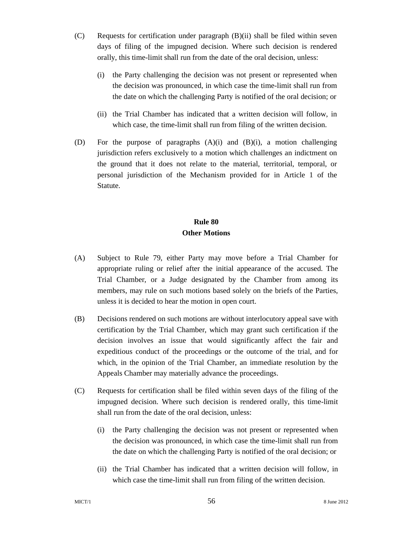- (C) Requests for certification under paragraph (B)(ii) shall be filed within seven days of filing of the impugned decision. Where such decision is rendered orally, this time-limit shall run from the date of the oral decision, unless:
	- (i) the Party challenging the decision was not present or represented when the decision was pronounced, in which case the time-limit shall run from the date on which the challenging Party is notified of the oral decision; or
	- (ii) the Trial Chamber has indicated that a written decision will follow, in which case, the time-limit shall run from filing of the written decision.
- (D) For the purpose of paragraphs (A)(i) and (B)(i), a motion challenging jurisdiction refers exclusively to a motion which challenges an indictment on the ground that it does not relate to the material, territorial, temporal, or personal jurisdiction of the Mechanism provided for in Article 1 of the Statute.

# **Rule 80 Other Motions**

- (A) Subject to Rule 79, either Party may move before a Trial Chamber for appropriate ruling or relief after the initial appearance of the accused. The Trial Chamber, or a Judge designated by the Chamber from among its members, may rule on such motions based solely on the briefs of the Parties, unless it is decided to hear the motion in open court.
- (B) Decisions rendered on such motions are without interlocutory appeal save with certification by the Trial Chamber, which may grant such certification if the decision involves an issue that would significantly affect the fair and expeditious conduct of the proceedings or the outcome of the trial, and for which, in the opinion of the Trial Chamber, an immediate resolution by the Appeals Chamber may materially advance the proceedings.
- (C) Requests for certification shall be filed within seven days of the filing of the impugned decision. Where such decision is rendered orally, this time-limit shall run from the date of the oral decision, unless:
	- (i) the Party challenging the decision was not present or represented when the decision was pronounced, in which case the time-limit shall run from the date on which the challenging Party is notified of the oral decision; or
	- (ii) the Trial Chamber has indicated that a written decision will follow, in which case the time-limit shall run from filing of the written decision.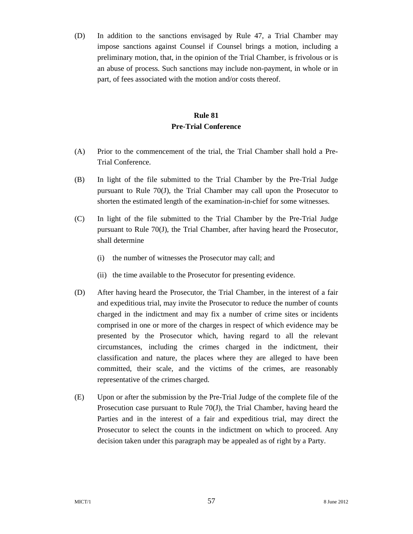(D) In addition to the sanctions envisaged by Rule 47, a Trial Chamber may impose sanctions against Counsel if Counsel brings a motion, including a preliminary motion, that, in the opinion of the Trial Chamber, is frivolous or is an abuse of process. Such sanctions may include non-payment, in whole or in part, of fees associated with the motion and/or costs thereof.

## **Rule 81 Pre-Trial Conference**

- (A) Prior to the commencement of the trial, the Trial Chamber shall hold a Pre-Trial Conference.
- (B) In light of the file submitted to the Trial Chamber by the Pre-Trial Judge pursuant to Rule 70(J), the Trial Chamber may call upon the Prosecutor to shorten the estimated length of the examination-in-chief for some witnesses.
- (C) In light of the file submitted to the Trial Chamber by the Pre-Trial Judge pursuant to Rule 70(J), the Trial Chamber, after having heard the Prosecutor, shall determine
	- (i) the number of witnesses the Prosecutor may call; and
	- (ii) the time available to the Prosecutor for presenting evidence.
- (D) After having heard the Prosecutor, the Trial Chamber, in the interest of a fair and expeditious trial, may invite the Prosecutor to reduce the number of counts charged in the indictment and may fix a number of crime sites or incidents comprised in one or more of the charges in respect of which evidence may be presented by the Prosecutor which, having regard to all the relevant circumstances, including the crimes charged in the indictment, their classification and nature, the places where they are alleged to have been committed, their scale, and the victims of the crimes, are reasonably representative of the crimes charged.
- (E) Upon or after the submission by the Pre-Trial Judge of the complete file of the Prosecution case pursuant to Rule 70(J), the Trial Chamber, having heard the Parties and in the interest of a fair and expeditious trial, may direct the Prosecutor to select the counts in the indictment on which to proceed. Any decision taken under this paragraph may be appealed as of right by a Party.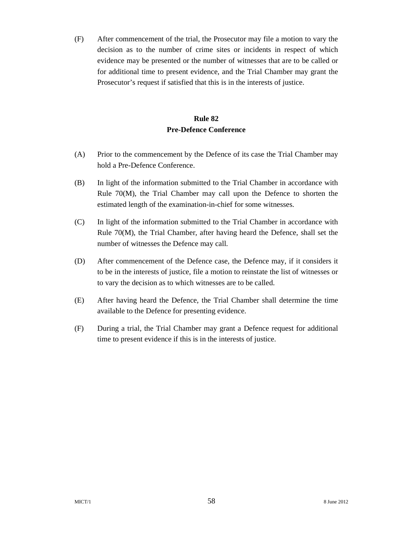(F) After commencement of the trial, the Prosecutor may file a motion to vary the decision as to the number of crime sites or incidents in respect of which evidence may be presented or the number of witnesses that are to be called or for additional time to present evidence, and the Trial Chamber may grant the Prosecutor's request if satisfied that this is in the interests of justice.

#### **Rule 82 Pre-Defence Conference**

- (A) Prior to the commencement by the Defence of its case the Trial Chamber may hold a Pre-Defence Conference.
- (B) In light of the information submitted to the Trial Chamber in accordance with Rule 70(M), the Trial Chamber may call upon the Defence to shorten the estimated length of the examination-in-chief for some witnesses.
- (C) In light of the information submitted to the Trial Chamber in accordance with Rule 70(M), the Trial Chamber, after having heard the Defence, shall set the number of witnesses the Defence may call.
- (D) After commencement of the Defence case, the Defence may, if it considers it to be in the interests of justice, file a motion to reinstate the list of witnesses or to vary the decision as to which witnesses are to be called.
- (E) After having heard the Defence, the Trial Chamber shall determine the time available to the Defence for presenting evidence.
- (F) During a trial, the Trial Chamber may grant a Defence request for additional time to present evidence if this is in the interests of justice.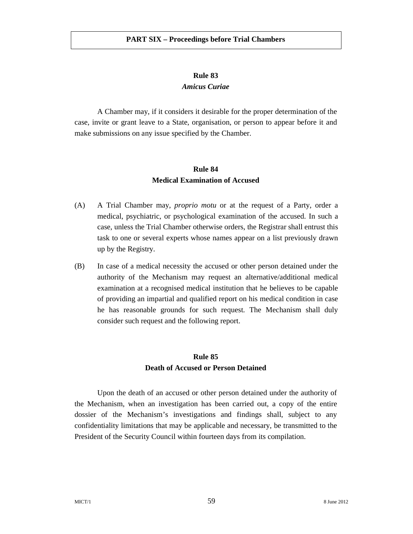#### **Rule 83**  *Amicus Curiae*

A Chamber may, if it considers it desirable for the proper determination of the case, invite or grant leave to a State, organisation, or person to appear before it and make submissions on any issue specified by the Chamber.

#### **Rule 84 Medical Examination of Accused**

- (A) A Trial Chamber may, *proprio motu* or at the request of a Party, order a medical, psychiatric, or psychological examination of the accused. In such a case, unless the Trial Chamber otherwise orders, the Registrar shall entrust this task to one or several experts whose names appear on a list previously drawn up by the Registry.
- (B) In case of a medical necessity the accused or other person detained under the authority of the Mechanism may request an alternative/additional medical examination at a recognised medical institution that he believes to be capable of providing an impartial and qualified report on his medical condition in case he has reasonable grounds for such request. The Mechanism shall duly consider such request and the following report.

# **Rule 85 Death of Accused or Person Detained**

Upon the death of an accused or other person detained under the authority of the Mechanism, when an investigation has been carried out, a copy of the entire dossier of the Mechanism's investigations and findings shall, subject to any confidentiality limitations that may be applicable and necessary, be transmitted to the President of the Security Council within fourteen days from its compilation.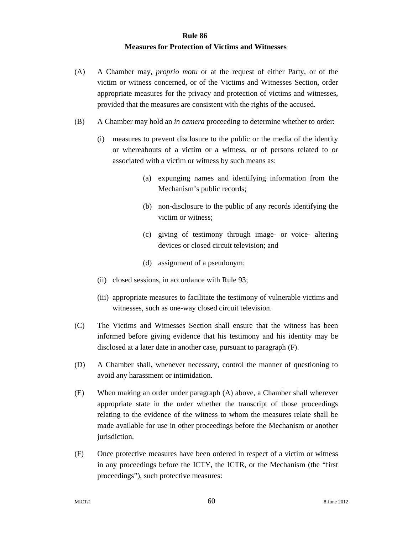#### **Rule 86 Measures for Protection of Victims and Witnesses**

- (A) A Chamber may, *proprio motu* or at the request of either Party, or of the victim or witness concerned, or of the Victims and Witnesses Section, order appropriate measures for the privacy and protection of victims and witnesses, provided that the measures are consistent with the rights of the accused.
- (B) A Chamber may hold an *in camera* proceeding to determine whether to order:
	- (i) measures to prevent disclosure to the public or the media of the identity or whereabouts of a victim or a witness, or of persons related to or associated with a victim or witness by such means as:
		- (a) expunging names and identifying information from the Mechanism's public records;
		- (b) non-disclosure to the public of any records identifying the victim or witness;
		- (c) giving of testimony through image- or voice- altering devices or closed circuit television; and
		- (d) assignment of a pseudonym;
	- (ii) closed sessions, in accordance with Rule 93;
	- (iii) appropriate measures to facilitate the testimony of vulnerable victims and witnesses, such as one-way closed circuit television.
- (C) The Victims and Witnesses Section shall ensure that the witness has been informed before giving evidence that his testimony and his identity may be disclosed at a later date in another case, pursuant to paragraph (F).
- (D) A Chamber shall, whenever necessary, control the manner of questioning to avoid any harassment or intimidation.
- (E) When making an order under paragraph (A) above, a Chamber shall wherever appropriate state in the order whether the transcript of those proceedings relating to the evidence of the witness to whom the measures relate shall be made available for use in other proceedings before the Mechanism or another jurisdiction.
- (F) Once protective measures have been ordered in respect of a victim or witness in any proceedings before the ICTY, the ICTR, or the Mechanism (the "first proceedings"), such protective measures: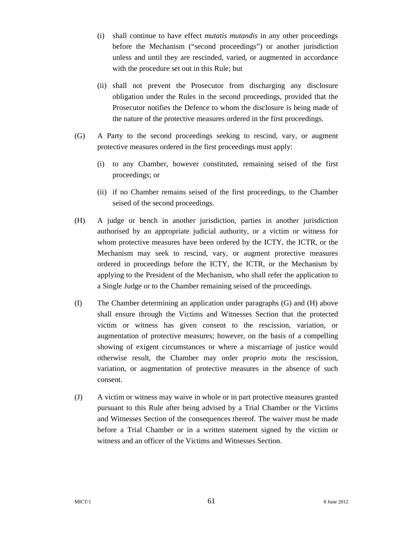- (i) shall continue to have effect *mutatis mutandis* in any other proceedings before the Mechanism ("second proceedings") or another jurisdiction unless and until they are rescinded, varied, or augmented in accordance with the procedure set out in this Rule; but
- (ii) shall not prevent the Prosecutor from discharging any disclosure obligation under the Rules in the second proceedings, provided that the Prosecutor notifies the Defence to whom the disclosure is being made of the nature of the protective measures ordered in the first proceedings.
- (G) A Party to the second proceedings seeking to rescind, vary, or augment protective measures ordered in the first proceedings must apply:
	- (i) to any Chamber, however constituted, remaining seised of the first proceedings; or
	- (ii) if no Chamber remains seised of the first proceedings, to the Chamber seised of the second proceedings.
- (H) A judge or bench in another jurisdiction, parties in another jurisdiction authorised by an appropriate judicial authority, or a victim or witness for whom protective measures have been ordered by the ICTY, the ICTR, or the Mechanism may seek to rescind, vary, or augment protective measures ordered in proceedings before the ICTY, the ICTR, or the Mechanism by applying to the President of the Mechanism, who shall refer the application to a Single Judge or to the Chamber remaining seised of the proceedings.
- (I) The Chamber determining an application under paragraphs (G) and (H) above shall ensure through the Victims and Witnesses Section that the protected victim or witness has given consent to the rescission, variation, or augmentation of protective measures; however, on the basis of a compelling showing of exigent circumstances or where a miscarriage of justice would otherwise result, the Chamber may order *proprio motu* the rescission, variation, or augmentation of protective measures in the absence of such consent.
- (J) A victim or witness may waive in whole or in part protective measures granted pursuant to this Rule after being advised by a Trial Chamber or the Victims and Witnesses Section of the consequences thereof. The waiver must be made before a Trial Chamber or in a written statement signed by the victim or witness and an officer of the Victims and Witnesses Section.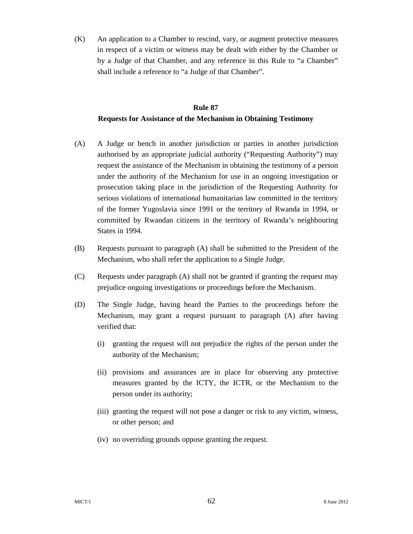(K) An application to a Chamber to rescind, vary, or augment protective measures in respect of a victim or witness may be dealt with either by the Chamber or by a Judge of that Chamber, and any reference in this Rule to "a Chamber" shall include a reference to "a Judge of that Chamber".

# **Rule 87 Requests for Assistance of the Mechanism in Obtaining Testimony**

- (A) A Judge or bench in another jurisdiction or parties in another jurisdiction authorised by an appropriate judicial authority ("Requesting Authority") may request the assistance of the Mechanism in obtaining the testimony of a person under the authority of the Mechanism for use in an ongoing investigation or prosecution taking place in the jurisdiction of the Requesting Authority for serious violations of international humanitarian law committed in the territory of the former Yugoslavia since 1991 or the territory of Rwanda in 1994, or committed by Rwandan citizens in the territory of Rwanda's neighbouring States in 1994.
- (B) Requests pursuant to paragraph (A) shall be submitted to the President of the Mechanism, who shall refer the application to a Single Judge.
- (C) Requests under paragraph (A) shall not be granted if granting the request may prejudice ongoing investigations or proceedings before the Mechanism.
- (D) The Single Judge, having heard the Parties to the proceedings before the Mechanism, may grant a request pursuant to paragraph (A) after having verified that:
	- (i) granting the request will not prejudice the rights of the person under the authority of the Mechanism;
	- (ii) provisions and assurances are in place for observing any protective measures granted by the ICTY, the ICTR, or the Mechanism to the person under its authority;
	- (iii) granting the request will not pose a danger or risk to any victim, witness, or other person; and
	- (iv) no overriding grounds oppose granting the request.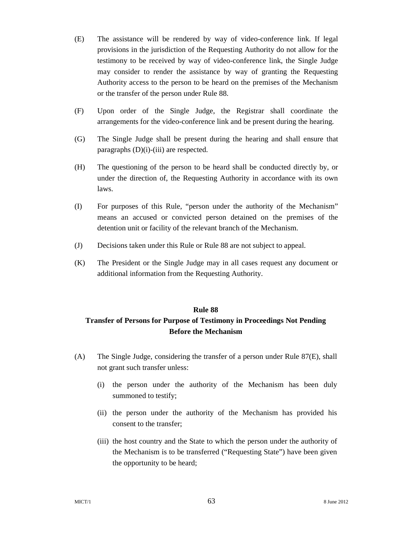- (E) The assistance will be rendered by way of video-conference link. If legal provisions in the jurisdiction of the Requesting Authority do not allow for the testimony to be received by way of video-conference link, the Single Judge may consider to render the assistance by way of granting the Requesting Authority access to the person to be heard on the premises of the Mechanism or the transfer of the person under Rule 88.
- (F) Upon order of the Single Judge, the Registrar shall coordinate the arrangements for the video-conference link and be present during the hearing.
- (G) The Single Judge shall be present during the hearing and shall ensure that paragraphs (D)(i)-(iii) are respected.
- (H) The questioning of the person to be heard shall be conducted directly by, or under the direction of, the Requesting Authority in accordance with its own laws.
- (I) For purposes of this Rule, "person under the authority of the Mechanism" means an accused or convicted person detained on the premises of the detention unit or facility of the relevant branch of the Mechanism.
- (J) Decisions taken under this Rule or Rule 88 are not subject to appeal.
- (K) The President or the Single Judge may in all cases request any document or additional information from the Requesting Authority.

#### **Rule 88**

# **Transfer of Persons for Purpose of Testimony in Proceedings Not Pending Before the Mechanism**

- (A) The Single Judge, considering the transfer of a person under Rule 87(E), shall not grant such transfer unless:
	- (i) the person under the authority of the Mechanism has been duly summoned to testify;
	- (ii) the person under the authority of the Mechanism has provided his consent to the transfer;
	- (iii) the host country and the State to which the person under the authority of the Mechanism is to be transferred ("Requesting State") have been given the opportunity to be heard;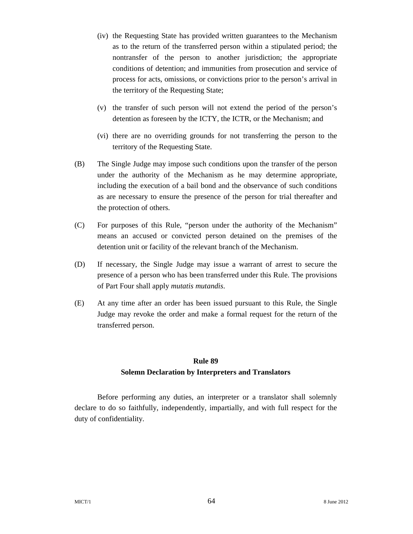- (iv) the Requesting State has provided written guarantees to the Mechanism as to the return of the transferred person within a stipulated period; the nontransfer of the person to another jurisdiction; the appropriate conditions of detention; and immunities from prosecution and service of process for acts, omissions, or convictions prior to the person's arrival in the territory of the Requesting State;
- (v) the transfer of such person will not extend the period of the person's detention as foreseen by the ICTY, the ICTR, or the Mechanism; and
- (vi) there are no overriding grounds for not transferring the person to the territory of the Requesting State.
- (B) The Single Judge may impose such conditions upon the transfer of the person under the authority of the Mechanism as he may determine appropriate, including the execution of a bail bond and the observance of such conditions as are necessary to ensure the presence of the person for trial thereafter and the protection of others.
- (C) For purposes of this Rule, "person under the authority of the Mechanism" means an accused or convicted person detained on the premises of the detention unit or facility of the relevant branch of the Mechanism.
- (D) If necessary, the Single Judge may issue a warrant of arrest to secure the presence of a person who has been transferred under this Rule. The provisions of Part Four shall apply *mutatis mutandis*.
- (E) At any time after an order has been issued pursuant to this Rule, the Single Judge may revoke the order and make a formal request for the return of the transferred person.

#### **Rule 89**

#### **Solemn Declaration by Interpreters and Translators**

Before performing any duties, an interpreter or a translator shall solemnly declare to do so faithfully, independently, impartially, and with full respect for the duty of confidentiality.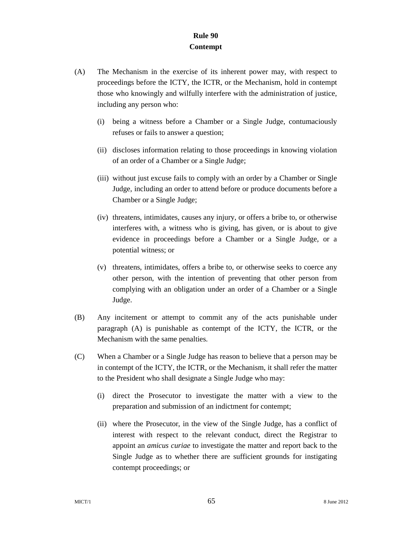## **Rule 90 Contempt**

- (A) The Mechanism in the exercise of its inherent power may, with respect to proceedings before the ICTY, the ICTR, or the Mechanism, hold in contempt those who knowingly and wilfully interfere with the administration of justice, including any person who:
	- (i) being a witness before a Chamber or a Single Judge, contumaciously refuses or fails to answer a question;
	- (ii) discloses information relating to those proceedings in knowing violation of an order of a Chamber or a Single Judge;
	- (iii) without just excuse fails to comply with an order by a Chamber or Single Judge, including an order to attend before or produce documents before a Chamber or a Single Judge;
	- (iv) threatens, intimidates, causes any injury, or offers a bribe to, or otherwise interferes with, a witness who is giving, has given, or is about to give evidence in proceedings before a Chamber or a Single Judge, or a potential witness; or
	- (v) threatens, intimidates, offers a bribe to, or otherwise seeks to coerce any other person, with the intention of preventing that other person from complying with an obligation under an order of a Chamber or a Single Judge.
- (B) Any incitement or attempt to commit any of the acts punishable under paragraph (A) is punishable as contempt of the ICTY, the ICTR, or the Mechanism with the same penalties.
- (C) When a Chamber or a Single Judge has reason to believe that a person may be in contempt of the ICTY, the ICTR, or the Mechanism, it shall refer the matter to the President who shall designate a Single Judge who may:
	- (i) direct the Prosecutor to investigate the matter with a view to the preparation and submission of an indictment for contempt;
	- (ii) where the Prosecutor, in the view of the Single Judge, has a conflict of interest with respect to the relevant conduct, direct the Registrar to appoint an *amicus curiae* to investigate the matter and report back to the Single Judge as to whether there are sufficient grounds for instigating contempt proceedings; or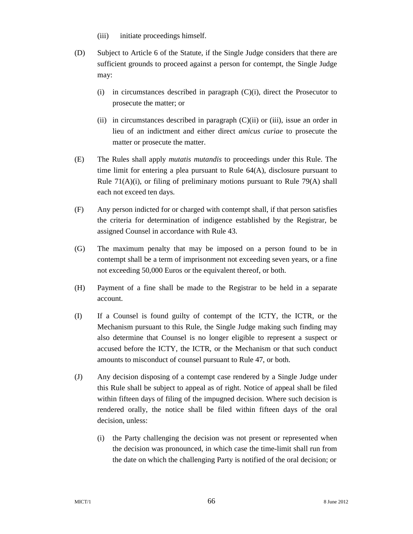- (iii) initiate proceedings himself.
- (D) Subject to Article 6 of the Statute, if the Single Judge considers that there are sufficient grounds to proceed against a person for contempt, the Single Judge may:
	- (i) in circumstances described in paragraph (C)(i), direct the Prosecutor to prosecute the matter; or
	- (ii) in circumstances described in paragraph (C)(ii) or (iii), issue an order in lieu of an indictment and either direct *amicus curiae* to prosecute the matter or prosecute the matter.
- (E) The Rules shall apply *mutatis mutandis* to proceedings under this Rule. The time limit for entering a plea pursuant to Rule 64(A), disclosure pursuant to Rule  $71(A)(i)$ , or filing of preliminary motions pursuant to Rule 79(A) shall each not exceed ten days.
- (F) Any person indicted for or charged with contempt shall, if that person satisfies the criteria for determination of indigence established by the Registrar, be assigned Counsel in accordance with Rule 43.
- (G) The maximum penalty that may be imposed on a person found to be in contempt shall be a term of imprisonment not exceeding seven years, or a fine not exceeding 50,000 Euros or the equivalent thereof, or both.
- (H) Payment of a fine shall be made to the Registrar to be held in a separate account.
- (I) If a Counsel is found guilty of contempt of the ICTY, the ICTR, or the Mechanism pursuant to this Rule, the Single Judge making such finding may also determine that Counsel is no longer eligible to represent a suspect or accused before the ICTY, the ICTR, or the Mechanism or that such conduct amounts to misconduct of counsel pursuant to Rule 47, or both.
- (J) Any decision disposing of a contempt case rendered by a Single Judge under this Rule shall be subject to appeal as of right. Notice of appeal shall be filed within fifteen days of filing of the impugned decision. Where such decision is rendered orally, the notice shall be filed within fifteen days of the oral decision, unless:
	- (i) the Party challenging the decision was not present or represented when the decision was pronounced, in which case the time-limit shall run from the date on which the challenging Party is notified of the oral decision; or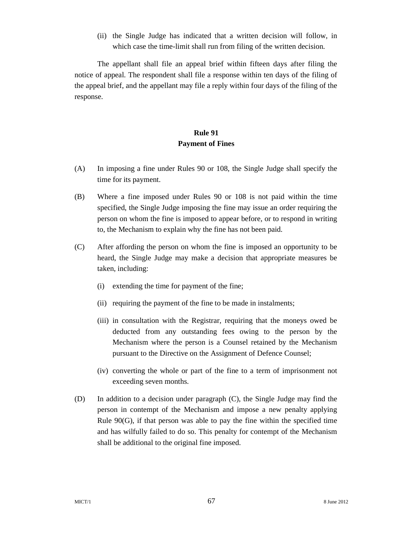(ii) the Single Judge has indicated that a written decision will follow, in which case the time-limit shall run from filing of the written decision.

The appellant shall file an appeal brief within fifteen days after filing the notice of appeal. The respondent shall file a response within ten days of the filing of the appeal brief, and the appellant may file a reply within four days of the filing of the response.

## **Rule 91 Payment of Fines**

- (A) In imposing a fine under Rules 90 or 108, the Single Judge shall specify the time for its payment.
- (B) Where a fine imposed under Rules 90 or 108 is not paid within the time specified, the Single Judge imposing the fine may issue an order requiring the person on whom the fine is imposed to appear before, or to respond in writing to, the Mechanism to explain why the fine has not been paid.
- (C) After affording the person on whom the fine is imposed an opportunity to be heard, the Single Judge may make a decision that appropriate measures be taken, including:
	- (i) extending the time for payment of the fine;
	- (ii) requiring the payment of the fine to be made in instalments;
	- (iii) in consultation with the Registrar, requiring that the moneys owed be deducted from any outstanding fees owing to the person by the Mechanism where the person is a Counsel retained by the Mechanism pursuant to the Directive on the Assignment of Defence Counsel;
	- (iv) converting the whole or part of the fine to a term of imprisonment not exceeding seven months.
- (D) In addition to a decision under paragraph (C), the Single Judge may find the person in contempt of the Mechanism and impose a new penalty applying Rule  $90(G)$ , if that person was able to pay the fine within the specified time and has wilfully failed to do so. This penalty for contempt of the Mechanism shall be additional to the original fine imposed.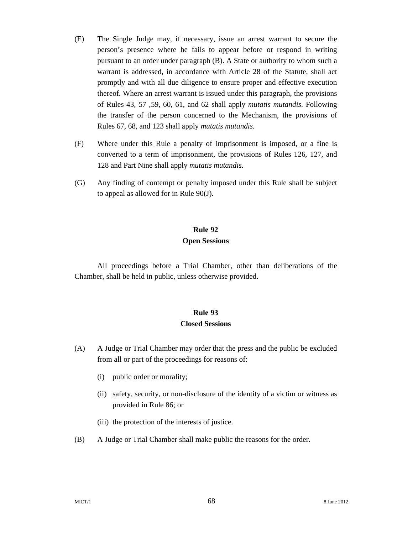- (E) The Single Judge may, if necessary, issue an arrest warrant to secure the person's presence where he fails to appear before or respond in writing pursuant to an order under paragraph (B). A State or authority to whom such a warrant is addressed, in accordance with Article 28 of the Statute, shall act promptly and with all due diligence to ensure proper and effective execution thereof. Where an arrest warrant is issued under this paragraph, the provisions of Rules 43, 57 ,59, 60, 61, and 62 shall apply *mutatis mutandis*. Following the transfer of the person concerned to the Mechanism, the provisions of Rules 67, 68, and 123 shall apply *mutatis mutandis*.
- (F) Where under this Rule a penalty of imprisonment is imposed, or a fine is converted to a term of imprisonment, the provisions of Rules 126, 127, and 128 and Part Nine shall apply *mutatis mutandis*.
- (G) Any finding of contempt or penalty imposed under this Rule shall be subject to appeal as allowed for in Rule 90(J).

## **Rule 92 Open Sessions**

All proceedings before a Trial Chamber, other than deliberations of the Chamber, shall be held in public, unless otherwise provided.

## **Rule 93 Closed Sessions**

- (A) A Judge or Trial Chamber may order that the press and the public be excluded from all or part of the proceedings for reasons of:
	- (i) public order or morality;
	- (ii) safety, security, or non-disclosure of the identity of a victim or witness as provided in Rule 86; or
	- (iii) the protection of the interests of justice.
- (B) A Judge or Trial Chamber shall make public the reasons for the order.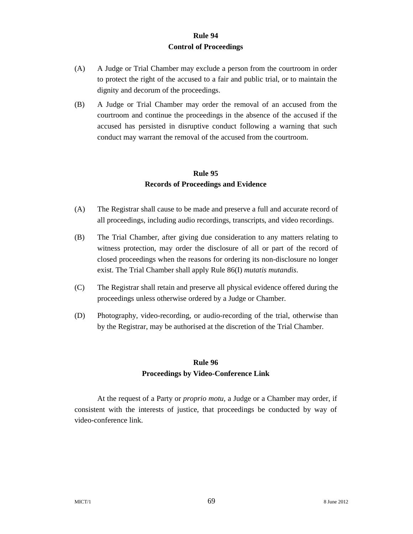#### **Rule 94 Control of Proceedings**

- (A) A Judge or Trial Chamber may exclude a person from the courtroom in order to protect the right of the accused to a fair and public trial, or to maintain the dignity and decorum of the proceedings.
- (B) A Judge or Trial Chamber may order the removal of an accused from the courtroom and continue the proceedings in the absence of the accused if the accused has persisted in disruptive conduct following a warning that such conduct may warrant the removal of the accused from the courtroom.

#### **Rule 95 Records of Proceedings and Evidence**

- (A) The Registrar shall cause to be made and preserve a full and accurate record of all proceedings, including audio recordings, transcripts, and video recordings.
- (B) The Trial Chamber, after giving due consideration to any matters relating to witness protection, may order the disclosure of all or part of the record of closed proceedings when the reasons for ordering its non-disclosure no longer exist. The Trial Chamber shall apply Rule 86(I) *mutatis mutandis*.
- (C) The Registrar shall retain and preserve all physical evidence offered during the proceedings unless otherwise ordered by a Judge or Chamber.
- (D) Photography, video-recording, or audio-recording of the trial, otherwise than by the Registrar, may be authorised at the discretion of the Trial Chamber.

# **Rule 96 Proceedings by Video-Conference Link**

At the request of a Party or *proprio motu,* a Judge or a Chamber may order, if consistent with the interests of justice, that proceedings be conducted by way of video-conference link.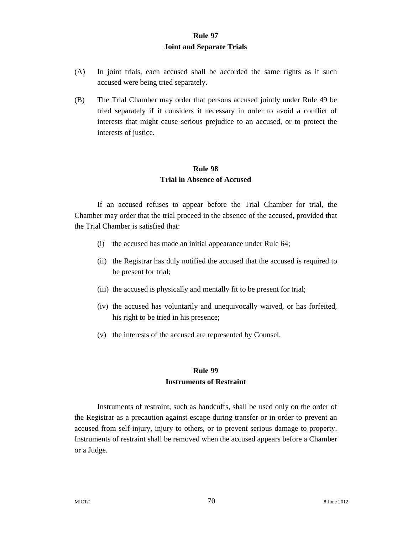#### **Rule 97 Joint and Separate Trials**

- (A) In joint trials, each accused shall be accorded the same rights as if such accused were being tried separately.
- (B) The Trial Chamber may order that persons accused jointly under Rule 49 be tried separately if it considers it necessary in order to avoid a conflict of interests that might cause serious prejudice to an accused, or to protect the interests of justice.

#### **Rule 98 Trial in Absence of Accused**

If an accused refuses to appear before the Trial Chamber for trial, the Chamber may order that the trial proceed in the absence of the accused, provided that the Trial Chamber is satisfied that:

- (i) the accused has made an initial appearance under Rule 64;
- (ii) the Registrar has duly notified the accused that the accused is required to be present for trial;
- (iii) the accused is physically and mentally fit to be present for trial;
- (iv) the accused has voluntarily and unequivocally waived, or has forfeited, his right to be tried in his presence;
- (v) the interests of the accused are represented by Counsel.

#### **Rule 99 Instruments of Restraint**

Instruments of restraint, such as handcuffs, shall be used only on the order of the Registrar as a precaution against escape during transfer or in order to prevent an accused from self-injury, injury to others, or to prevent serious damage to property. Instruments of restraint shall be removed when the accused appears before a Chamber or a Judge.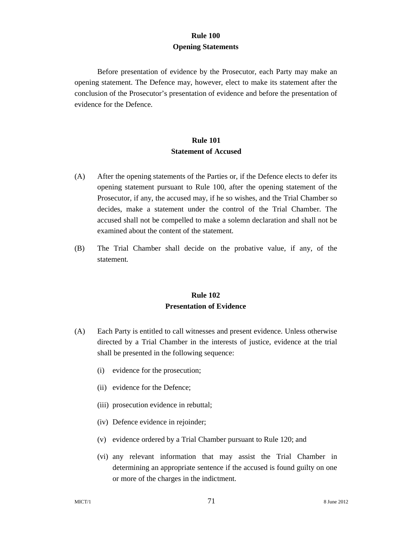#### **Rule 100 Opening Statements**

Before presentation of evidence by the Prosecutor, each Party may make an opening statement. The Defence may, however, elect to make its statement after the conclusion of the Prosecutor's presentation of evidence and before the presentation of evidence for the Defence.

#### **Rule 101 Statement of Accused**

- (A) After the opening statements of the Parties or, if the Defence elects to defer its opening statement pursuant to Rule 100, after the opening statement of the Prosecutor, if any, the accused may, if he so wishes, and the Trial Chamber so decides, make a statement under the control of the Trial Chamber. The accused shall not be compelled to make a solemn declaration and shall not be examined about the content of the statement.
- (B) The Trial Chamber shall decide on the probative value, if any, of the statement.

#### **Rule 102 Presentation of Evidence**

- (A) Each Party is entitled to call witnesses and present evidence. Unless otherwise directed by a Trial Chamber in the interests of justice, evidence at the trial shall be presented in the following sequence:
	- (i) evidence for the prosecution;
	- (ii) evidence for the Defence;
	- (iii) prosecution evidence in rebuttal;
	- (iv) Defence evidence in rejoinder;
	- (v) evidence ordered by a Trial Chamber pursuant to Rule 120; and
	- (vi) any relevant information that may assist the Trial Chamber in determining an appropriate sentence if the accused is found guilty on one or more of the charges in the indictment.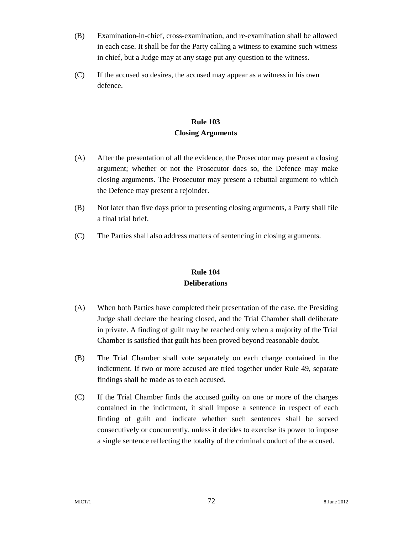- (B) Examination-in-chief, cross-examination, and re-examination shall be allowed in each case. It shall be for the Party calling a witness to examine such witness in chief, but a Judge may at any stage put any question to the witness.
- (C) If the accused so desires, the accused may appear as a witness in his own defence.

# **Rule 103 Closing Arguments**

- (A) After the presentation of all the evidence, the Prosecutor may present a closing argument; whether or not the Prosecutor does so, the Defence may make closing arguments. The Prosecutor may present a rebuttal argument to which the Defence may present a rejoinder.
- (B) Not later than five days prior to presenting closing arguments, a Party shall file a final trial brief.
- (C) The Parties shall also address matters of sentencing in closing arguments.

# **Rule 104 Deliberations**

- (A) When both Parties have completed their presentation of the case, the Presiding Judge shall declare the hearing closed, and the Trial Chamber shall deliberate in private. A finding of guilt may be reached only when a majority of the Trial Chamber is satisfied that guilt has been proved beyond reasonable doubt.
- (B) The Trial Chamber shall vote separately on each charge contained in the indictment. If two or more accused are tried together under Rule 49, separate findings shall be made as to each accused.
- (C) If the Trial Chamber finds the accused guilty on one or more of the charges contained in the indictment, it shall impose a sentence in respect of each finding of guilt and indicate whether such sentences shall be served consecutively or concurrently, unless it decides to exercise its power to impose a single sentence reflecting the totality of the criminal conduct of the accused.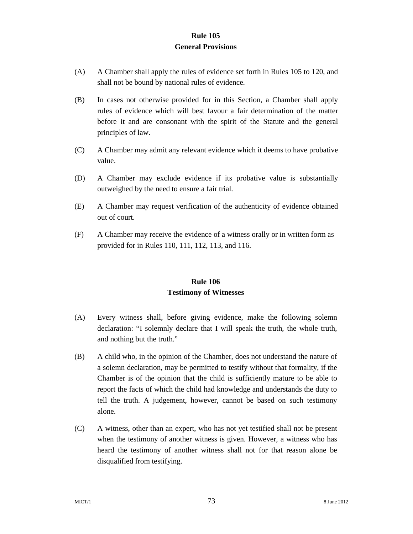#### **Rule 105 General Provisions**

- (A) A Chamber shall apply the rules of evidence set forth in Rules 105 to 120, and shall not be bound by national rules of evidence.
- (B) In cases not otherwise provided for in this Section, a Chamber shall apply rules of evidence which will best favour a fair determination of the matter before it and are consonant with the spirit of the Statute and the general principles of law.
- (C) A Chamber may admit any relevant evidence which it deems to have probative value.
- (D) A Chamber may exclude evidence if its probative value is substantially outweighed by the need to ensure a fair trial.
- (E) A Chamber may request verification of the authenticity of evidence obtained out of court.
- (F) A Chamber may receive the evidence of a witness orally or in written form as provided for in Rules 110, 111, 112, 113, and 116.

#### **Rule 106 Testimony of Witnesses**

- (A) Every witness shall, before giving evidence, make the following solemn declaration: "I solemnly declare that I will speak the truth, the whole truth, and nothing but the truth."
- (B) A child who, in the opinion of the Chamber, does not understand the nature of a solemn declaration, may be permitted to testify without that formality, if the Chamber is of the opinion that the child is sufficiently mature to be able to report the facts of which the child had knowledge and understands the duty to tell the truth. A judgement, however, cannot be based on such testimony alone.
- (C) A witness, other than an expert, who has not yet testified shall not be present when the testimony of another witness is given. However, a witness who has heard the testimony of another witness shall not for that reason alone be disqualified from testifying.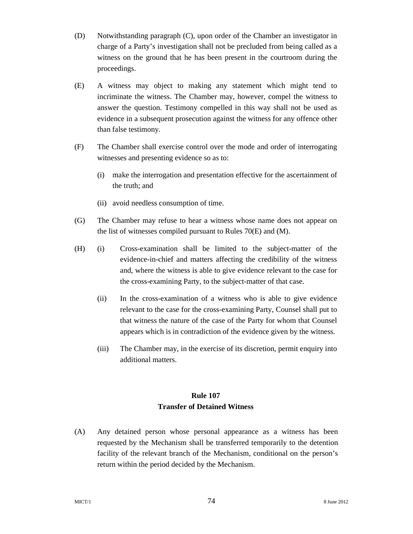- (D) Notwithstanding paragraph (C), upon order of the Chamber an investigator in charge of a Party's investigation shall not be precluded from being called as a witness on the ground that he has been present in the courtroom during the proceedings.
- (E) A witness may object to making any statement which might tend to incriminate the witness. The Chamber may, however, compel the witness to answer the question. Testimony compelled in this way shall not be used as evidence in a subsequent prosecution against the witness for any offence other than false testimony.
- (F) The Chamber shall exercise control over the mode and order of interrogating witnesses and presenting evidence so as to:
	- (i) make the interrogation and presentation effective for the ascertainment of the truth; and
	- (ii) avoid needless consumption of time.
- (G) The Chamber may refuse to hear a witness whose name does not appear on the list of witnesses compiled pursuant to Rules 70(E) and (M).
- (H) (i) Cross-examination shall be limited to the subject-matter of the evidence-in-chief and matters affecting the credibility of the witness and, where the witness is able to give evidence relevant to the case for the cross-examining Party, to the subject-matter of that case.
	- (ii) In the cross-examination of a witness who is able to give evidence relevant to the case for the cross-examining Party, Counsel shall put to that witness the nature of the case of the Party for whom that Counsel appears which is in contradiction of the evidence given by the witness.
	- (iii) The Chamber may, in the exercise of its discretion, permit enquiry into additional matters.

#### **Rule 107 Transfer of Detained Witness**

(A) Any detained person whose personal appearance as a witness has been requested by the Mechanism shall be transferred temporarily to the detention facility of the relevant branch of the Mechanism, conditional on the person's return within the period decided by the Mechanism.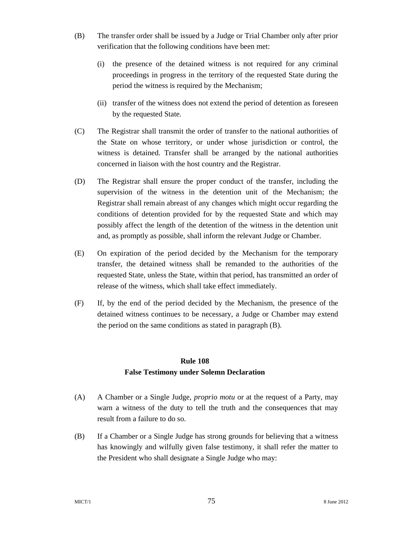- (B) The transfer order shall be issued by a Judge or Trial Chamber only after prior verification that the following conditions have been met:
	- (i) the presence of the detained witness is not required for any criminal proceedings in progress in the territory of the requested State during the period the witness is required by the Mechanism;
	- (ii) transfer of the witness does not extend the period of detention as foreseen by the requested State.
- (C) The Registrar shall transmit the order of transfer to the national authorities of the State on whose territory, or under whose jurisdiction or control, the witness is detained. Transfer shall be arranged by the national authorities concerned in liaison with the host country and the Registrar.
- (D) The Registrar shall ensure the proper conduct of the transfer, including the supervision of the witness in the detention unit of the Mechanism; the Registrar shall remain abreast of any changes which might occur regarding the conditions of detention provided for by the requested State and which may possibly affect the length of the detention of the witness in the detention unit and, as promptly as possible, shall inform the relevant Judge or Chamber.
- (E) On expiration of the period decided by the Mechanism for the temporary transfer, the detained witness shall be remanded to the authorities of the requested State, unless the State, within that period, has transmitted an order of release of the witness, which shall take effect immediately.
- (F) If, by the end of the period decided by the Mechanism, the presence of the detained witness continues to be necessary, a Judge or Chamber may extend the period on the same conditions as stated in paragraph (B).

# **Rule 108 False Testimony under Solemn Declaration**

- (A) A Chamber or a Single Judge, *proprio motu* or at the request of a Party, may warn a witness of the duty to tell the truth and the consequences that may result from a failure to do so.
- (B) If a Chamber or a Single Judge has strong grounds for believing that a witness has knowingly and wilfully given false testimony, it shall refer the matter to the President who shall designate a Single Judge who may: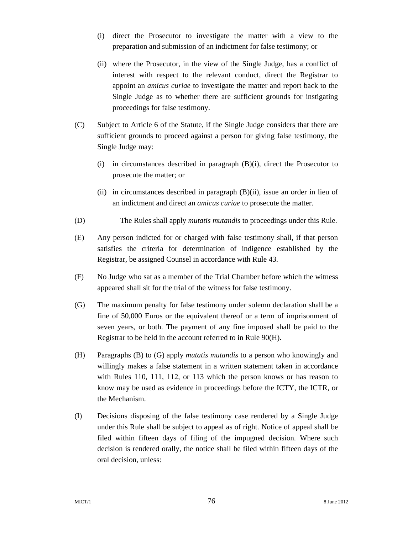- (i) direct the Prosecutor to investigate the matter with a view to the preparation and submission of an indictment for false testimony; or
- (ii) where the Prosecutor, in the view of the Single Judge, has a conflict of interest with respect to the relevant conduct, direct the Registrar to appoint an *amicus curiae* to investigate the matter and report back to the Single Judge as to whether there are sufficient grounds for instigating proceedings for false testimony.
- (C) Subject to Article 6 of the Statute, if the Single Judge considers that there are sufficient grounds to proceed against a person for giving false testimony, the Single Judge may:
	- (i) in circumstances described in paragraph (B)(i), direct the Prosecutor to prosecute the matter; or
	- (ii) in circumstances described in paragraph (B)(ii), issue an order in lieu of an indictment and direct an *amicus curiae* to prosecute the matter.
- (D) The Rules shall apply *mutatis mutandis* to proceedings under this Rule.
- (E) Any person indicted for or charged with false testimony shall, if that person satisfies the criteria for determination of indigence established by the Registrar, be assigned Counsel in accordance with Rule 43.
- (F) No Judge who sat as a member of the Trial Chamber before which the witness appeared shall sit for the trial of the witness for false testimony.
- (G) The maximum penalty for false testimony under solemn declaration shall be a fine of 50,000 Euros or the equivalent thereof or a term of imprisonment of seven years, or both. The payment of any fine imposed shall be paid to the Registrar to be held in the account referred to in Rule 90(H).
- (H) Paragraphs (B) to (G) apply *mutatis mutandis* to a person who knowingly and willingly makes a false statement in a written statement taken in accordance with Rules 110*,* 111, 112, or 113 which the person knows or has reason to know may be used as evidence in proceedings before the ICTY, the ICTR, or the Mechanism.
- (I) Decisions disposing of the false testimony case rendered by a Single Judge under this Rule shall be subject to appeal as of right. Notice of appeal shall be filed within fifteen days of filing of the impugned decision. Where such decision is rendered orally, the notice shall be filed within fifteen days of the oral decision, unless: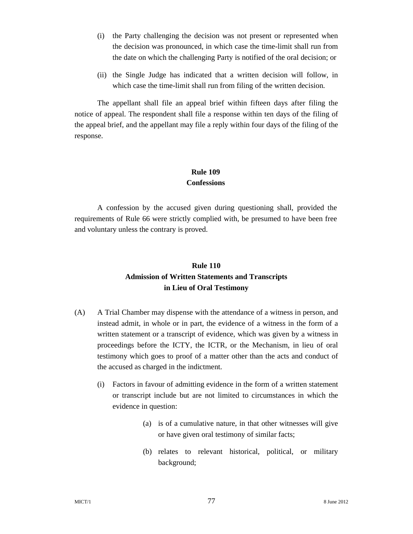- (i) the Party challenging the decision was not present or represented when the decision was pronounced, in which case the time-limit shall run from the date on which the challenging Party is notified of the oral decision; or
- (ii) the Single Judge has indicated that a written decision will follow, in which case the time-limit shall run from filing of the written decision.

The appellant shall file an appeal brief within fifteen days after filing the notice of appeal. The respondent shall file a response within ten days of the filing of the appeal brief, and the appellant may file a reply within four days of the filing of the response.

## **Rule 109 Confessions**

A confession by the accused given during questioning shall, provided the requirements of Rule 66 were strictly complied with, be presumed to have been free and voluntary unless the contrary is proved.

# **Rule 110 Admission of Written Statements and Transcripts in Lieu of Oral Testimony**

- (A) A Trial Chamber may dispense with the attendance of a witness in person, and instead admit, in whole or in part, the evidence of a witness in the form of a written statement or a transcript of evidence, which was given by a witness in proceedings before the ICTY, the ICTR, or the Mechanism, in lieu of oral testimony which goes to proof of a matter other than the acts and conduct of the accused as charged in the indictment.
	- (i) Factors in favour of admitting evidence in the form of a written statement or transcript include but are not limited to circumstances in which the evidence in question:
		- (a) is of a cumulative nature, in that other witnesses will give or have given oral testimony of similar facts;
		- (b) relates to relevant historical, political, or military background;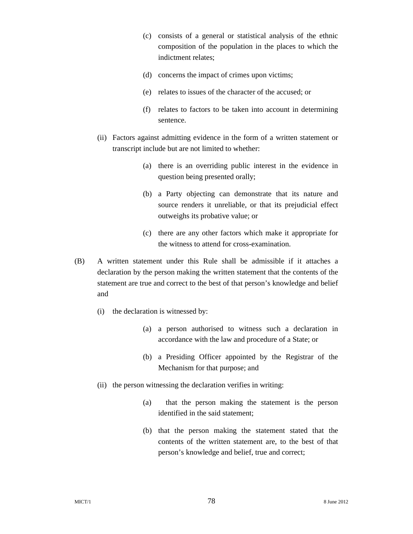- (c) consists of a general or statistical analysis of the ethnic composition of the population in the places to which the indictment relates;
- (d) concerns the impact of crimes upon victims;
- (e) relates to issues of the character of the accused; or
- (f) relates to factors to be taken into account in determining sentence.
- (ii) Factors against admitting evidence in the form of a written statement or transcript include but are not limited to whether:
	- (a) there is an overriding public interest in the evidence in question being presented orally;
	- (b) a Party objecting can demonstrate that its nature and source renders it unreliable, or that its prejudicial effect outweighs its probative value; or
	- (c) there are any other factors which make it appropriate for the witness to attend for cross-examination.
- (B) A written statement under this Rule shall be admissible if it attaches a declaration by the person making the written statement that the contents of the statement are true and correct to the best of that person's knowledge and belief and
	- (i) the declaration is witnessed by:
		- (a) a person authorised to witness such a declaration in accordance with the law and procedure of a State; or
		- (b) a Presiding Officer appointed by the Registrar of the Mechanism for that purpose; and
	- (ii) the person witnessing the declaration verifies in writing:
		- (a) that the person making the statement is the person identified in the said statement;
		- (b) that the person making the statement stated that the contents of the written statement are, to the best of that person's knowledge and belief, true and correct;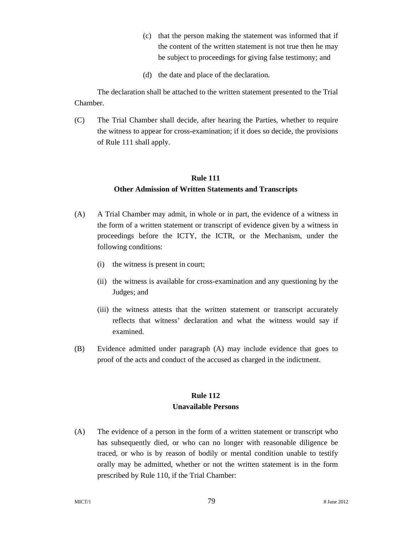- (c) that the person making the statement was informed that if the content of the written statement is not true then he may be subject to proceedings for giving false testimony; and
- (d) the date and place of the declaration.

The declaration shall be attached to the written statement presented to the Trial Chamber.

(C) The Trial Chamber shall decide, after hearing the Parties, whether to require the witness to appear for cross-examination; if it does so decide, the provisions of Rule 111 shall apply.

# **Rule 111 Other Admission of Written Statements and Transcripts**

- (A) A Trial Chamber may admit, in whole or in part, the evidence of a witness in the form of a written statement or transcript of evidence given by a witness in proceedings before the ICTY, the ICTR, or the Mechanism, under the following conditions:
	- (i) the witness is present in court;
	- (ii) the witness is available for cross-examination and any questioning by the Judges; and
	- (iii) the witness attests that the written statement or transcript accurately reflects that witness' declaration and what the witness would say if examined.
- (B) Evidence admitted under paragraph (A) may include evidence that goes to proof of the acts and conduct of the accused as charged in the indictment.

#### **Rule 112 Unavailable Persons**

(A) The evidence of a person in the form of a written statement or transcript who has subsequently died, or who can no longer with reasonable diligence be traced, or who is by reason of bodily or mental condition unable to testify orally may be admitted, whether or not the written statement is in the form prescribed by Rule 110, if the Trial Chamber: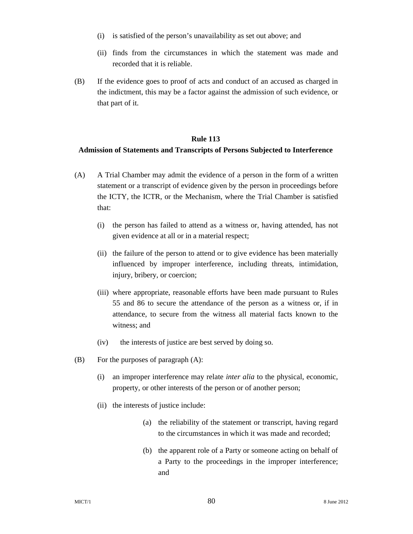- (i) is satisfied of the person's unavailability as set out above; and
- (ii) finds from the circumstances in which the statement was made and recorded that it is reliable.
- (B) If the evidence goes to proof of acts and conduct of an accused as charged in the indictment, this may be a factor against the admission of such evidence, or that part of it.

#### **Rule 113**

#### **Admission of Statements and Transcripts of Persons Subjected to Interference**

- (A) A Trial Chamber may admit the evidence of a person in the form of a written statement or a transcript of evidence given by the person in proceedings before the ICTY, the ICTR, or the Mechanism, where the Trial Chamber is satisfied that:
	- (i) the person has failed to attend as a witness or, having attended, has not given evidence at all or in a material respect;
	- (ii) the failure of the person to attend or to give evidence has been materially influenced by improper interference, including threats, intimidation, injury, bribery, or coercion;
	- (iii) where appropriate, reasonable efforts have been made pursuant to Rules 55 and 86 to secure the attendance of the person as a witness or, if in attendance, to secure from the witness all material facts known to the witness; and
	- (iv) the interests of justice are best served by doing so.
- (B) For the purposes of paragraph (A):
	- (i) an improper interference may relate *inter alia* to the physical, economic, property, or other interests of the person or of another person;
	- (ii) the interests of justice include:
		- (a) the reliability of the statement or transcript, having regard to the circumstances in which it was made and recorded;
		- (b) the apparent role of a Party or someone acting on behalf of a Party to the proceedings in the improper interference; and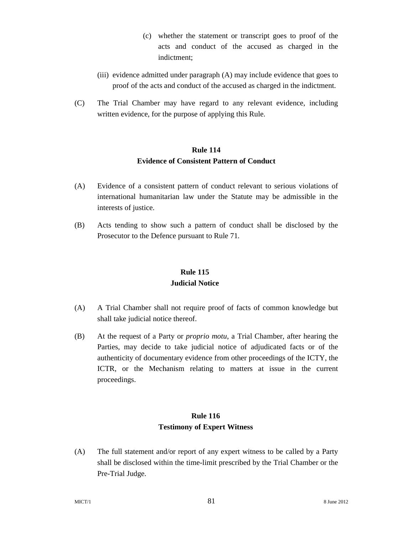- (c) whether the statement or transcript goes to proof of the acts and conduct of the accused as charged in the indictment;
- (iii) evidence admitted under paragraph (A) may include evidence that goes to proof of the acts and conduct of the accused as charged in the indictment.
- (C) The Trial Chamber may have regard to any relevant evidence, including written evidence, for the purpose of applying this Rule.

#### **Rule 114 Evidence of Consistent Pattern of Conduct**

- (A) Evidence of a consistent pattern of conduct relevant to serious violations of international humanitarian law under the Statute may be admissible in the interests of justice.
- (B) Acts tending to show such a pattern of conduct shall be disclosed by the Prosecutor to the Defence pursuant to Rule 71.

## **Rule 115 Judicial Notice**

- (A) A Trial Chamber shall not require proof of facts of common knowledge but shall take judicial notice thereof.
- (B) At the request of a Party or *proprio motu*, a Trial Chamber, after hearing the Parties, may decide to take judicial notice of adjudicated facts or of the authenticity of documentary evidence from other proceedings of the ICTY, the ICTR, or the Mechanism relating to matters at issue in the current proceedings.

#### **Rule 116 Testimony of Expert Witness**

(A) The full statement and/or report of any expert witness to be called by a Party shall be disclosed within the time-limit prescribed by the Trial Chamber or the Pre-Trial Judge.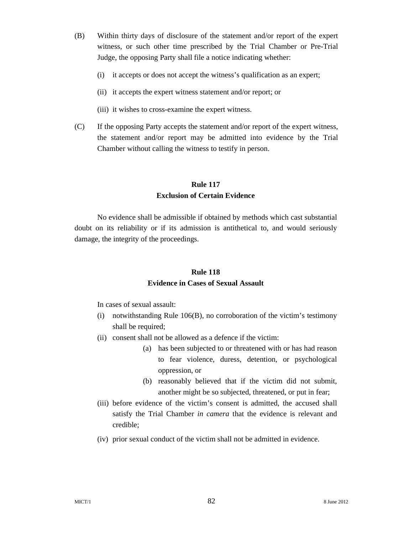- (B) Within thirty days of disclosure of the statement and/or report of the expert witness, or such other time prescribed by the Trial Chamber or Pre-Trial Judge, the opposing Party shall file a notice indicating whether:
	- (i) it accepts or does not accept the witness's qualification as an expert;
	- (ii) it accepts the expert witness statement and/or report; or
	- (iii) it wishes to cross-examine the expert witness.
- (C) If the opposing Party accepts the statement and/or report of the expert witness, the statement and/or report may be admitted into evidence by the Trial Chamber without calling the witness to testify in person.

#### **Rule 117 Exclusion of Certain Evidence**

No evidence shall be admissible if obtained by methods which cast substantial doubt on its reliability or if its admission is antithetical to, and would seriously damage, the integrity of the proceedings.

#### **Rule 118**

#### **Evidence in Cases of Sexual Assault**

In cases of sexual assault:

- (i) notwithstanding Rule 106(B), no corroboration of the victim's testimony shall be required;
- (ii) consent shall not be allowed as a defence if the victim:
	- (a) has been subjected to or threatened with or has had reason to fear violence, duress, detention, or psychological oppression, or
	- (b) reasonably believed that if the victim did not submit, another might be so subjected, threatened, or put in fear;
- (iii) before evidence of the victim's consent is admitted, the accused shall satisfy the Trial Chamber *in camera* that the evidence is relevant and credible;
- (iv) prior sexual conduct of the victim shall not be admitted in evidence.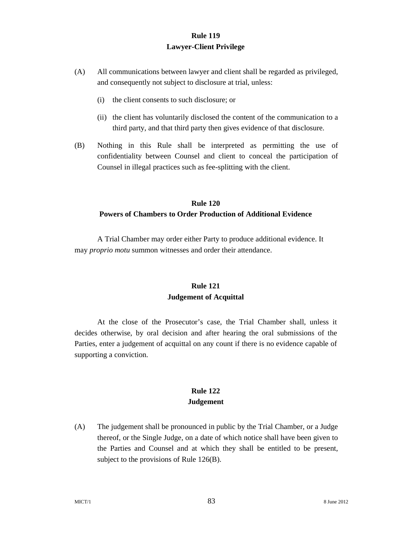#### **Rule 119 Lawyer-Client Privilege**

- (A) All communications between lawyer and client shall be regarded as privileged, and consequently not subject to disclosure at trial, unless:
	- (i) the client consents to such disclosure; or
	- (ii) the client has voluntarily disclosed the content of the communication to a third party, and that third party then gives evidence of that disclosure.
- (B) Nothing in this Rule shall be interpreted as permitting the use of confidentiality between Counsel and client to conceal the participation of Counsel in illegal practices such as fee-splitting with the client.

# **Rule 120 Powers of Chambers to Order Production of Additional Evidence**

A Trial Chamber may order either Party to produce additional evidence. It may *proprio motu* summon witnesses and order their attendance.

## **Rule 121 Judgement of Acquittal**

At the close of the Prosecutor's case, the Trial Chamber shall, unless it decides otherwise, by oral decision and after hearing the oral submissions of the Parties, enter a judgement of acquittal on any count if there is no evidence capable of supporting a conviction.

#### **Rule 122 Judgement**

(A) The judgement shall be pronounced in public by the Trial Chamber, or a Judge thereof, or the Single Judge, on a date of which notice shall have been given to the Parties and Counsel and at which they shall be entitled to be present, subject to the provisions of Rule 126(B).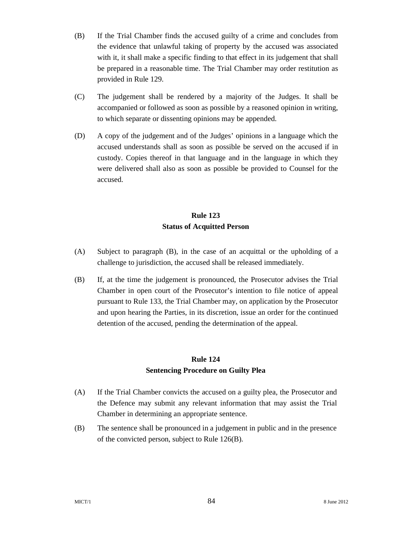- (B) If the Trial Chamber finds the accused guilty of a crime and concludes from the evidence that unlawful taking of property by the accused was associated with it, it shall make a specific finding to that effect in its judgement that shall be prepared in a reasonable time. The Trial Chamber may order restitution as provided in Rule 129.
- (C) The judgement shall be rendered by a majority of the Judges. It shall be accompanied or followed as soon as possible by a reasoned opinion in writing, to which separate or dissenting opinions may be appended.
- (D) A copy of the judgement and of the Judges' opinions in a language which the accused understands shall as soon as possible be served on the accused if in custody. Copies thereof in that language and in the language in which they were delivered shall also as soon as possible be provided to Counsel for the accused.

## **Rule 123 Status of Acquitted Person**

- (A) Subject to paragraph (B), in the case of an acquittal or the upholding of a challenge to jurisdiction, the accused shall be released immediately.
- (B) If, at the time the judgement is pronounced, the Prosecutor advises the Trial Chamber in open court of the Prosecutor's intention to file notice of appeal pursuant to Rule 133, the Trial Chamber may, on application by the Prosecutor and upon hearing the Parties, in its discretion, issue an order for the continued detention of the accused, pending the determination of the appeal.

# **Rule 124 Sentencing Procedure on Guilty Plea**

- (A) If the Trial Chamber convicts the accused on a guilty plea, the Prosecutor and the Defence may submit any relevant information that may assist the Trial Chamber in determining an appropriate sentence.
- (B) The sentence shall be pronounced in a judgement in public and in the presence of the convicted person, subject to Rule 126(B).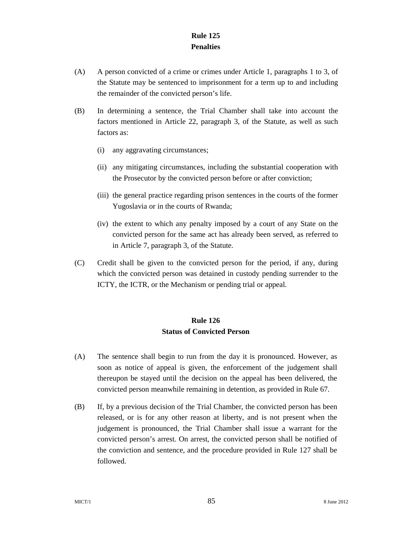#### **Rule 125 Penalties**

- (A) A person convicted of a crime or crimes under Article 1, paragraphs 1 to 3, of the Statute may be sentenced to imprisonment for a term up to and including the remainder of the convicted person's life.
- (B) In determining a sentence, the Trial Chamber shall take into account the factors mentioned in Article 22, paragraph 3, of the Statute, as well as such factors as:
	- (i) any aggravating circumstances;
	- (ii) any mitigating circumstances, including the substantial cooperation with the Prosecutor by the convicted person before or after conviction;
	- (iii) the general practice regarding prison sentences in the courts of the former Yugoslavia or in the courts of Rwanda;
	- (iv) the extent to which any penalty imposed by a court of any State on the convicted person for the same act has already been served, as referred to in Article 7, paragraph 3, of the Statute.
- (C) Credit shall be given to the convicted person for the period, if any, during which the convicted person was detained in custody pending surrender to the ICTY, the ICTR, or the Mechanism or pending trial or appeal.

## **Rule 126 Status of Convicted Person**

- (A) The sentence shall begin to run from the day it is pronounced. However, as soon as notice of appeal is given, the enforcement of the judgement shall thereupon be stayed until the decision on the appeal has been delivered, the convicted person meanwhile remaining in detention, as provided in Rule 67.
- (B) If, by a previous decision of the Trial Chamber, the convicted person has been released, or is for any other reason at liberty, and is not present when the judgement is pronounced, the Trial Chamber shall issue a warrant for the convicted person's arrest. On arrest, the convicted person shall be notified of the conviction and sentence, and the procedure provided in Rule 127 shall be followed.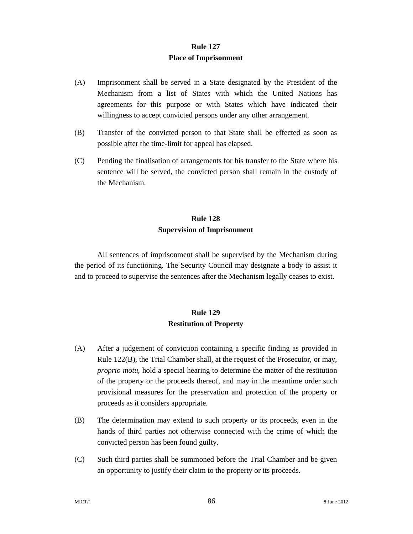## **Rule 127 Place of Imprisonment**

- (A) Imprisonment shall be served in a State designated by the President of the Mechanism from a list of States with which the United Nations has agreements for this purpose or with States which have indicated their willingness to accept convicted persons under any other arrangement.
- (B) Transfer of the convicted person to that State shall be effected as soon as possible after the time-limit for appeal has elapsed.
- (C) Pending the finalisation of arrangements for his transfer to the State where his sentence will be served, the convicted person shall remain in the custody of the Mechanism.

## **Rule 128 Supervision of Imprisonment**

All sentences of imprisonment shall be supervised by the Mechanism during the period of its functioning. The Security Council may designate a body to assist it and to proceed to supervise the sentences after the Mechanism legally ceases to exist.

#### **Rule 129 Restitution of Property**

- (A) After a judgement of conviction containing a specific finding as provided in Rule 122(B), the Trial Chamber shall, at the request of the Prosecutor, or may, *proprio motu*, hold a special hearing to determine the matter of the restitution of the property or the proceeds thereof, and may in the meantime order such provisional measures for the preservation and protection of the property or proceeds as it considers appropriate.
- (B) The determination may extend to such property or its proceeds, even in the hands of third parties not otherwise connected with the crime of which the convicted person has been found guilty.
- (C) Such third parties shall be summoned before the Trial Chamber and be given an opportunity to justify their claim to the property or its proceeds.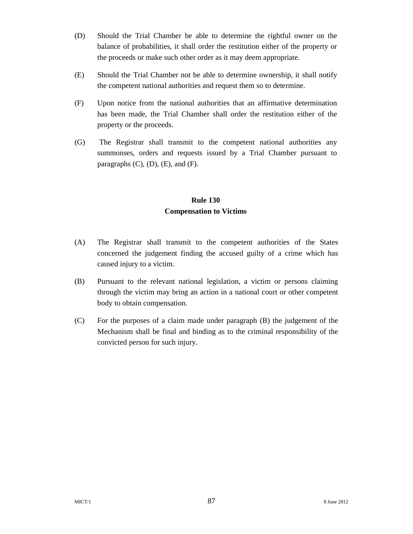- (D) Should the Trial Chamber be able to determine the rightful owner on the balance of probabilities, it shall order the restitution either of the property or the proceeds or make such other order as it may deem appropriate.
- (E) Should the Trial Chamber not be able to determine ownership, it shall notify the competent national authorities and request them so to determine.
- (F) Upon notice from the national authorities that an affirmative determination has been made, the Trial Chamber shall order the restitution either of the property or the proceeds.
- (G) The Registrar shall transmit to the competent national authorities any summonses, orders and requests issued by a Trial Chamber pursuant to paragraphs  $(C)$ ,  $(D)$ ,  $(E)$ , and  $(F)$ .

#### **Rule 130 Compensation to Victims**

- (A) The Registrar shall transmit to the competent authorities of the States concerned the judgement finding the accused guilty of a crime which has caused injury to a victim.
- (B) Pursuant to the relevant national legislation, a victim or persons claiming through the victim may bring an action in a national court or other competent body to obtain compensation.
- (C) For the purposes of a claim made under paragraph (B) the judgement of the Mechanism shall be final and binding as to the criminal responsibility of the convicted person for such injury.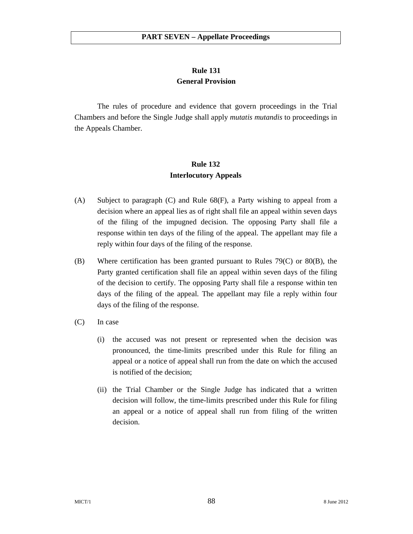## **Rule 131 General Provision**

The rules of procedure and evidence that govern proceedings in the Trial Chambers and before the Single Judge shall apply *mutatis mutandis* to proceedings in the Appeals Chamber.

## **Rule 132 Interlocutory Appeals**

- (A) Subject to paragraph (C) and Rule 68(F), a Party wishing to appeal from a decision where an appeal lies as of right shall file an appeal within seven days of the filing of the impugned decision. The opposing Party shall file a response within ten days of the filing of the appeal. The appellant may file a reply within four days of the filing of the response.
- (B) Where certification has been granted pursuant to Rules 79(C) or 80(B), the Party granted certification shall file an appeal within seven days of the filing of the decision to certify. The opposing Party shall file a response within ten days of the filing of the appeal. The appellant may file a reply within four days of the filing of the response.
- (C) In case
	- (i) the accused was not present or represented when the decision was pronounced, the time-limits prescribed under this Rule for filing an appeal or a notice of appeal shall run from the date on which the accused is notified of the decision;
	- (ii) the Trial Chamber or the Single Judge has indicated that a written decision will follow, the time-limits prescribed under this Rule for filing an appeal or a notice of appeal shall run from filing of the written decision.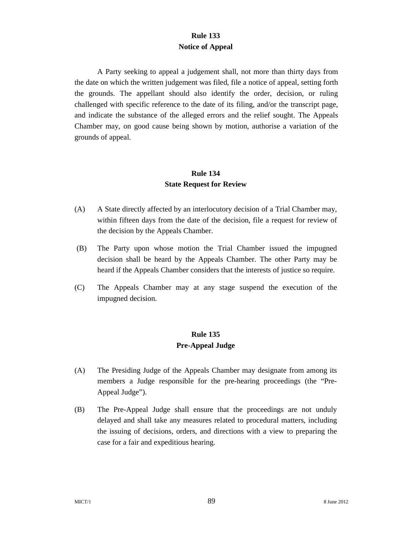#### **Rule 133 Notice of Appeal**

A Party seeking to appeal a judgement shall, not more than thirty days from the date on which the written judgement was filed, file a notice of appeal, setting forth the grounds. The appellant should also identify the order, decision, or ruling challenged with specific reference to the date of its filing, and/or the transcript page, and indicate the substance of the alleged errors and the relief sought. The Appeals Chamber may, on good cause being shown by motion, authorise a variation of the grounds of appeal.

#### **Rule 134 State Request for Review**

- (A) A State directly affected by an interlocutory decision of a Trial Chamber may, within fifteen days from the date of the decision, file a request for review of the decision by the Appeals Chamber.
- (B) The Party upon whose motion the Trial Chamber issued the impugned decision shall be heard by the Appeals Chamber. The other Party may be heard if the Appeals Chamber considers that the interests of justice so require.
- (C) The Appeals Chamber may at any stage suspend the execution of the impugned decision.

## **Rule 135 Pre-Appeal Judge**

- (A) The Presiding Judge of the Appeals Chamber may designate from among its members a Judge responsible for the pre-hearing proceedings (the "Pre-Appeal Judge").
- (B) The Pre-Appeal Judge shall ensure that the proceedings are not unduly delayed and shall take any measures related to procedural matters, including the issuing of decisions, orders, and directions with a view to preparing the case for a fair and expeditious hearing.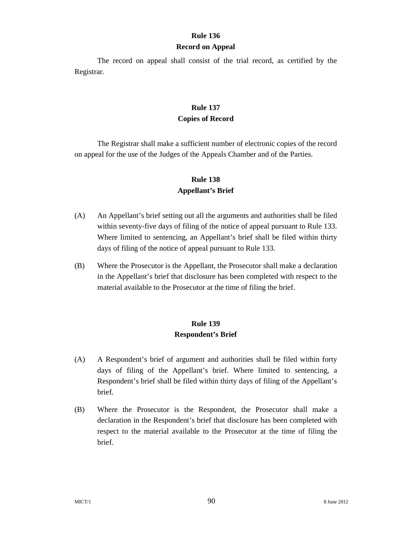#### **Rule 136 Record on Appeal**

The record on appeal shall consist of the trial record, as certified by the Registrar.

## **Rule 137 Copies of Record**

The Registrar shall make a sufficient number of electronic copies of the record on appeal for the use of the Judges of the Appeals Chamber and of the Parties.

## **Rule 138 Appellant's Brief**

- (A) An Appellant's brief setting out all the arguments and authorities shall be filed within seventy-five days of filing of the notice of appeal pursuant to Rule 133. Where limited to sentencing, an Appellant's brief shall be filed within thirty days of filing of the notice of appeal pursuant to Rule 133.
- (B) Where the Prosecutor is the Appellant, the Prosecutor shall make a declaration in the Appellant's brief that disclosure has been completed with respect to the material available to the Prosecutor at the time of filing the brief.

#### **Rule 139 Respondent's Brief**

- (A) A Respondent's brief of argument and authorities shall be filed within forty days of filing of the Appellant's brief. Where limited to sentencing, a Respondent's brief shall be filed within thirty days of filing of the Appellant's brief.
- (B) Where the Prosecutor is the Respondent, the Prosecutor shall make a declaration in the Respondent's brief that disclosure has been completed with respect to the material available to the Prosecutor at the time of filing the brief.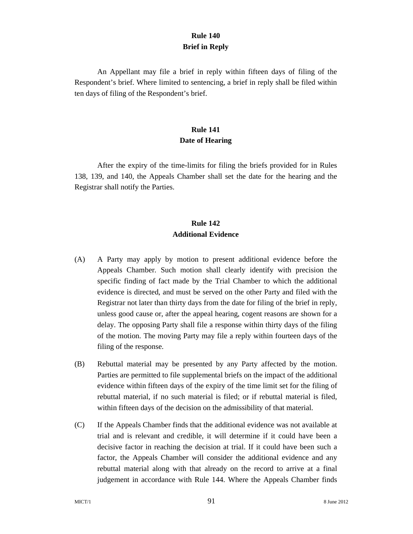#### **Rule 140 Brief in Reply**

An Appellant may file a brief in reply within fifteen days of filing of the Respondent's brief. Where limited to sentencing, a brief in reply shall be filed within ten days of filing of the Respondent's brief.

## **Rule 141 Date of Hearing**

After the expiry of the time-limits for filing the briefs provided for in Rules 138, 139, and 140, the Appeals Chamber shall set the date for the hearing and the Registrar shall notify the Parties.

#### **Rule 142 Additional Evidence**

- (A) A Party may apply by motion to present additional evidence before the Appeals Chamber. Such motion shall clearly identify with precision the specific finding of fact made by the Trial Chamber to which the additional evidence is directed, and must be served on the other Party and filed with the Registrar not later than thirty days from the date for filing of the brief in reply, unless good cause or, after the appeal hearing, cogent reasons are shown for a delay. The opposing Party shall file a response within thirty days of the filing of the motion. The moving Party may file a reply within fourteen days of the filing of the response.
- (B) Rebuttal material may be presented by any Party affected by the motion. Parties are permitted to file supplemental briefs on the impact of the additional evidence within fifteen days of the expiry of the time limit set for the filing of rebuttal material, if no such material is filed; or if rebuttal material is filed, within fifteen days of the decision on the admissibility of that material.
- (C) If the Appeals Chamber finds that the additional evidence was not available at trial and is relevant and credible, it will determine if it could have been a decisive factor in reaching the decision at trial. If it could have been such a factor, the Appeals Chamber will consider the additional evidence and any rebuttal material along with that already on the record to arrive at a final judgement in accordance with Rule 144. Where the Appeals Chamber finds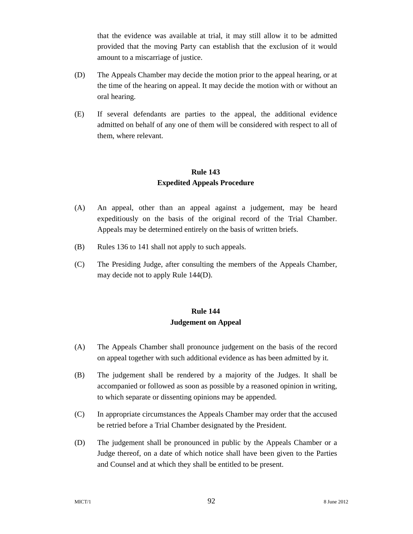that the evidence was available at trial, it may still allow it to be admitted provided that the moving Party can establish that the exclusion of it would amount to a miscarriage of justice.

- (D) The Appeals Chamber may decide the motion prior to the appeal hearing, or at the time of the hearing on appeal. It may decide the motion with or without an oral hearing.
- (E) If several defendants are parties to the appeal, the additional evidence admitted on behalf of any one of them will be considered with respect to all of them, where relevant.

# **Rule 143 Expedited Appeals Procedure**

- (A) An appeal, other than an appeal against a judgement, may be heard expeditiously on the basis of the original record of the Trial Chamber. Appeals may be determined entirely on the basis of written briefs.
- (B) Rules 136 to 141 shall not apply to such appeals.
- (C) The Presiding Judge, after consulting the members of the Appeals Chamber, may decide not to apply Rule 144(D).

## **Rule 144 Judgement on Appeal**

- (A) The Appeals Chamber shall pronounce judgement on the basis of the record on appeal together with such additional evidence as has been admitted by it.
- (B) The judgement shall be rendered by a majority of the Judges. It shall be accompanied or followed as soon as possible by a reasoned opinion in writing, to which separate or dissenting opinions may be appended.
- (C) In appropriate circumstances the Appeals Chamber may order that the accused be retried before a Trial Chamber designated by the President.
- (D) The judgement shall be pronounced in public by the Appeals Chamber or a Judge thereof, on a date of which notice shall have been given to the Parties and Counsel and at which they shall be entitled to be present.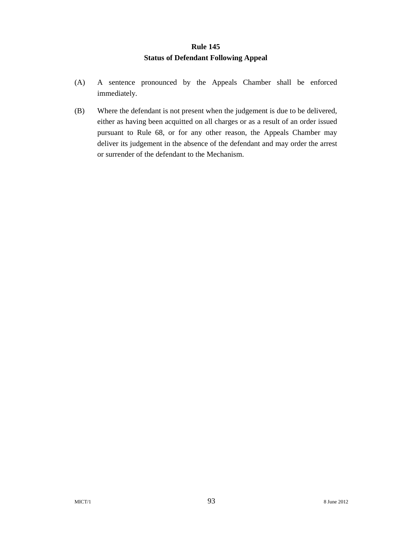## **Rule 145 Status of Defendant Following Appeal**

- (A) A sentence pronounced by the Appeals Chamber shall be enforced immediately.
- (B) Where the defendant is not present when the judgement is due to be delivered, either as having been acquitted on all charges or as a result of an order issued pursuant to Rule 68, or for any other reason, the Appeals Chamber may deliver its judgement in the absence of the defendant and may order the arrest or surrender of the defendant to the Mechanism.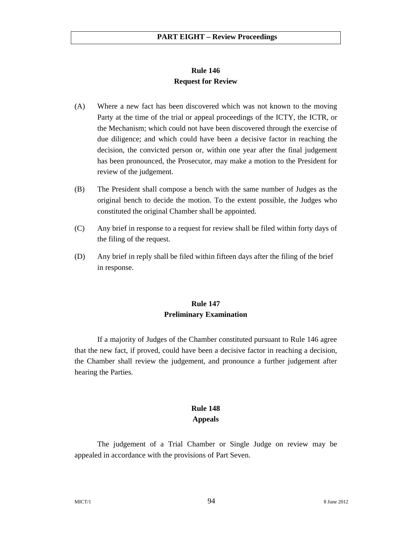# **Rule 146 Request for Review**

- (A) Where a new fact has been discovered which was not known to the moving Party at the time of the trial or appeal proceedings of the ICTY, the ICTR, or the Mechanism; which could not have been discovered through the exercise of due diligence; and which could have been a decisive factor in reaching the decision, the convicted person or, within one year after the final judgement has been pronounced, the Prosecutor, may make a motion to the President for review of the judgement.
- (B) The President shall compose a bench with the same number of Judges as the original bench to decide the motion. To the extent possible, the Judges who constituted the original Chamber shall be appointed.
- (C) Any brief in response to a request for review shall be filed within forty days of the filing of the request.
- (D) Any brief in reply shall be filed within fifteen days after the filing of the brief in response.

## **Rule 147 Preliminary Examination**

If a majority of Judges of the Chamber constituted pursuant to Rule 146 agree that the new fact, if proved, could have been a decisive factor in reaching a decision, the Chamber shall review the judgement, and pronounce a further judgement after hearing the Parties.

## **Rule 148 Appeals**

The judgement of a Trial Chamber or Single Judge on review may be appealed in accordance with the provisions of Part Seven.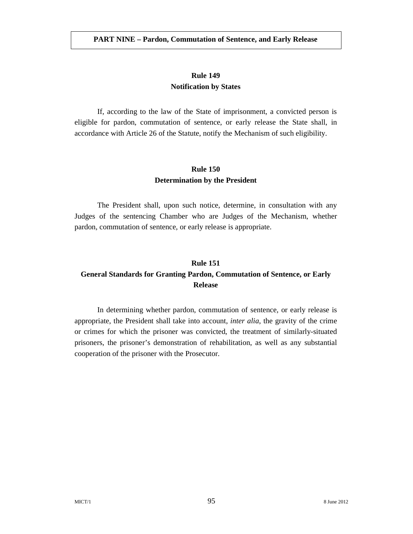#### **Rule 149 Notification by States**

If, according to the law of the State of imprisonment, a convicted person is eligible for pardon, commutation of sentence, or early release the State shall, in accordance with Article 26 of the Statute, notify the Mechanism of such eligibility.

#### **Rule 150 Determination by the President**

The President shall, upon such notice, determine, in consultation with any Judges of the sentencing Chamber who are Judges of the Mechanism, whether pardon, commutation of sentence, or early release is appropriate.

# **Rule 151 General Standards for Granting Pardon, Commutation of Sentence, or Early Release**

In determining whether pardon, commutation of sentence, or early release is appropriate, the President shall take into account, *inter alia*, the gravity of the crime or crimes for which the prisoner was convicted, the treatment of similarly-situated prisoners, the prisoner's demonstration of rehabilitation, as well as any substantial cooperation of the prisoner with the Prosecutor.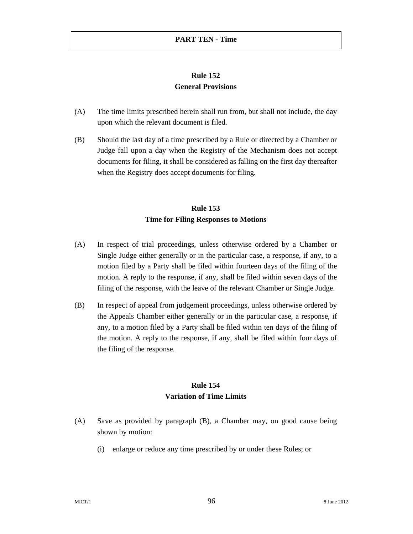# **Rule 152 General Provisions**

- (A) The time limits prescribed herein shall run from, but shall not include, the day upon which the relevant document is filed.
- (B) Should the last day of a time prescribed by a Rule or directed by a Chamber or Judge fall upon a day when the Registry of the Mechanism does not accept documents for filing, it shall be considered as falling on the first day thereafter when the Registry does accept documents for filing.

## **Rule 153 Time for Filing Responses to Motions**

- (A) In respect of trial proceedings, unless otherwise ordered by a Chamber or Single Judge either generally or in the particular case, a response, if any, to a motion filed by a Party shall be filed within fourteen days of the filing of the motion. A reply to the response, if any, shall be filed within seven days of the filing of the response, with the leave of the relevant Chamber or Single Judge.
- (B) In respect of appeal from judgement proceedings, unless otherwise ordered by the Appeals Chamber either generally or in the particular case, a response, if any, to a motion filed by a Party shall be filed within ten days of the filing of the motion. A reply to the response, if any, shall be filed within four days of the filing of the response.

#### **Rule 154 Variation of Time Limits**

- (A) Save as provided by paragraph (B), a Chamber may, on good cause being shown by motion:
	- (i) enlarge or reduce any time prescribed by or under these Rules; or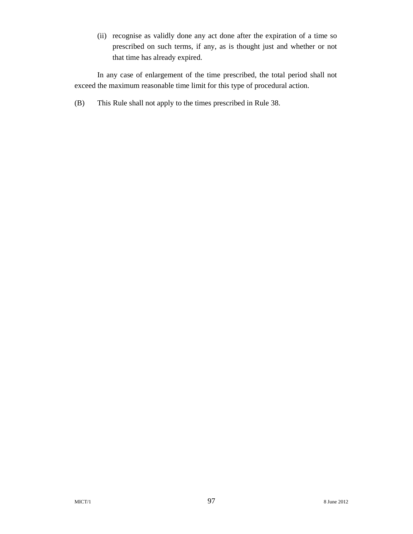(ii) recognise as validly done any act done after the expiration of a time so prescribed on such terms, if any, as is thought just and whether or not that time has already expired.

In any case of enlargement of the time prescribed, the total period shall not exceed the maximum reasonable time limit for this type of procedural action.

(B) This Rule shall not apply to the times prescribed in Rule 38.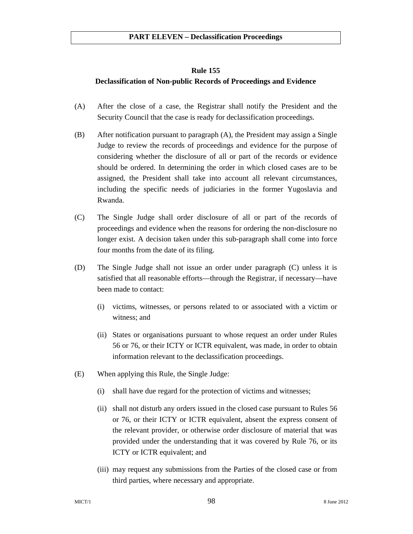#### **Rule 155**

#### **Declassification of Non-public Records of Proceedings and Evidence**

- (A) After the close of a case, the Registrar shall notify the President and the Security Council that the case is ready for declassification proceedings.
- (B) After notification pursuant to paragraph (A), the President may assign a Single Judge to review the records of proceedings and evidence for the purpose of considering whether the disclosure of all or part of the records or evidence should be ordered. In determining the order in which closed cases are to be assigned, the President shall take into account all relevant circumstances, including the specific needs of judiciaries in the former Yugoslavia and Rwanda.
- (C) The Single Judge shall order disclosure of all or part of the records of proceedings and evidence when the reasons for ordering the non-disclosure no longer exist. A decision taken under this sub-paragraph shall come into force four months from the date of its filing.
- (D) The Single Judge shall not issue an order under paragraph (C) unless it is satisfied that all reasonable efforts—through the Registrar, if necessary—have been made to contact:
	- (i) victims, witnesses, or persons related to or associated with a victim or witness; and
	- (ii) States or organisations pursuant to whose request an order under Rules 56 or 76, or their ICTY or ICTR equivalent, was made, in order to obtain information relevant to the declassification proceedings.
- (E) When applying this Rule, the Single Judge:
	- (i) shall have due regard for the protection of victims and witnesses;
	- (ii) shall not disturb any orders issued in the closed case pursuant to Rules 56 or 76, or their ICTY or ICTR equivalent, absent the express consent of the relevant provider, or otherwise order disclosure of material that was provided under the understanding that it was covered by Rule 76, or its ICTY or ICTR equivalent; and
	- (iii) may request any submissions from the Parties of the closed case or from third parties, where necessary and appropriate.